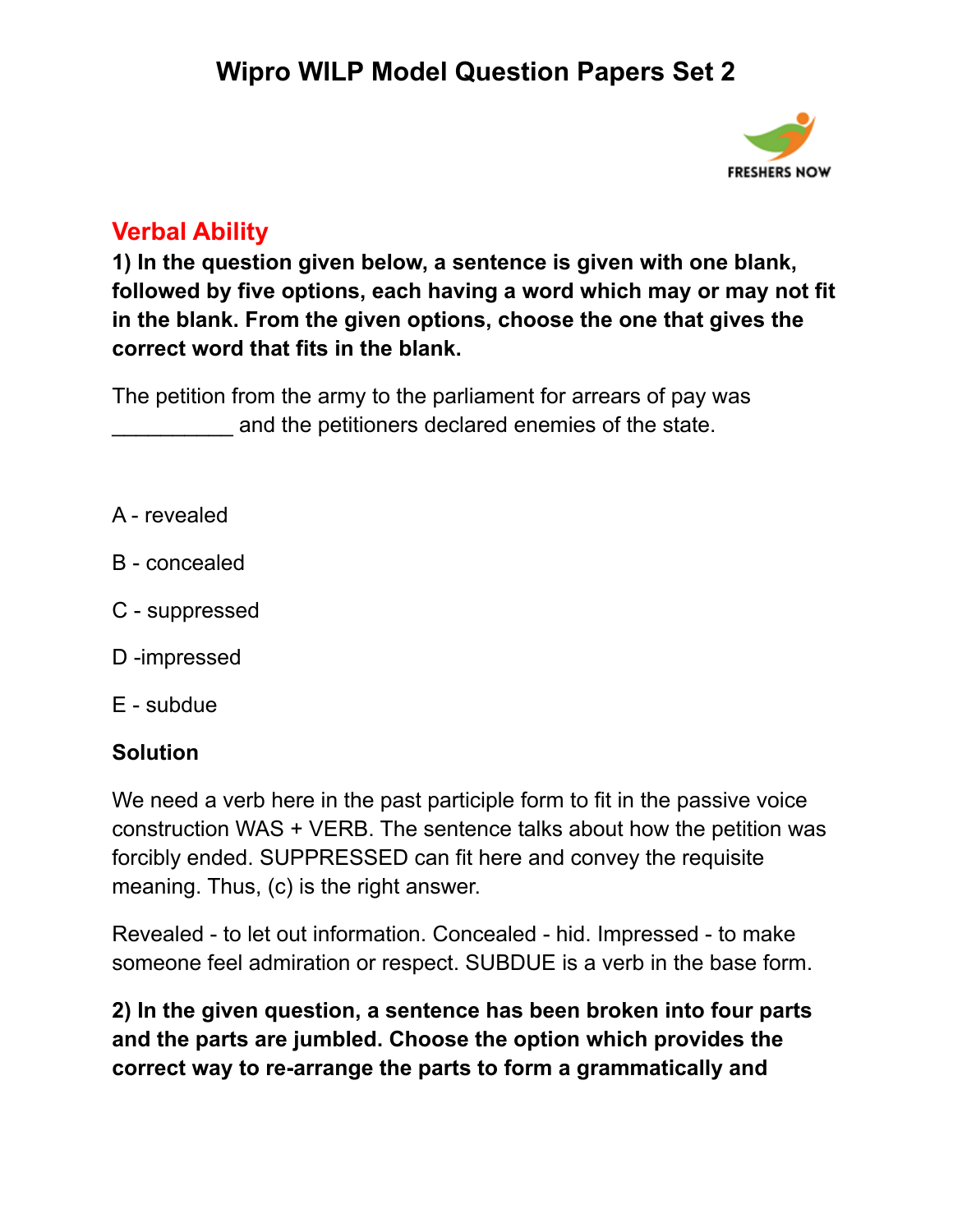

## **Verbal Ability**

**1) In the question given below, a sentence is given with one blank, followed by five options, each having a word which may or may not fit in the blank. From the given options, choose the one that gives the correct word that fits in the blank.**

The petition from the army to the parliament for arrears of pay was and the petitioners declared enemies of the state.

- A revealed
- B concealed
- C suppressed
- D -impressed
- E subdue

#### **Solution**

We need a verb here in the past participle form to fit in the passive voice construction WAS + VERB. The sentence talks about how the petition was forcibly ended. SUPPRESSED can fit here and convey the requisite meaning. Thus, (c) is the right answer.

Revealed - to let out information. Concealed - hid. Impressed - to make someone feel admiration or respect. SUBDUE is a verb in the base form.

**2) In the given question, a sentence has been broken into four parts and the parts are jumbled. Choose the option which provides the correct way to re-arrange the parts to form a grammatically and**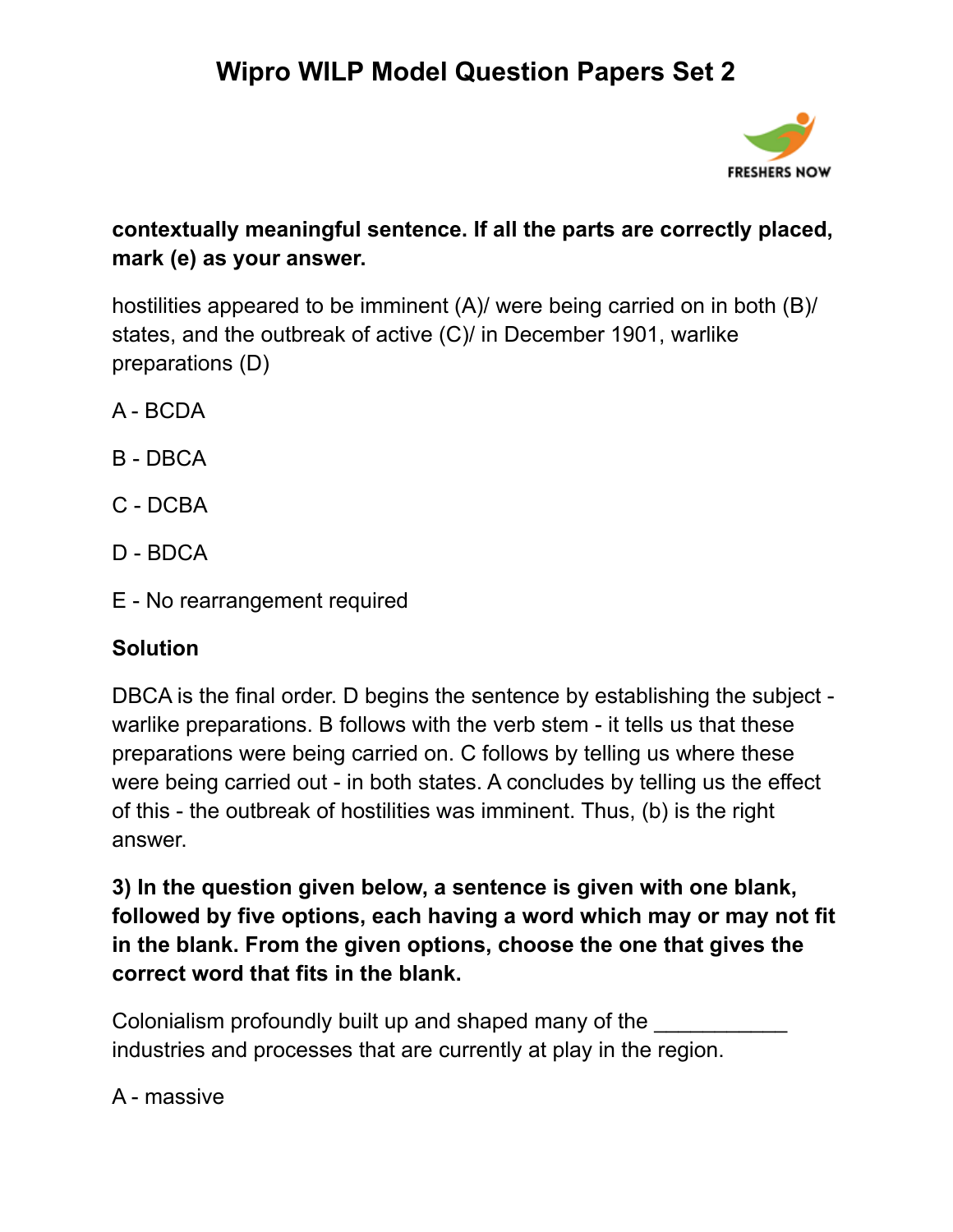

### **contextually meaningful sentence. If all the parts are correctly placed, mark (e) as your answer.**

hostilities appeared to be imminent (A)/ were being carried on in both (B)/ states, and the outbreak of active (C)/ in December 1901, warlike preparations (D)

- A BCDA
- B DBCA
- C DCBA
- D BDCA
- E No rearrangement required

## **Solution**

DBCA is the final order. D begins the sentence by establishing the subject warlike preparations. B follows with the verb stem - it tells us that these preparations were being carried on. C follows by telling us where these were being carried out - in both states. A concludes by telling us the effect of this - the outbreak of hostilities was imminent. Thus, (b) is the right answer.

**3) In the question given below, a sentence is given with one blank, followed by five options, each having a word which may or may not fit in the blank. From the given options, choose the one that gives the correct word that fits in the blank.**

Colonialism profoundly built up and shaped many of the industries and processes that are currently at play in the region.

### A - massive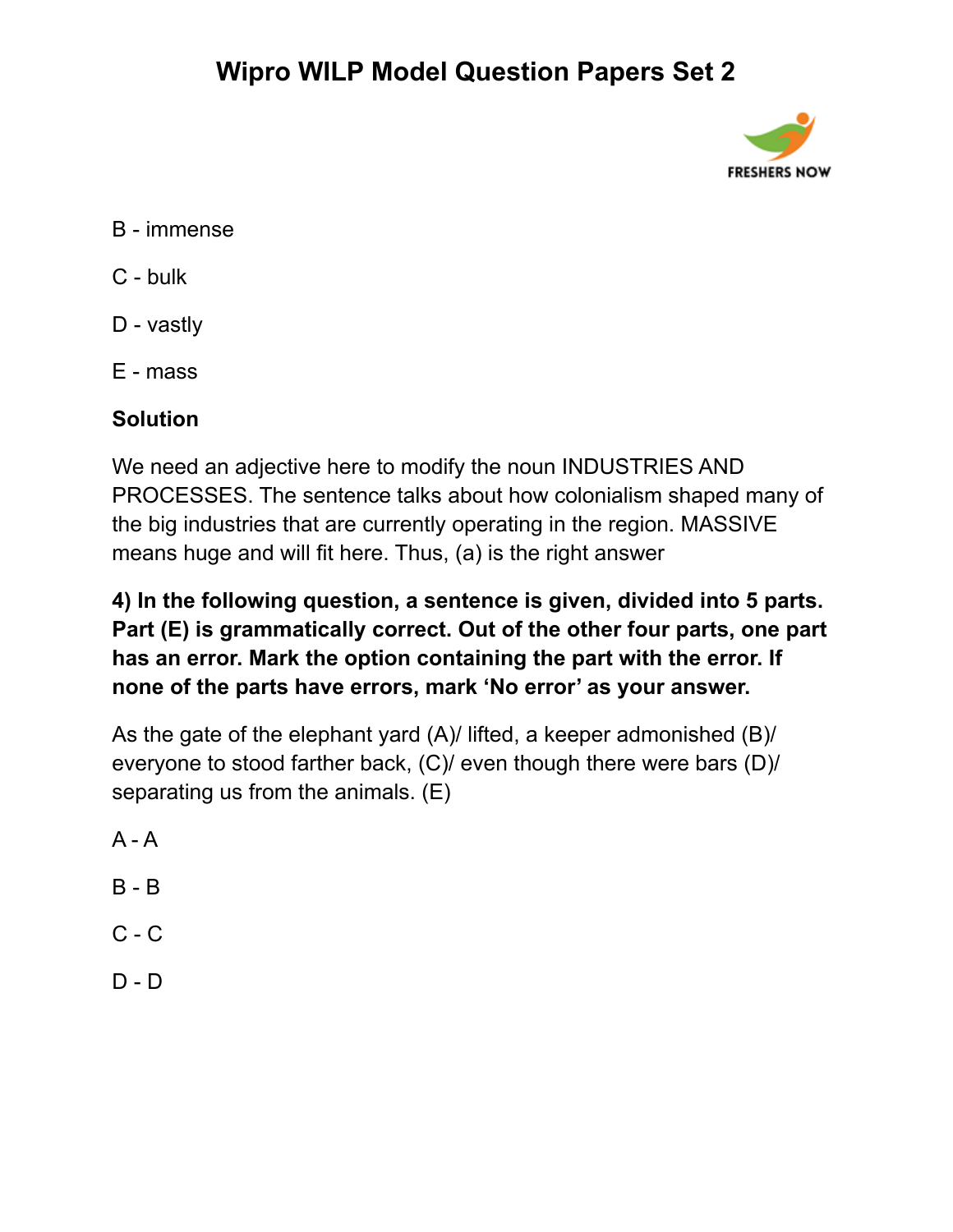

- B immense
- C bulk
- D vastly
- E mass

### **Solution**

We need an adjective here to modify the noun INDUSTRIES AND PROCESSES. The sentence talks about how colonialism shaped many of the big industries that are currently operating in the region. MASSIVE means huge and will fit here. Thus, (a) is the right answer

**4) In the following question, a sentence is given, divided into 5 parts. Part (E) is grammatically correct. Out of the other four parts, one part has an error. Mark the option containing the part with the error. If none of the parts have errors, mark 'No error' as your answer.**

As the gate of the elephant yard (A)/ lifted, a keeper admonished (B)/ everyone to stood farther back, (C)/ even though there were bars (D)/ separating us from the animals. (E)

- $A A$
- B B
- $C C$
- $D D$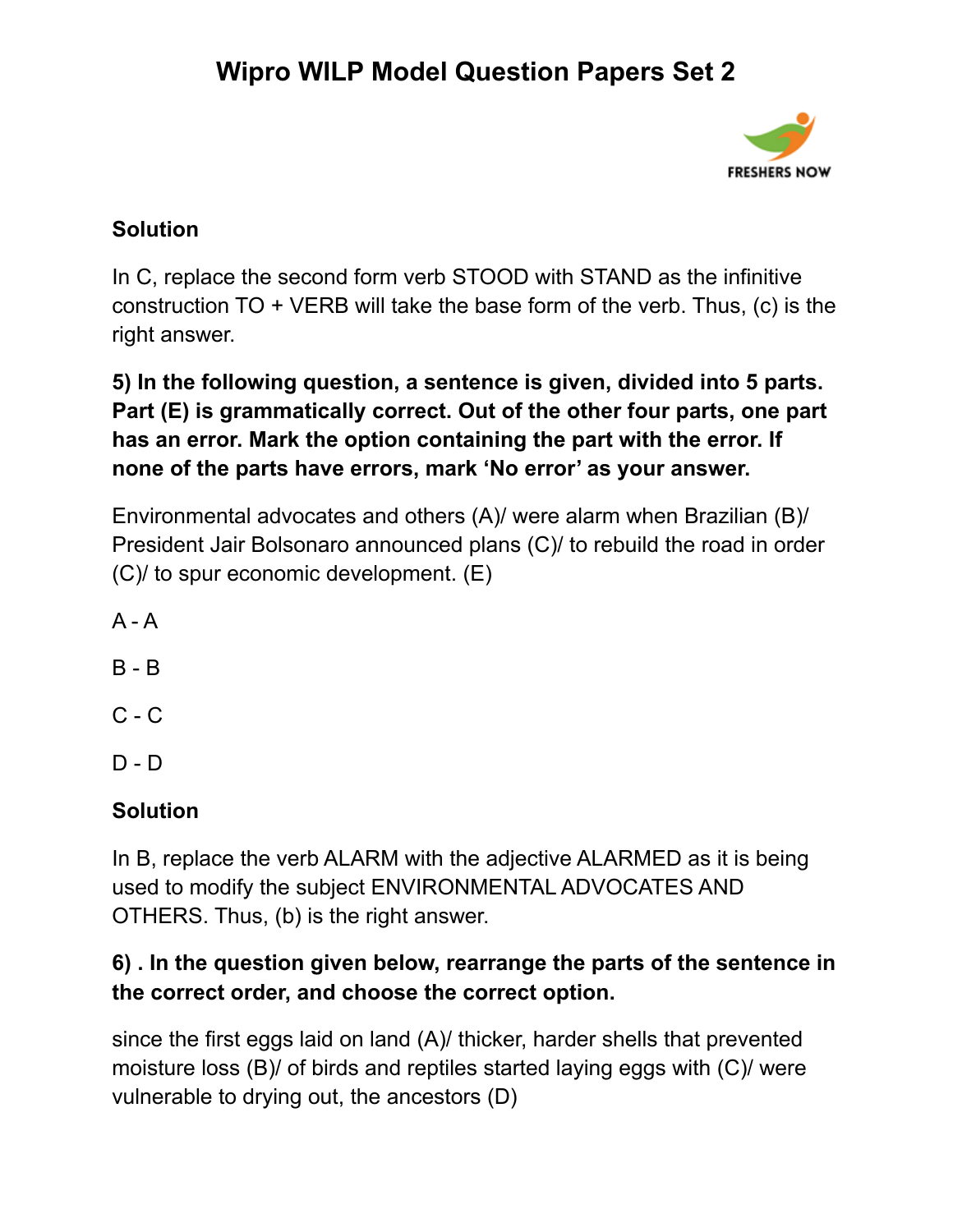

### **Solution**

In C, replace the second form verb STOOD with STAND as the infinitive construction TO + VERB will take the base form of the verb. Thus, (c) is the right answer.

### **5) In the following question, a sentence is given, divided into 5 parts. Part (E) is grammatically correct. Out of the other four parts, one part has an error. Mark the option containing the part with the error. If none of the parts have errors, mark 'No error' as your answer.**

Environmental advocates and others (A)/ were alarm when Brazilian (B)/ President Jair Bolsonaro announced plans (C)/ to rebuild the road in order (C)/ to spur economic development. (E)

 $A - A$ 

- B B
- C C

D - D

### **Solution**

In B, replace the verb ALARM with the adjective ALARMED as it is being used to modify the subject ENVIRONMENTAL ADVOCATES AND OTHERS. Thus, (b) is the right answer.

### **6) . In the question given below, rearrange the parts of the sentence in the correct order, and choose the correct option.**

since the first eggs laid on land (A)/ thicker, harder shells that prevented moisture loss (B)/ of birds and reptiles started laying eggs with (C)/ were vulnerable to drying out, the ancestors (D)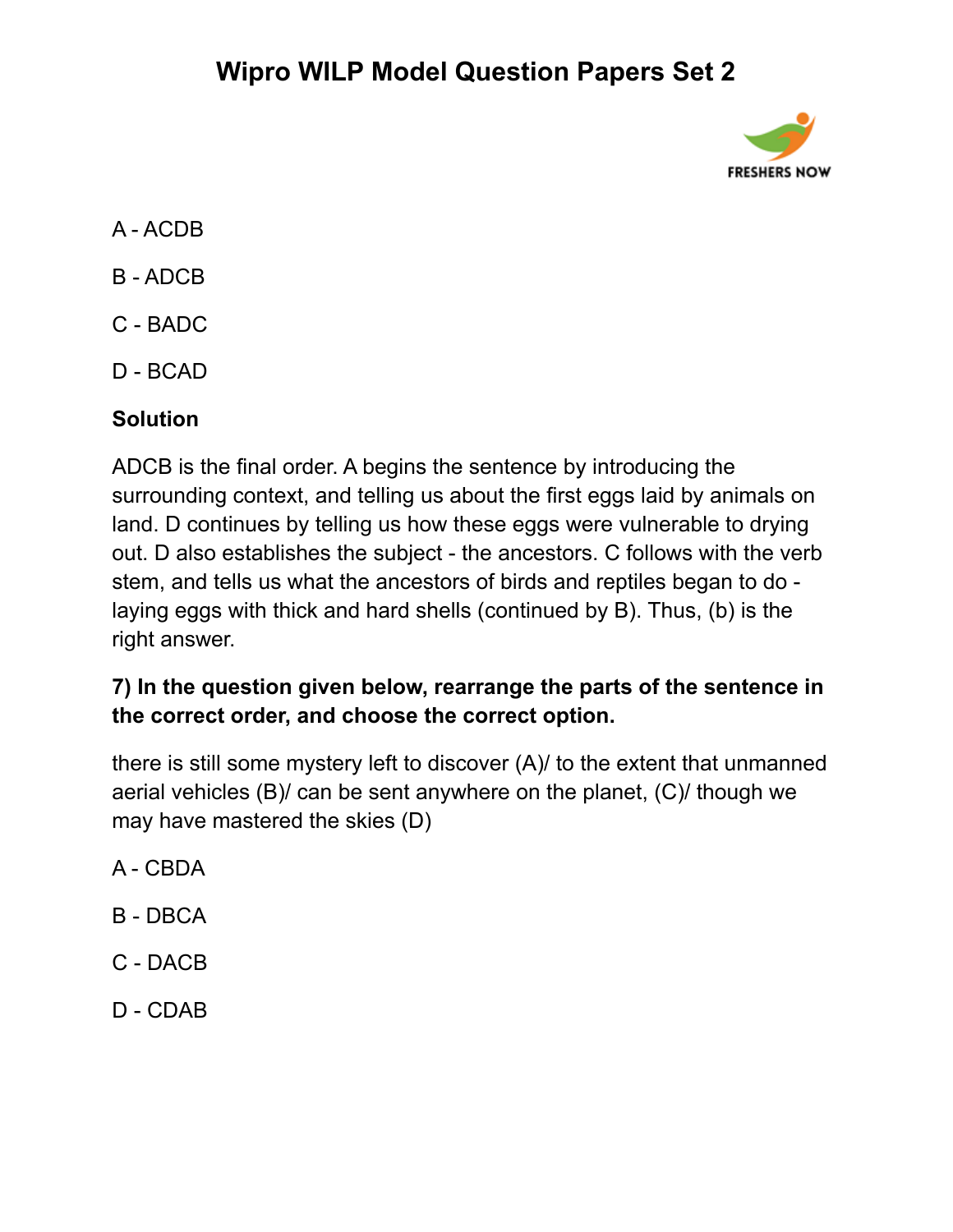

- A ACDB
- B ADCB
- C BADC
- D BCAD

### **Solution**

ADCB is the final order. A begins the sentence by introducing the surrounding context, and telling us about the first eggs laid by animals on land. D continues by telling us how these eggs were vulnerable to drying out. D also establishes the subject - the ancestors. C follows with the verb stem, and tells us what the ancestors of birds and reptiles began to do laying eggs with thick and hard shells (continued by B). Thus, (b) is the right answer.

### **7) In the question given below, rearrange the parts of the sentence in the correct order, and choose the correct option.**

there is still some mystery left to discover (A)/ to the extent that unmanned aerial vehicles (B)/ can be sent anywhere on the planet, (C)/ though we may have mastered the skies (D)

- A CBDA
- B DBCA
- C DACB
- D CDAB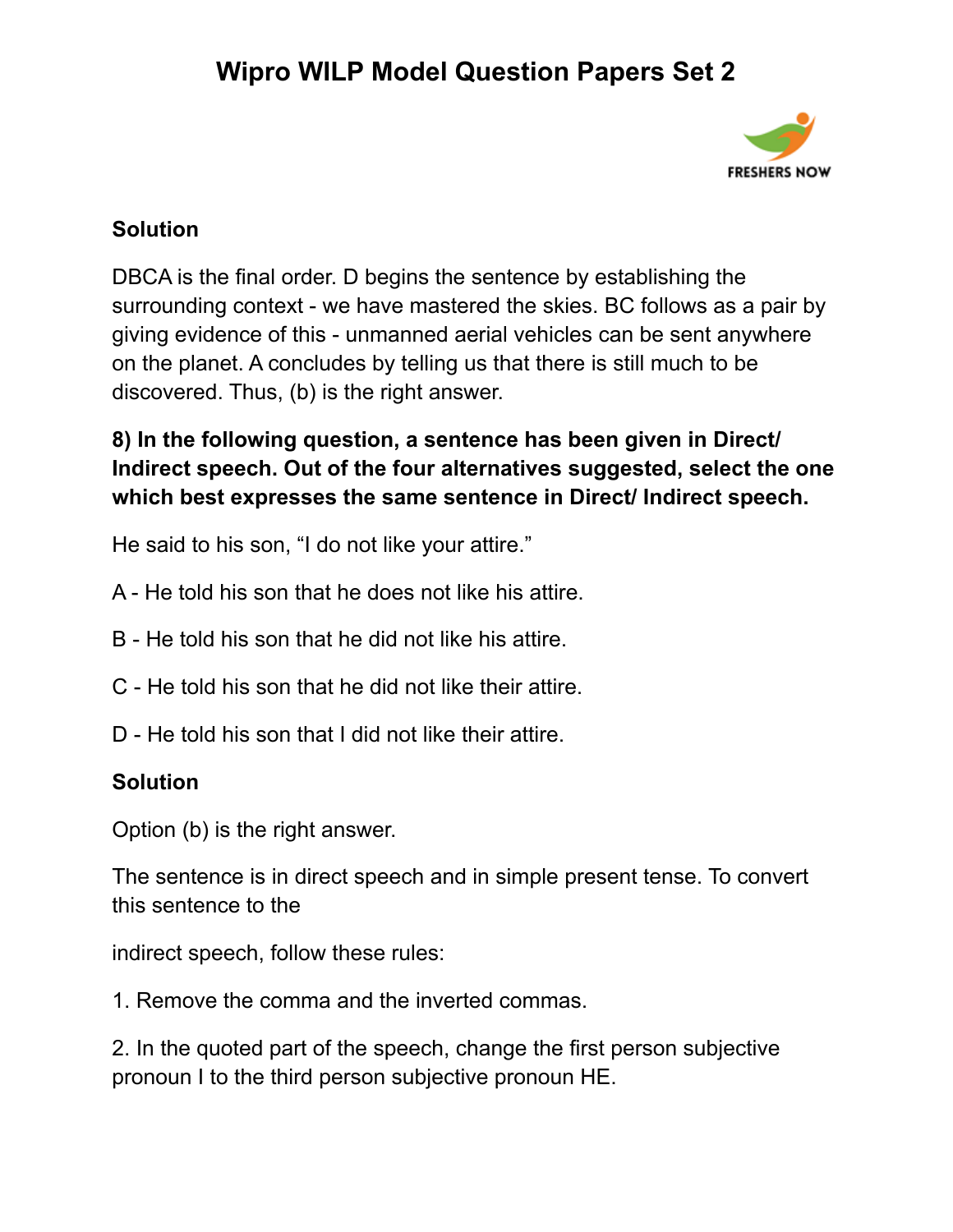

### **Solution**

DBCA is the final order. D begins the sentence by establishing the surrounding context - we have mastered the skies. BC follows as a pair by giving evidence of this - unmanned aerial vehicles can be sent anywhere on the planet. A concludes by telling us that there is still much to be discovered. Thus, (b) is the right answer.

### **8) In the following question, a sentence has been given in Direct/ Indirect speech. Out of the four alternatives suggested, select the one which best expresses the same sentence in Direct/ Indirect speech.**

He said to his son, "I do not like your attire."

- A He told his son that he does not like his attire.
- B He told his son that he did not like his attire.
- C He told his son that he did not like their attire.
- D He told his son that I did not like their attire.

#### **Solution**

Option (b) is the right answer.

The sentence is in direct speech and in simple present tense. To convert this sentence to the

indirect speech, follow these rules:

1. Remove the comma and the inverted commas.

2. In the quoted part of the speech, change the first person subjective pronoun I to the third person subjective pronoun HE.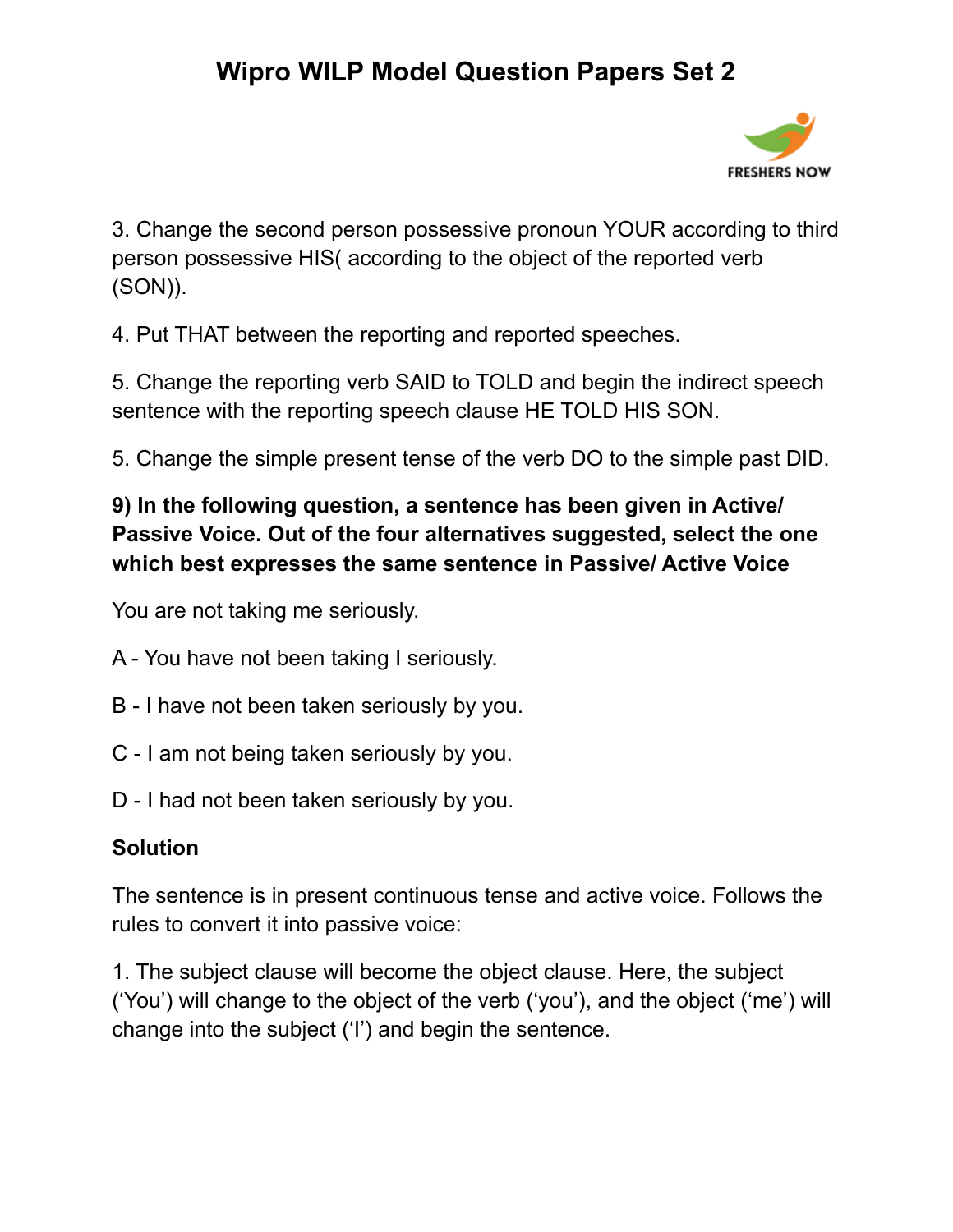

3. Change the second person possessive pronoun YOUR according to third person possessive HIS( according to the object of the reported verb (SON)).

4. Put THAT between the reporting and reported speeches.

5. Change the reporting verb SAID to TOLD and begin the indirect speech sentence with the reporting speech clause HE TOLD HIS SON.

5. Change the simple present tense of the verb DO to the simple past DID.

### **9) In the following question, a sentence has been given in Active/ Passive Voice. Out of the four alternatives suggested, select the one which best expresses the same sentence in Passive/ Active Voice**

You are not taking me seriously.

- A You have not been taking I seriously.
- B I have not been taken seriously by you.
- C I am not being taken seriously by you.
- D I had not been taken seriously by you.

### **Solution**

The sentence is in present continuous tense and active voice. Follows the rules to convert it into passive voice:

1. The subject clause will become the object clause. Here, the subject ('You') will change to the object of the verb ('you'), and the object ('me') will change into the subject ('I') and begin the sentence.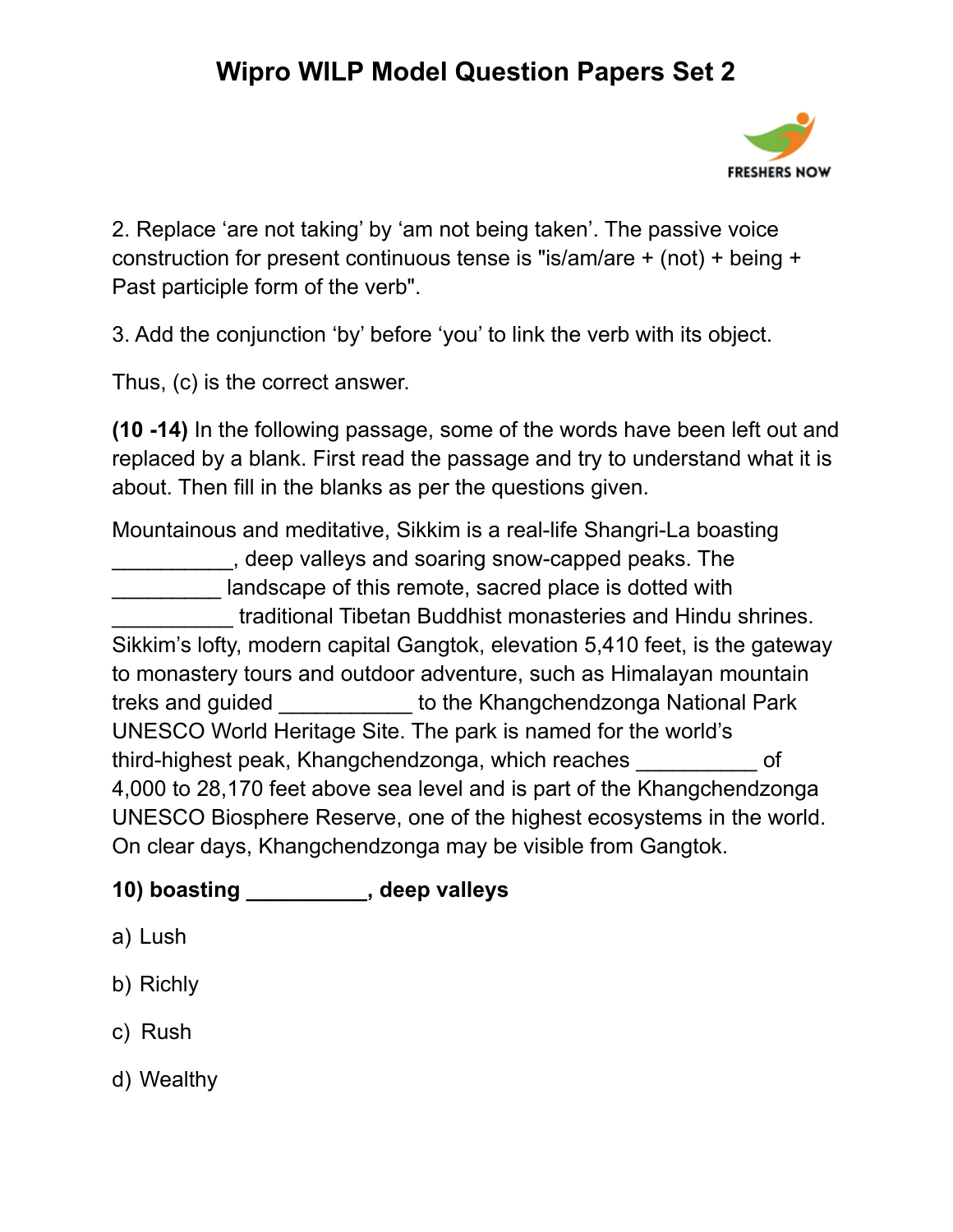

2. Replace 'are not taking' by 'am not being taken'. The passive voice construction for present continuous tense is "is/am/are + (not) + being + Past participle form of the verb".

3. Add the conjunction 'by' before 'you' to link the verb with its object.

Thus, (c) is the correct answer.

**(10 -14)** In the following passage, some of the words have been left out and replaced by a blank. First read the passage and try to understand what it is about. Then fill in the blanks as per the questions given.

Mountainous and meditative, Sikkim is a real-life Shangri-La boasting \_\_\_\_\_\_\_\_\_\_, deep valleys and soaring snow-capped peaks. The landscape of this remote, sacred place is dotted with \_\_\_\_\_\_\_\_\_\_ traditional Tibetan Buddhist monasteries and Hindu shrines. Sikkim's lofty, modern capital Gangtok, elevation 5,410 feet, is the gateway to monastery tours and outdoor adventure, such as Himalayan mountain treks and guided \_\_\_\_\_\_\_\_\_\_\_ to the Khangchendzonga National Park UNESCO World Heritage Site. The park is named for the world's third-highest peak, Khangchendzonga, which reaches \_\_\_\_\_\_\_\_\_\_ of 4,000 to 28,170 feet above sea level and is part of the Khangchendzonga UNESCO Biosphere Reserve, one of the highest ecosystems in the world. On clear days, Khangchendzonga may be visible from Gangtok.

### **10) boasting \_\_\_\_\_\_\_\_\_\_, deep valleys**

- a) Lush
- b) Richly
- c) Rush
- d) Wealthy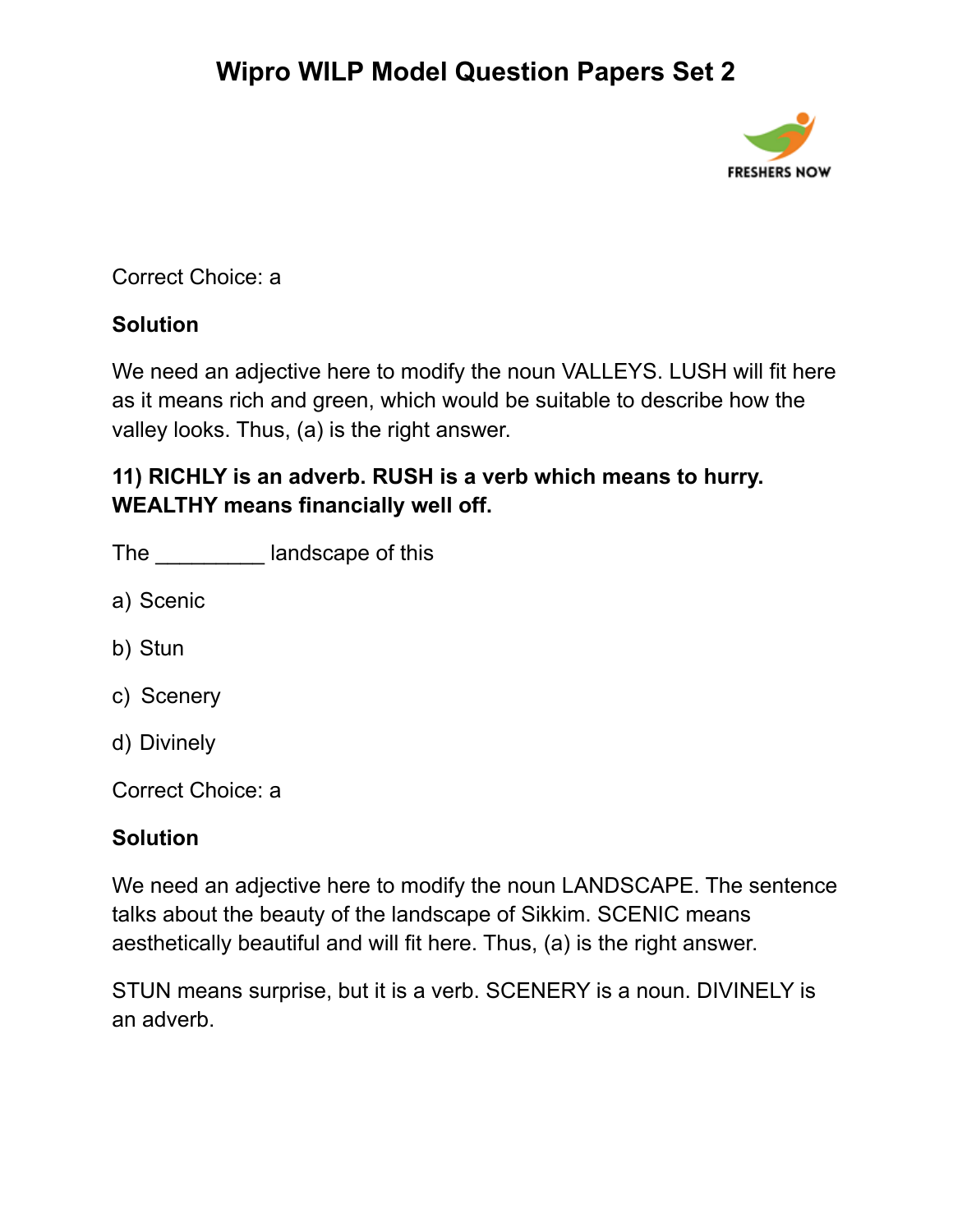

### Correct Choice: a

### **Solution**

We need an adjective here to modify the noun VALLEYS. LUSH will fit here as it means rich and green, which would be suitable to describe how the valley looks. Thus, (a) is the right answer.

### **11) RICHLY is an adverb. RUSH is a verb which means to hurry. WEALTHY means financially well off.**

| The |  | landscape of this |  |
|-----|--|-------------------|--|
|-----|--|-------------------|--|

- a) Scenic
- b) Stun
- c) Scenery
- d) Divinely

Correct Choice: a

### **Solution**

We need an adjective here to modify the noun LANDSCAPE. The sentence talks about the beauty of the landscape of Sikkim. SCENIC means aesthetically beautiful and will fit here. Thus, (a) is the right answer.

STUN means surprise, but it is a verb. SCENERY is a noun. DIVINELY is an adverb.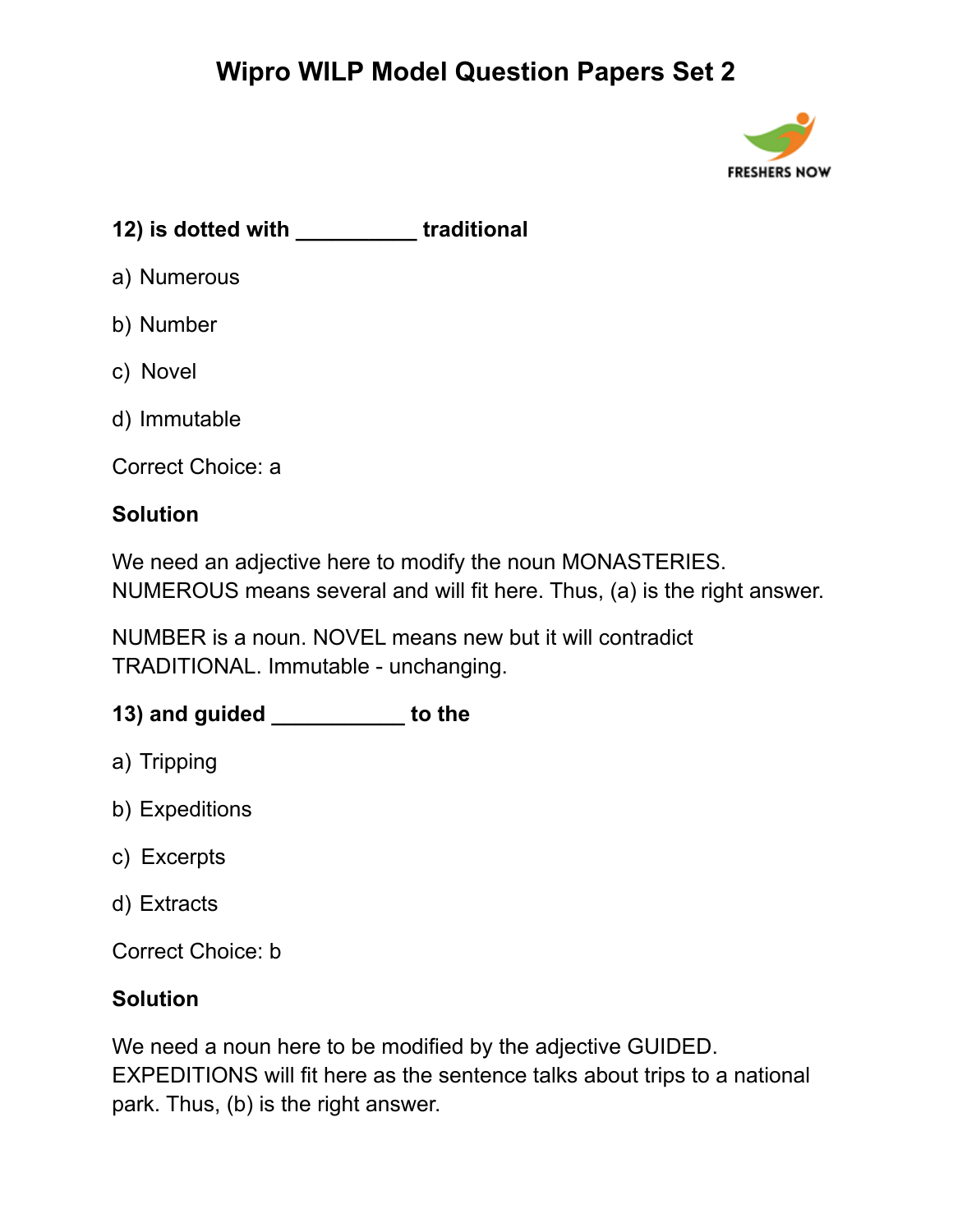

**12) is dotted with \_\_\_\_\_\_\_\_\_\_ traditional**

- a) Numerous
- b) Number
- c) Novel
- d) Immutable

Correct Choice: a

#### **Solution**

We need an adjective here to modify the noun MONASTERIES. NUMEROUS means several and will fit here. Thus, (a) is the right answer.

NUMBER is a noun. NOVEL means new but it will contradict TRADITIONAL. Immutable - unchanging.

### **13) and guided \_\_\_\_\_\_\_\_\_\_\_ to the**

- a) Tripping
- b) Expeditions
- c) Excerpts
- d) Extracts

Correct Choice: b

#### **Solution**

We need a noun here to be modified by the adjective GUIDED. EXPEDITIONS will fit here as the sentence talks about trips to a national park. Thus, (b) is the right answer.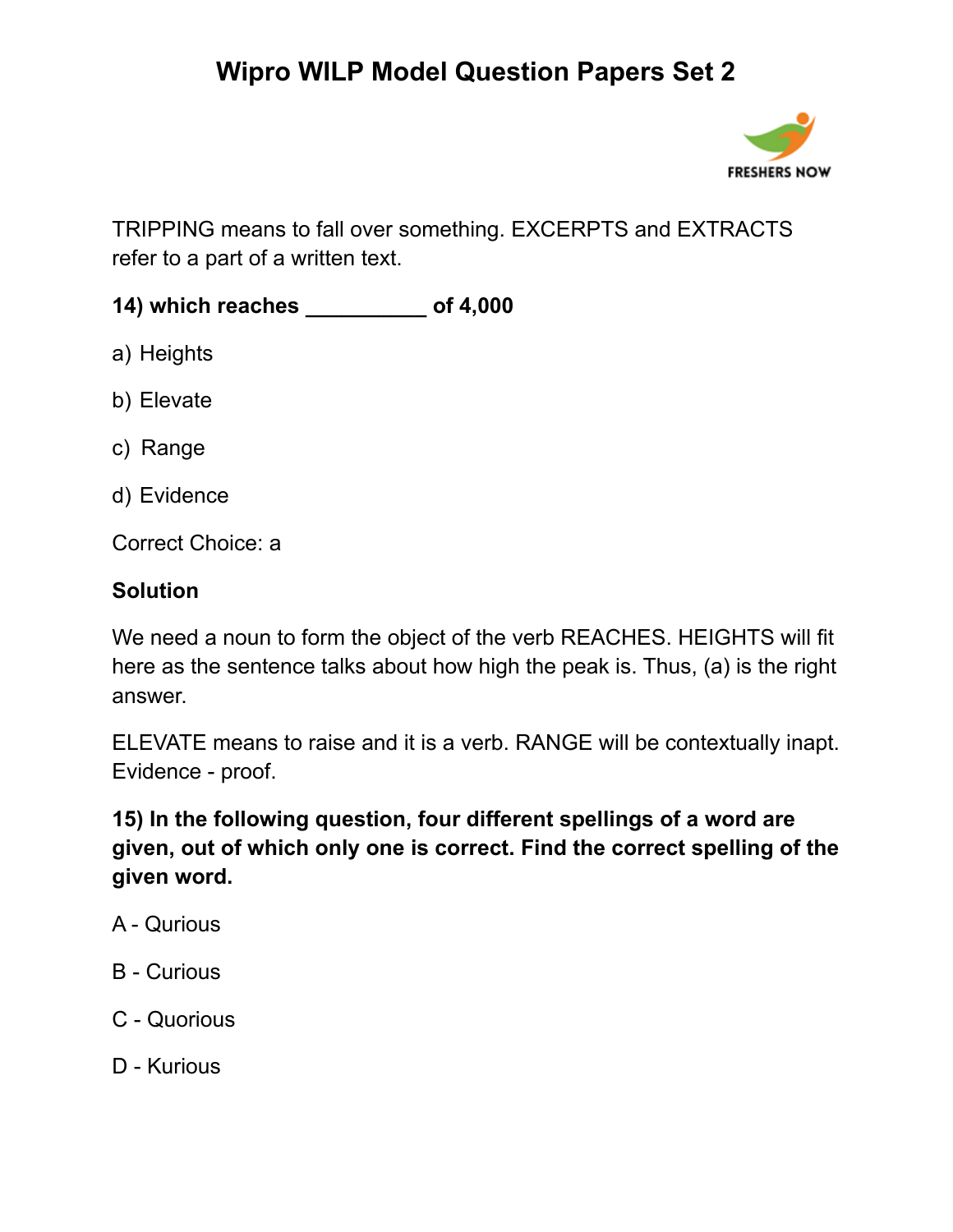

TRIPPING means to fall over something. EXCERPTS and EXTRACTS refer to a part of a written text.

**14) which reaches \_\_\_\_\_\_\_\_\_\_ of 4,000**

- a) Heights
- b) Elevate
- c) Range
- d) Evidence

Correct Choice: a

#### **Solution**

We need a noun to form the object of the verb REACHES. HEIGHTS will fit here as the sentence talks about how high the peak is. Thus, (a) is the right answer.

ELEVATE means to raise and it is a verb. RANGE will be contextually inapt. Evidence - proof.

**15) In the following question, four different spellings of a word are given, out of which only one is correct. Find the correct spelling of the given word.**

- A Qurious
- B Curious
- C Quorious
- D Kurious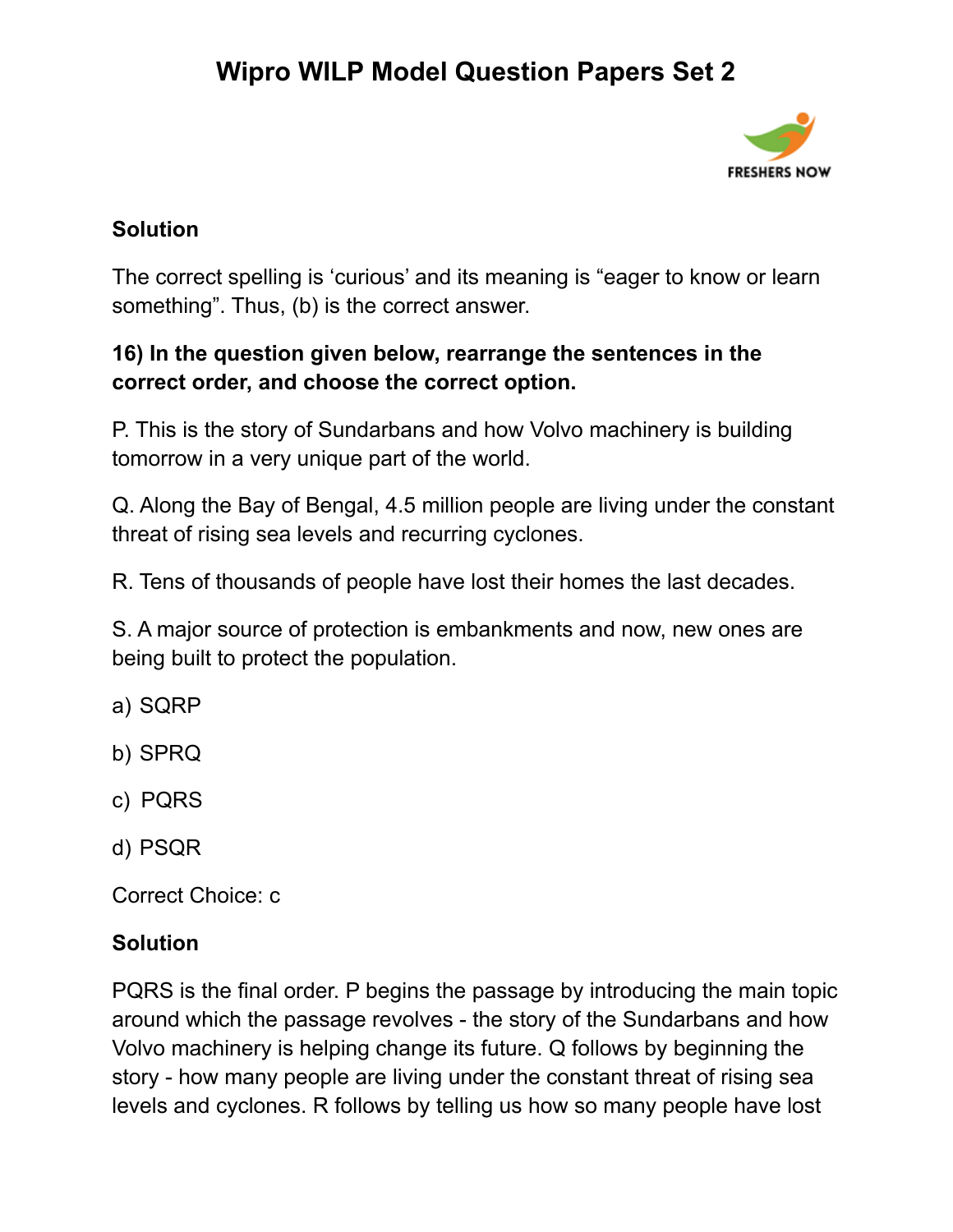

### **Solution**

The correct spelling is 'curious' and its meaning is "eager to know or learn something". Thus, (b) is the correct answer.

### **16) In the question given below, rearrange the sentences in the correct order, and choose the correct option.**

P. This is the story of Sundarbans and how Volvo machinery is building tomorrow in a very unique part of the world.

Q. Along the Bay of Bengal, 4.5 million people are living under the constant threat of rising sea levels and recurring cyclones.

R. Tens of thousands of people have lost their homes the last decades.

S. A major source of protection is embankments and now, new ones are being built to protect the population.

- a) SQRP
- b) SPRQ
- c) PQRS
- d) PSQR

Correct Choice: c

#### **Solution**

PQRS is the final order. P begins the passage by introducing the main topic around which the passage revolves - the story of the Sundarbans and how Volvo machinery is helping change its future. Q follows by beginning the story - how many people are living under the constant threat of rising sea levels and cyclones. R follows by telling us how so many people have lost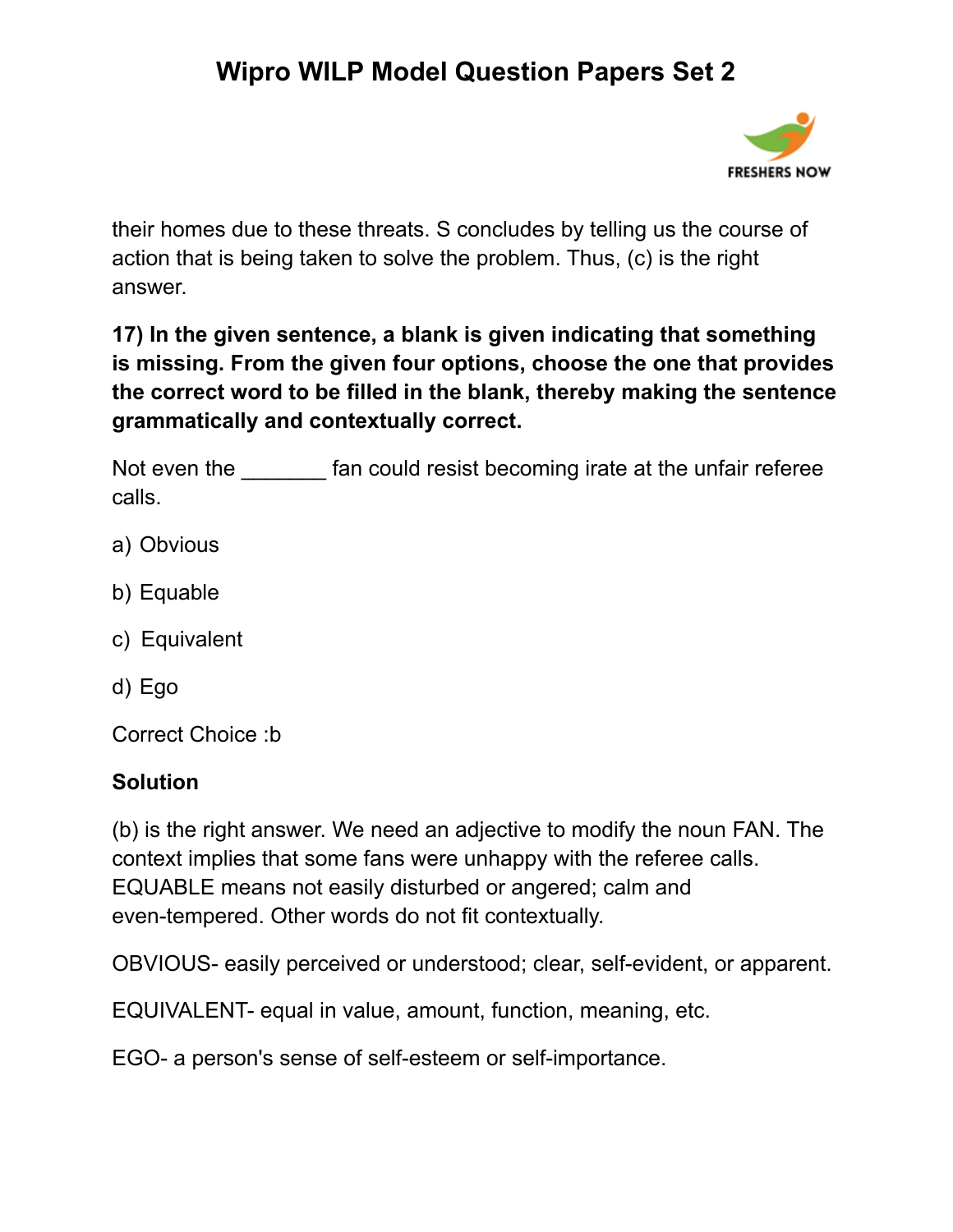

their homes due to these threats. S concludes by telling us the course of action that is being taken to solve the problem. Thus, (c) is the right answer.

**17) In the given sentence, a blank is given indicating that something is missing. From the given four options, choose the one that provides the correct word to be filled in the blank, thereby making the sentence grammatically and contextually correct.**

Not even the **EXEC frame** fan could resist becoming irate at the unfair referee calls.

- a) Obvious
- b) Equable
- c) Equivalent
- d) Ego

Correct Choice :b

#### **Solution**

(b) is the right answer. We need an adjective to modify the noun FAN. The context implies that some fans were unhappy with the referee calls. EQUABLE means not easily disturbed or angered; calm and even-tempered. Other words do not fit contextually.

OBVIOUS- easily perceived or understood; clear, self-evident, or apparent.

EQUIVALENT- equal in value, amount, function, meaning, etc.

EGO- a person's sense of self-esteem or self-importance.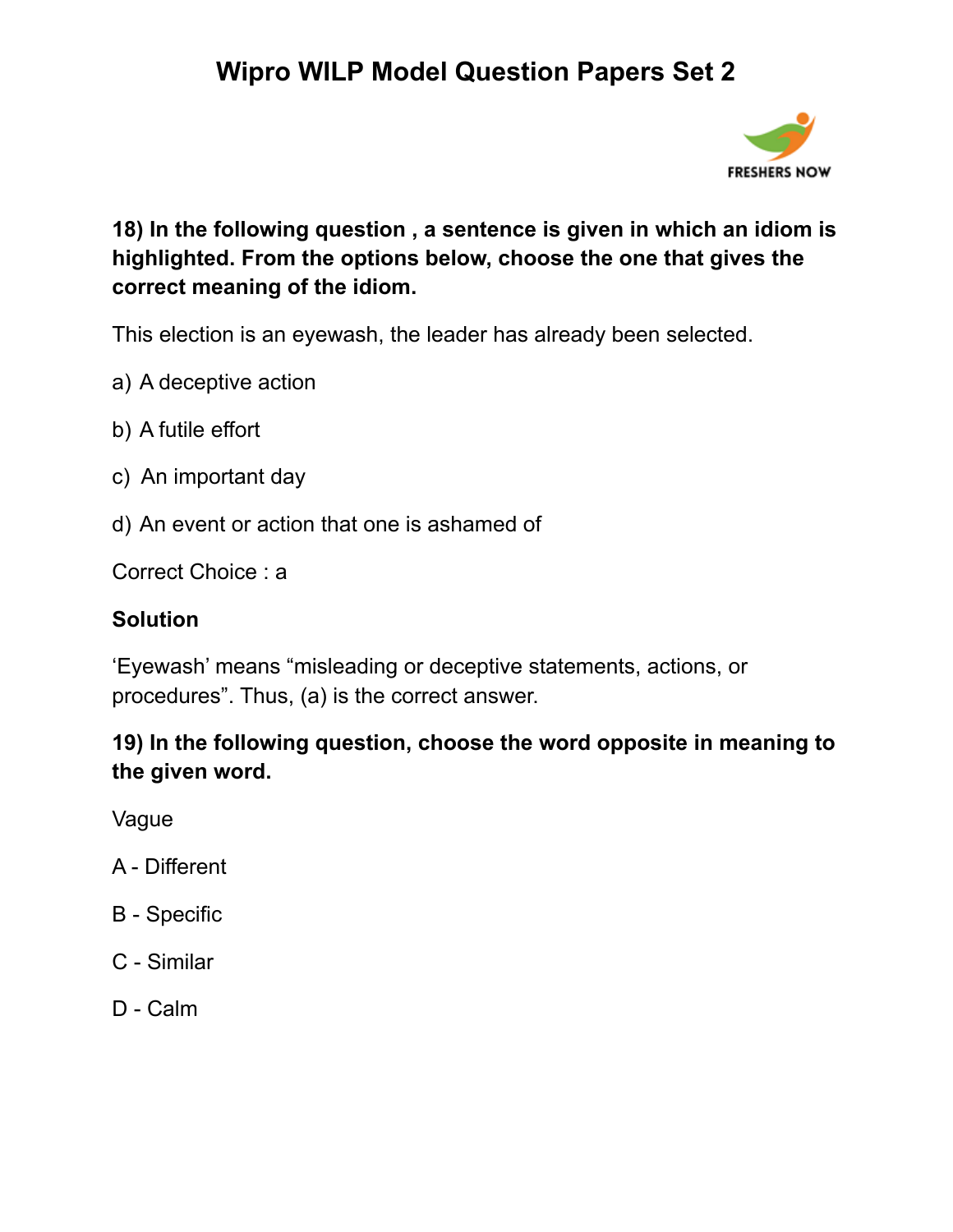

### **18) In the following question , a sentence is given in which an idiom is highlighted. From the options below, choose the one that gives the correct meaning of the idiom.**

This election is an eyewash, the leader has already been selected.

- a) A deceptive action
- b) A futile effort
- c) An important day
- d) An event or action that one is ashamed of

Correct Choice : a

### **Solution**

'Eyewash' means "misleading or deceptive statements, actions, or procedures". Thus, (a) is the correct answer.

### **19) In the following question, choose the word opposite in meaning to the given word.**

Vague

- A Different
- B Specific
- C Similar
- D Calm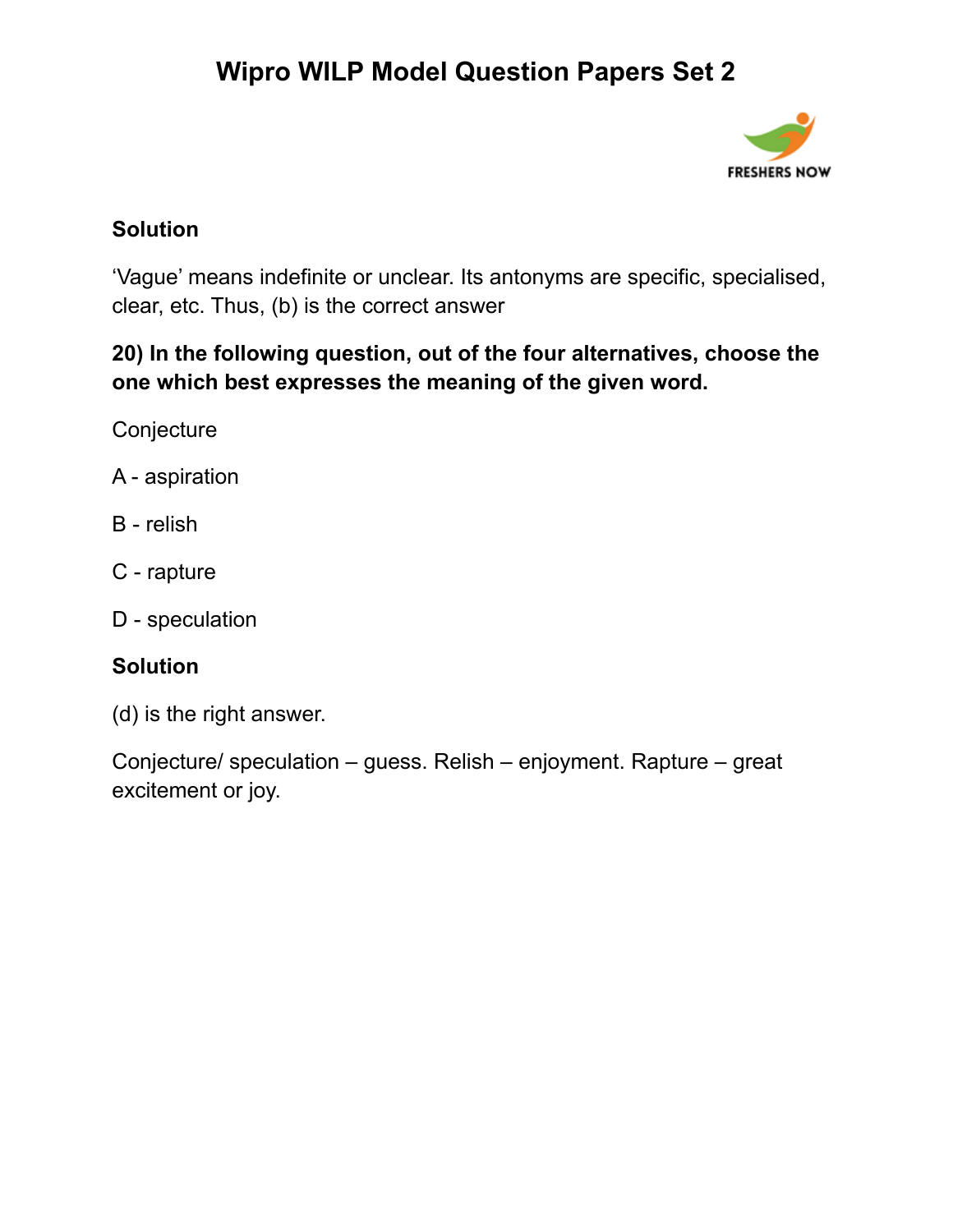

### **Solution**

'Vague' means indefinite or unclear. Its antonyms are specific, specialised, clear, etc. Thus, (b) is the correct answer

### **20) In the following question, out of the four alternatives, choose the one which best expresses the meaning of the given word.**

**Conjecture** 

- A aspiration
- B relish
- C rapture
- D speculation

### **Solution**

(d) is the right answer.

Conjecture/ speculation – guess. Relish – enjoyment. Rapture – great excitement or joy.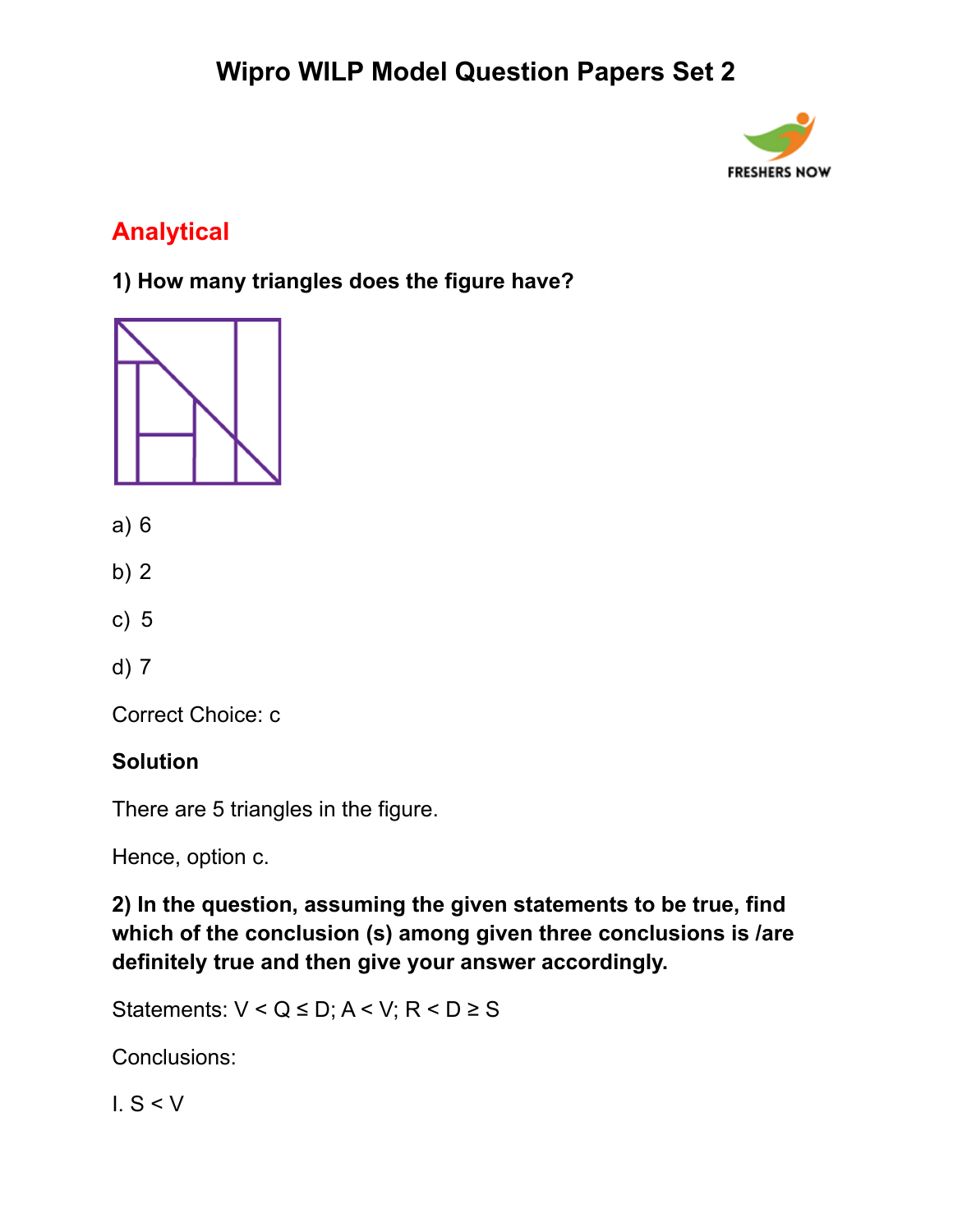

## **Analytical**

**1) How many triangles does the figure have?**



- a) 6
- b) 2
- c) 5
- d) 7

Correct Choice: c

### **Solution**

There are 5 triangles in the figure.

Hence, option c.

**2) In the question, assuming the given statements to be true, find which of the conclusion (s) among given three conclusions is /are definitely true and then give your answer accordingly.**

Statements:  $V < Q \le D$ ;  $A < V$ ;  $R < D \ge S$ 

Conclusions:

I. S < V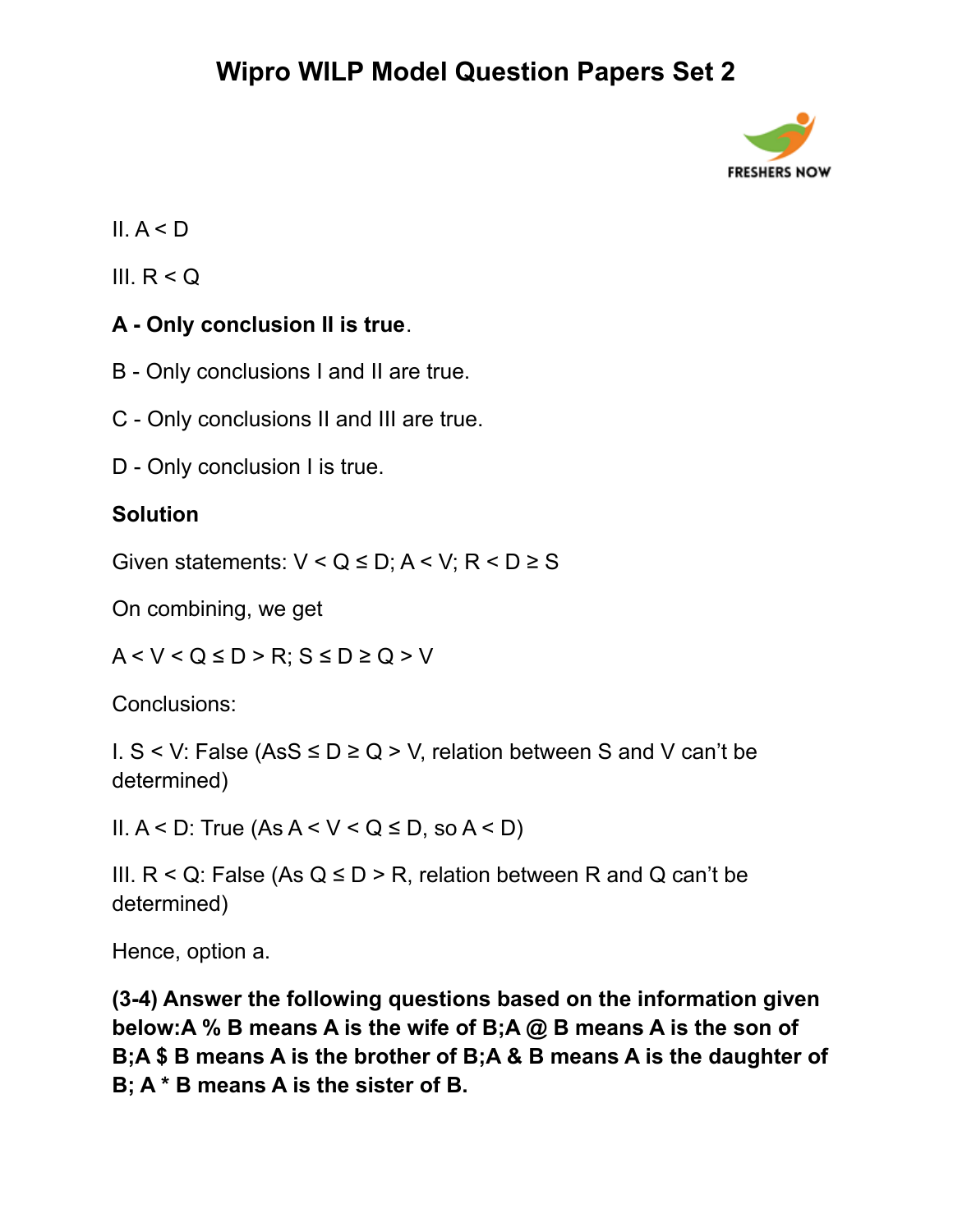

### II.  $A < D$

III.  $R < Q$ 

### **A - Only conclusion II is true**.

- B Only conclusions I and II are true.
- C Only conclusions II and III are true.
- D Only conclusion I is true.

### **Solution**

Given statements:  $V < Q \le D$ ;  $A < V$ ;  $R < D \ge S$ 

On combining, we get

 $A < V < Q \le D > R$ ;  $S \le D \ge Q > V$ 

Conclusions:

I. S < V: False (AsS ≤ D ≥ Q > V, relation between S and V can't be determined)

II.  $A < D$ : True  $(As A < V < Q \le D, so A < D)$ 

III.  $R < Q$ : False (As  $Q \le D > R$ , relation between R and Q can't be determined)

Hence, option a.

**(3-4) Answer the following questions based on the information given below:A % B means A is the wife of B;A @ B means A is the son of B;A \$ B means A is the brother of B;A & B means A is the daughter of B; A \* B means A is the sister of B.**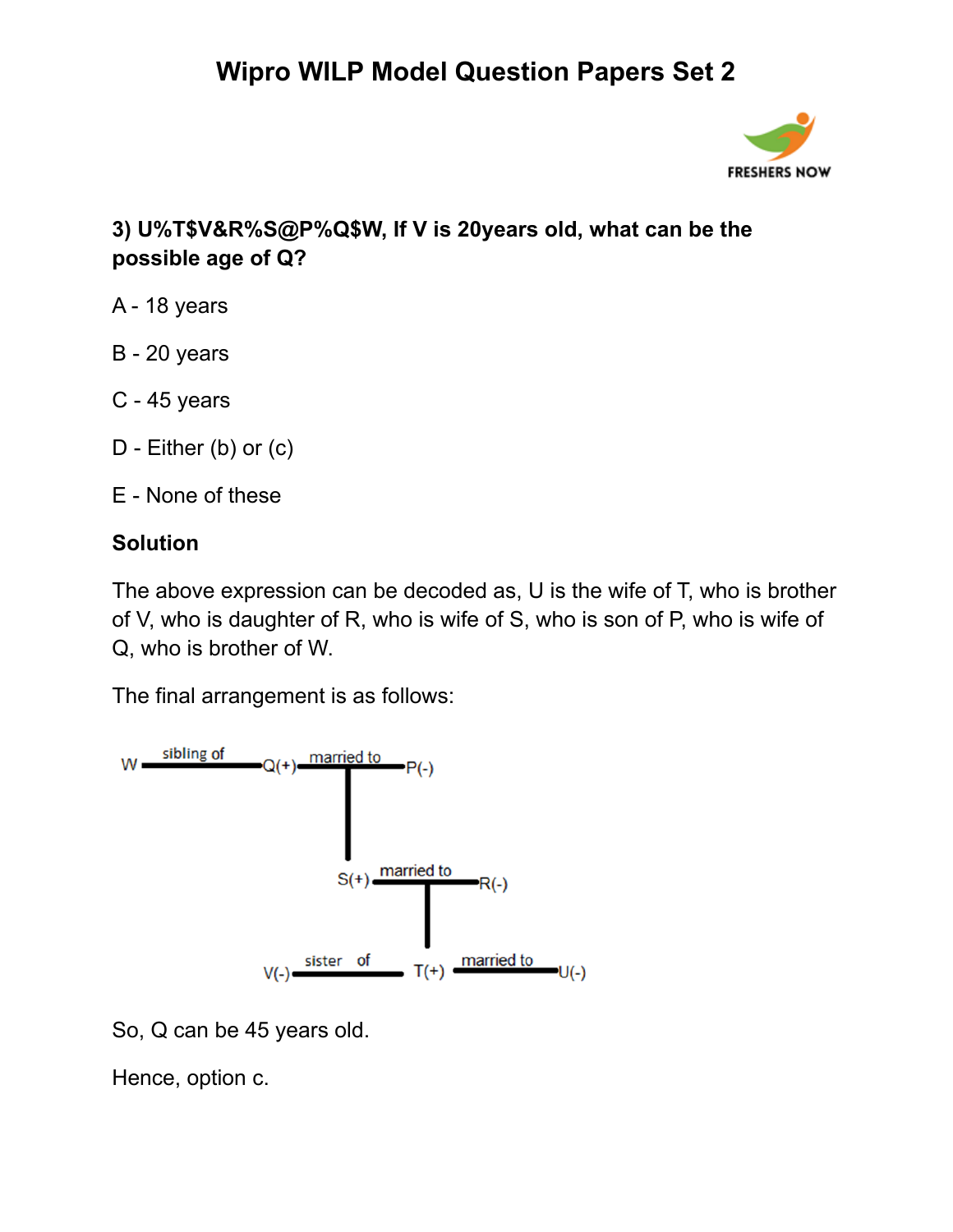

### **3) U%T\$V&R%S@P%Q\$W, If V is 20years old, what can be the possible age of Q?**

- A 18 years
- B 20 years
- C 45 years
- D Either (b) or (c)
- E None of these

### **Solution**

The above expression can be decoded as, U is the wife of T, who is brother of V, who is daughter of R, who is wife of S, who is son of P, who is wife of Q, who is brother of W.

The final arrangement is as follows:



So, Q can be 45 years old.

Hence, option c.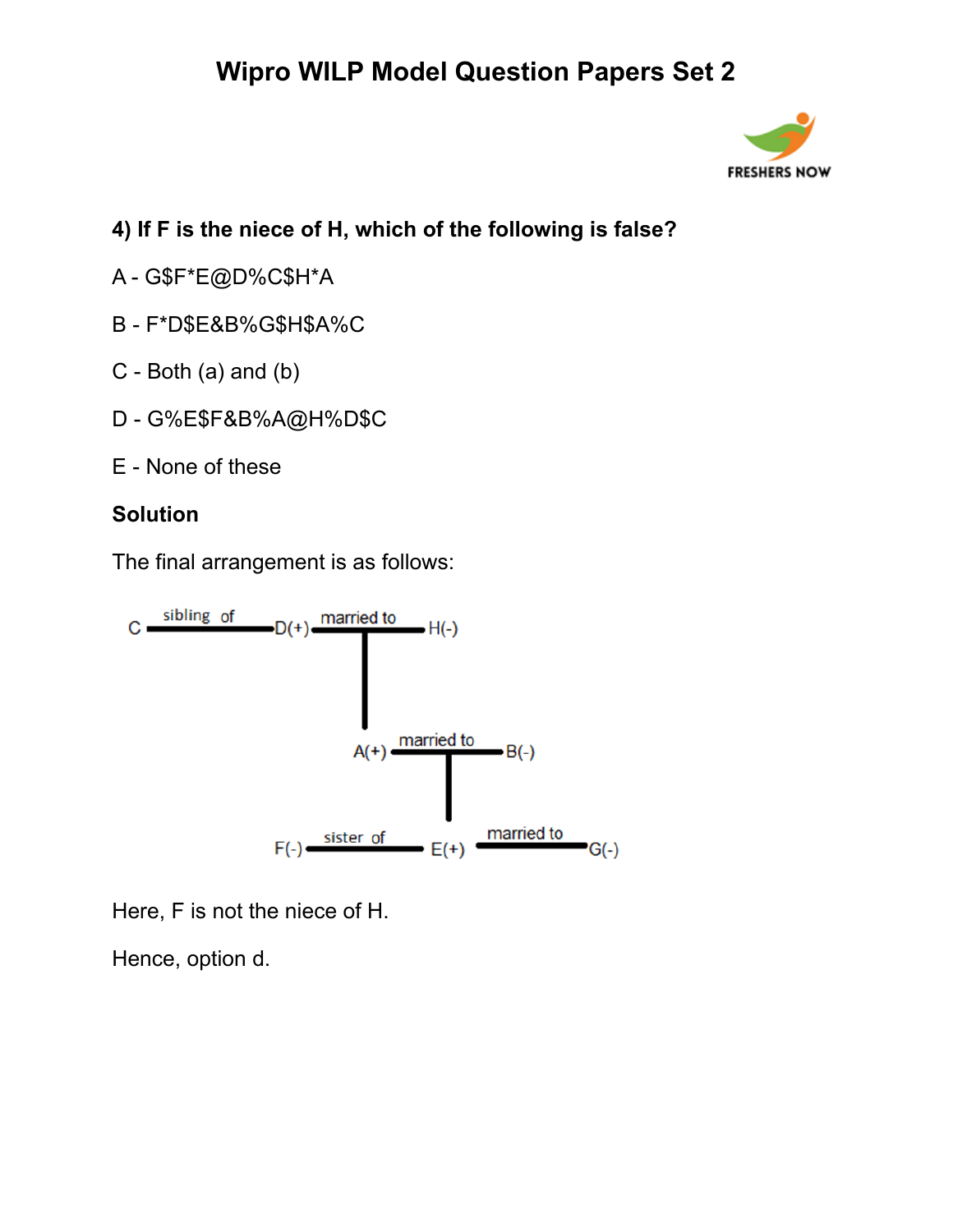

### **4) If F is the niece of H, which of the following is false?**

- A G\$F\*E@D%C\$H\*A
- B F\*D\$E&B%G\$H\$A%C
- C Both (a) and (b)
- D G%E\$F&B%A@H%D\$C
- E None of these

#### **Solution**

The final arrangement is as follows:



Here, F is not the niece of H.

Hence, option d.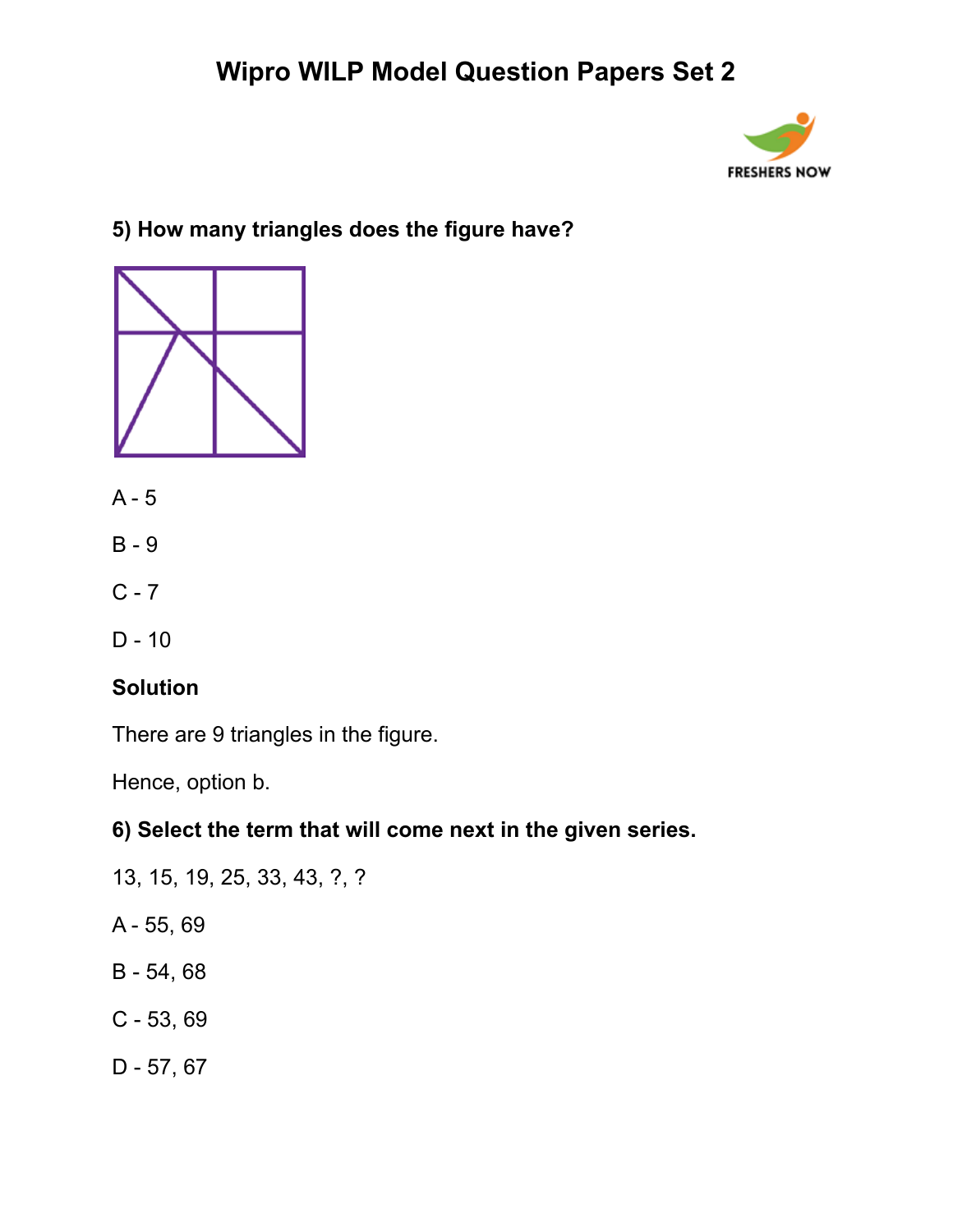

### **5) How many triangles does the figure have?**



- A 5
- B 9
- $C 7$
- D 10

#### **Solution**

There are 9 triangles in the figure.

Hence, option b.

#### **6) Select the term that will come next in the given series.**

- 13, 15, 19, 25, 33, 43, ?, ?
- A 55, 69
- B 54, 68
- C 53, 69
- D 57, 67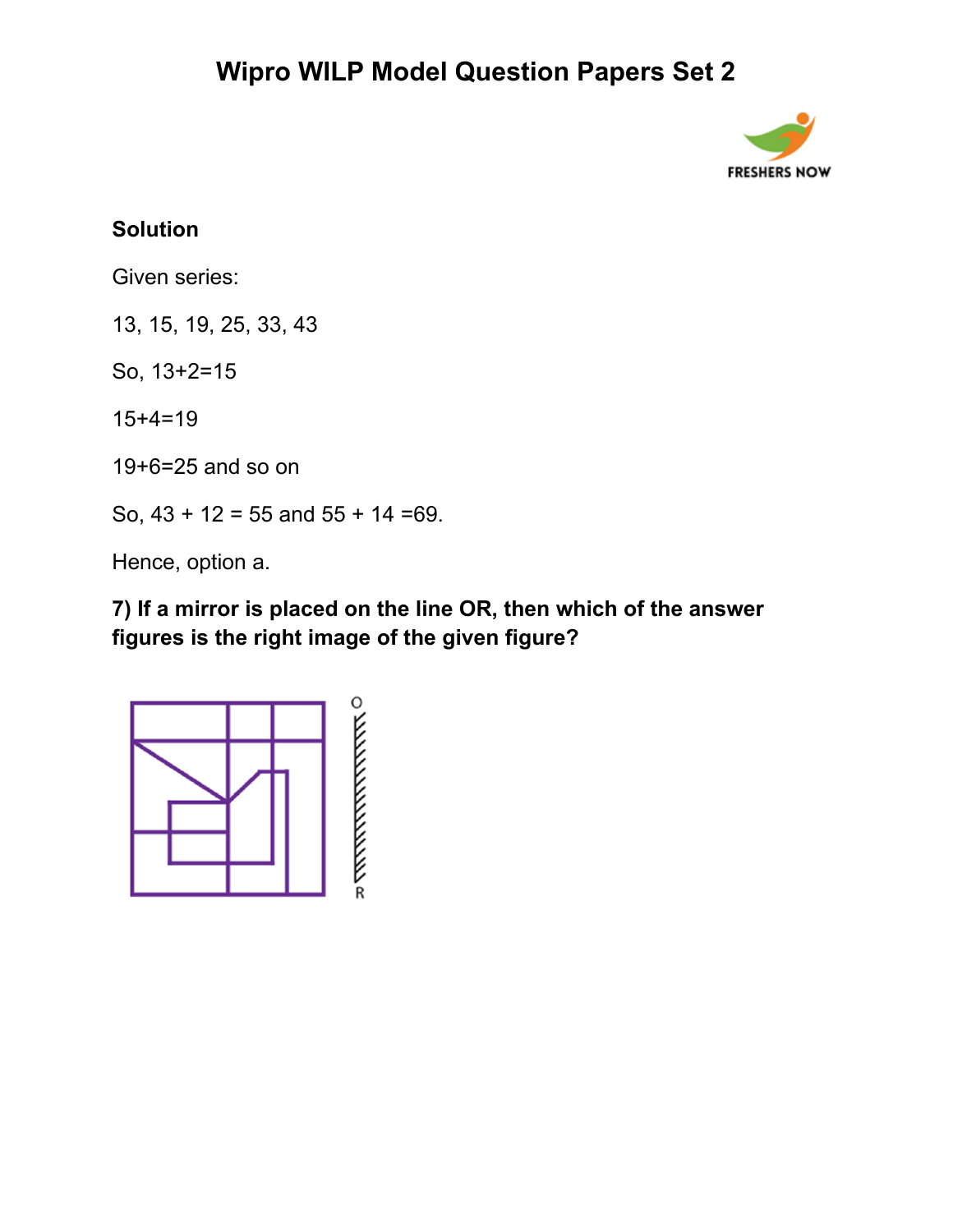

### **Solution**

Given series:

13, 15, 19, 25, 33, 43

So, 13+2=15

15+4=19

19+6=25 and so on

So,  $43 + 12 = 55$  and  $55 + 14 = 69$ .

Hence, option a.

**7) If a mirror is placed on the line OR, then which of the answer figures is the right image of the given figure?**

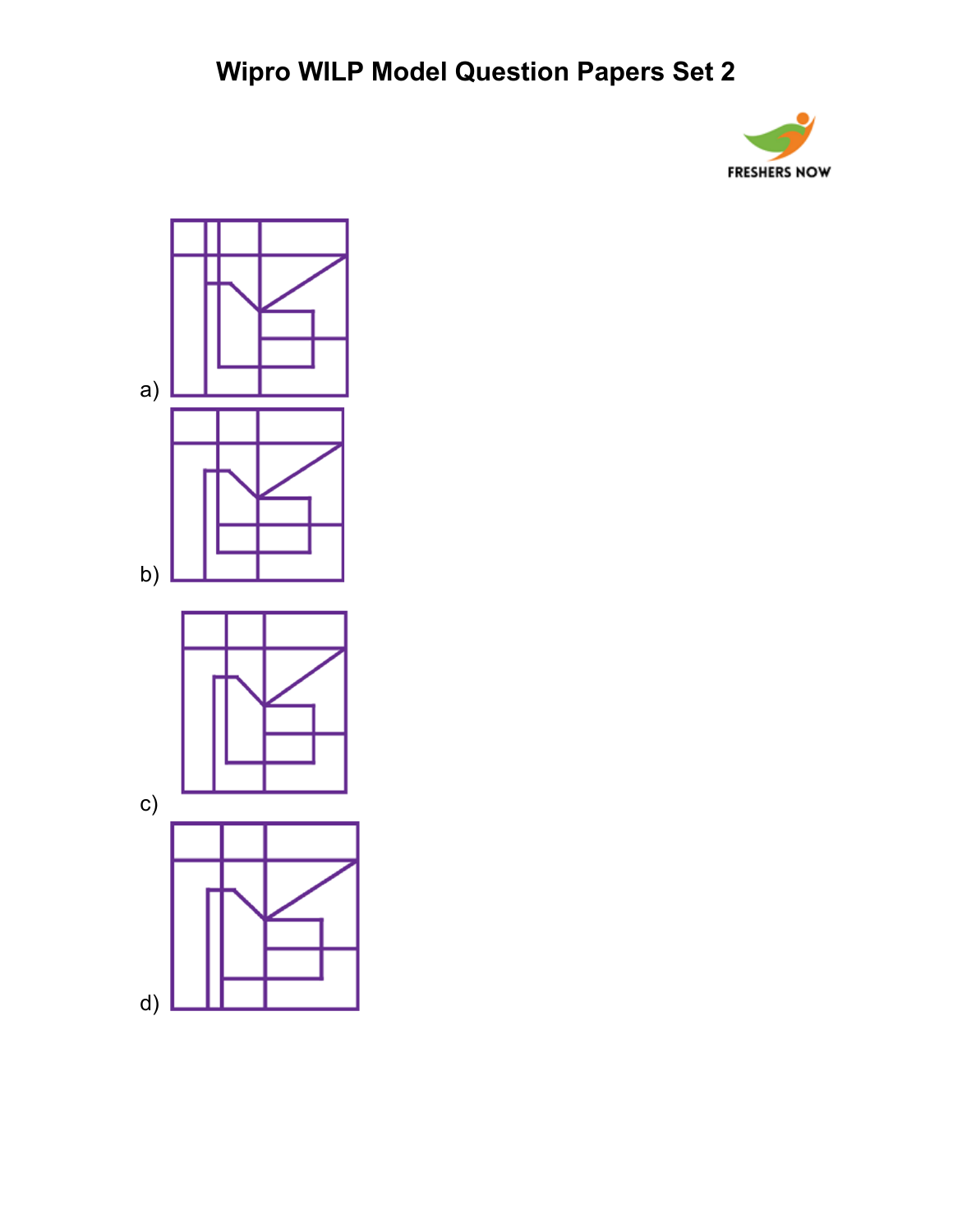

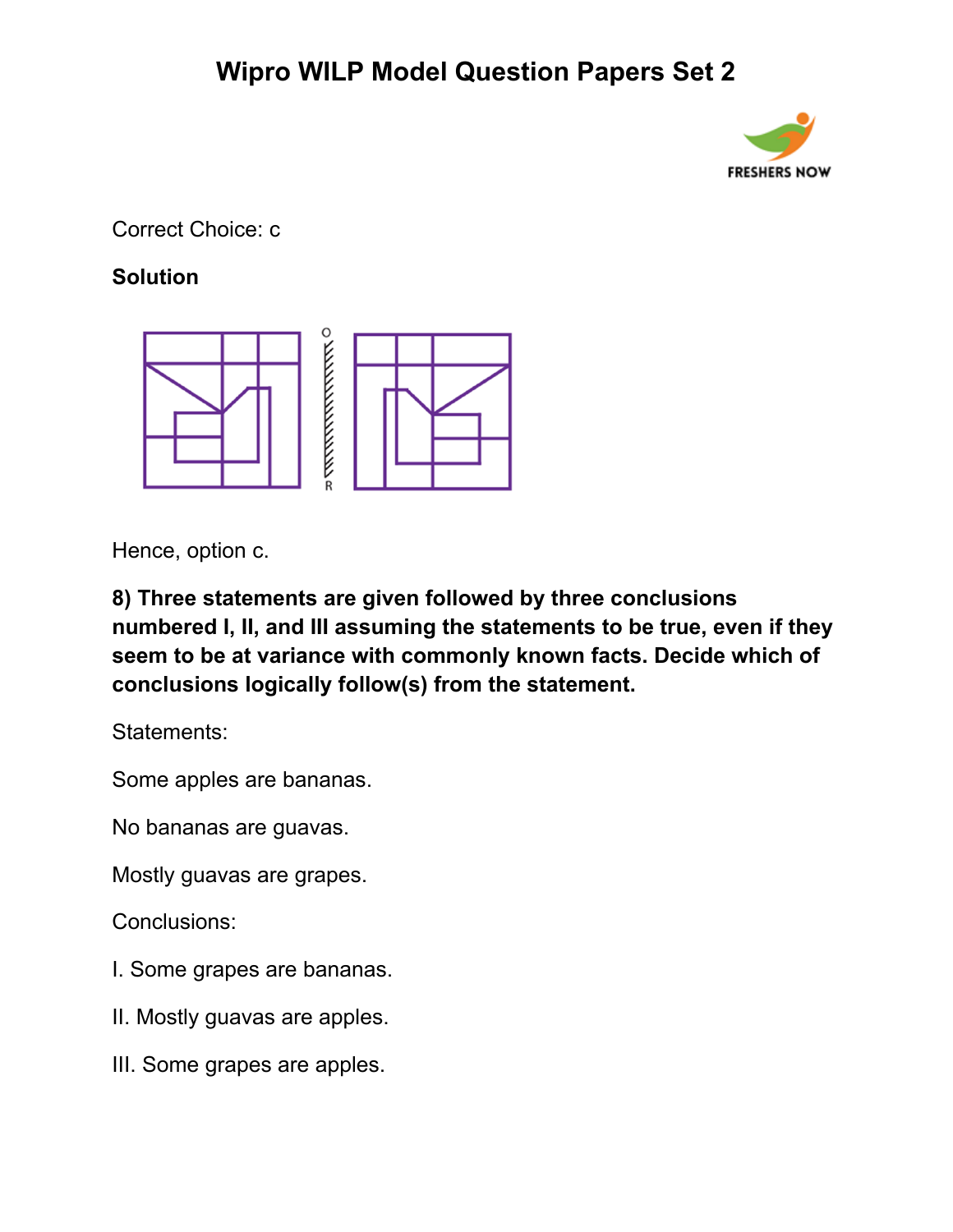

Correct Choice: c

### **Solution**



Hence, option c.

**8) Three statements are given followed by three conclusions numbered I, II, and III assuming the statements to be true, even if they seem to be at variance with commonly known facts. Decide which of conclusions logically follow(s) from the statement.**

Statements:

Some apples are bananas.

No bananas are guavas.

Mostly guavas are grapes.

Conclusions:

- I. Some grapes are bananas.
- II. Mostly guavas are apples.
- III. Some grapes are apples.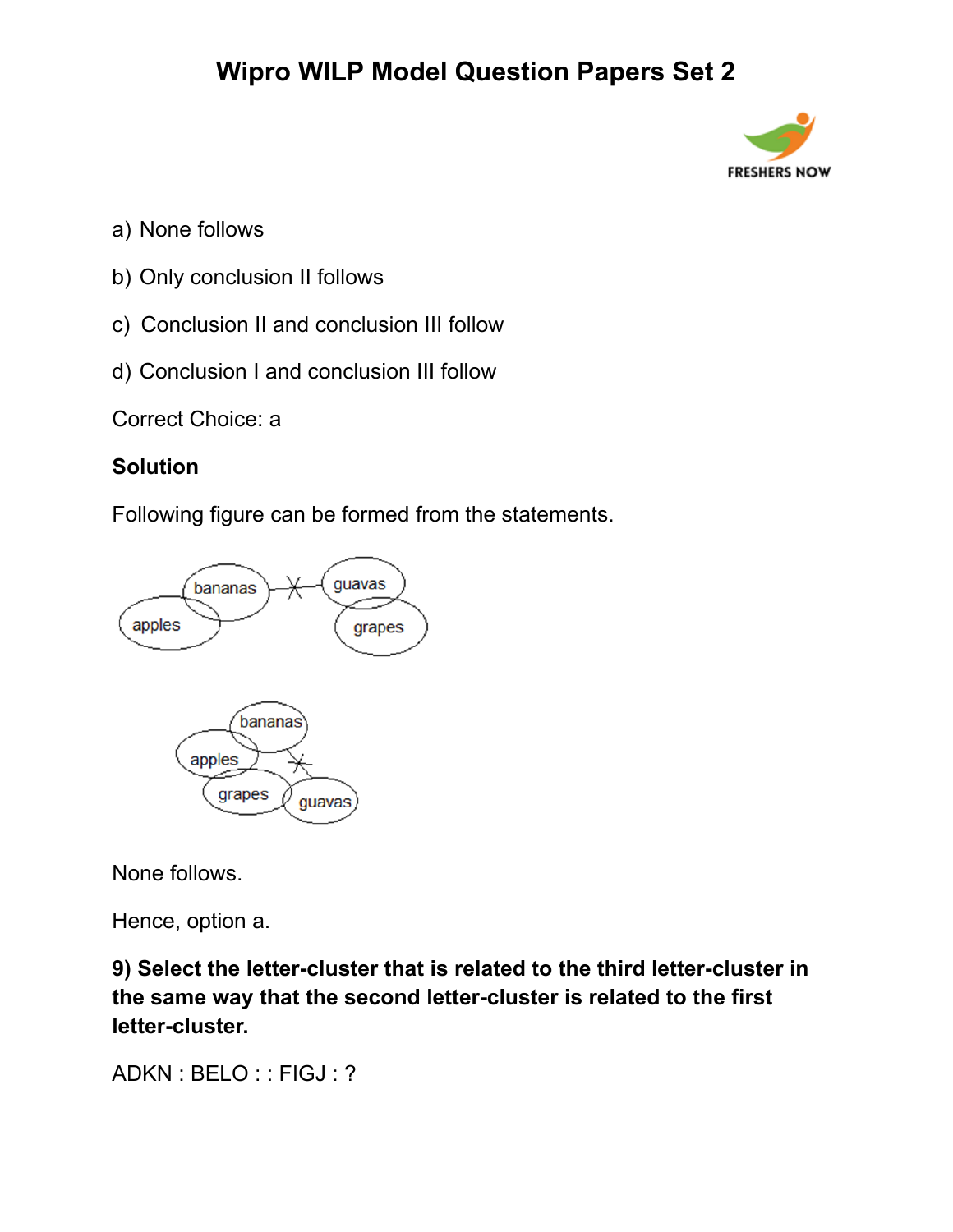

- a) None follows
- b) Only conclusion II follows
- c) Conclusion II and conclusion III follow
- d) Conclusion I and conclusion III follow

Correct Choice: a

#### **Solution**

Following figure can be formed from the statements.



None follows.

Hence, option a.

**9) Select the letter-cluster that is related to the third letter-cluster in the same way that the second letter-cluster is related to the first letter-cluster.**

ADKN : BELO : : FIGJ : ?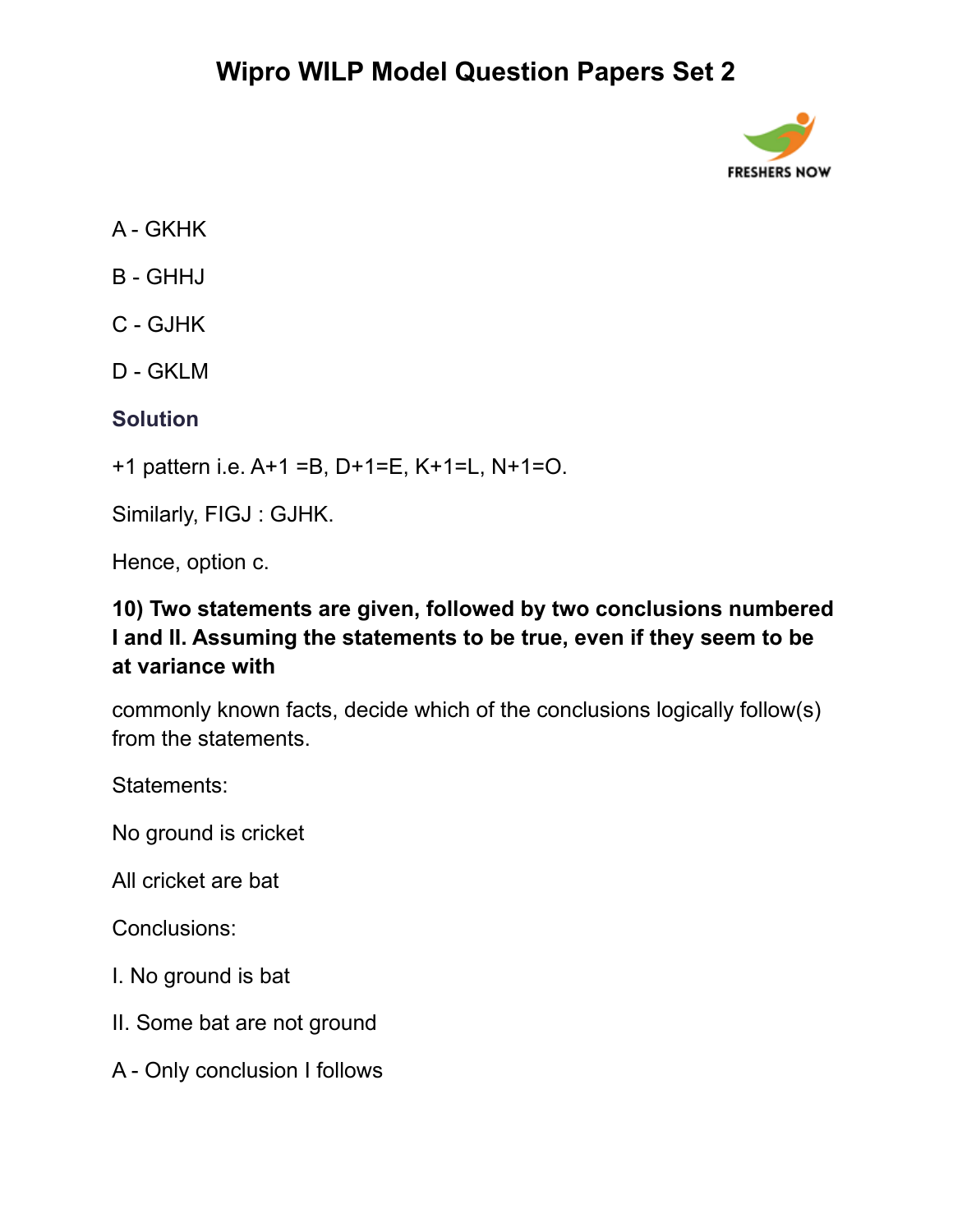

- A GKHK
- B GHHJ
- C GJHK
- D GKLM

#### **Solution**

+1 pattern i.e. A+1 =B, D+1=E, K+1=L, N+1=O.

Similarly, FIGJ : GJHK.

Hence, option c.

### **10) Two statements are given, followed by two conclusions numbered I and II. Assuming the statements to be true, even if they seem to be at variance with**

commonly known facts, decide which of the conclusions logically follow(s) from the statements.

Statements:

No ground is cricket

All cricket are bat

Conclusions:

- I. No ground is bat
- II. Some bat are not ground
- A Only conclusion I follows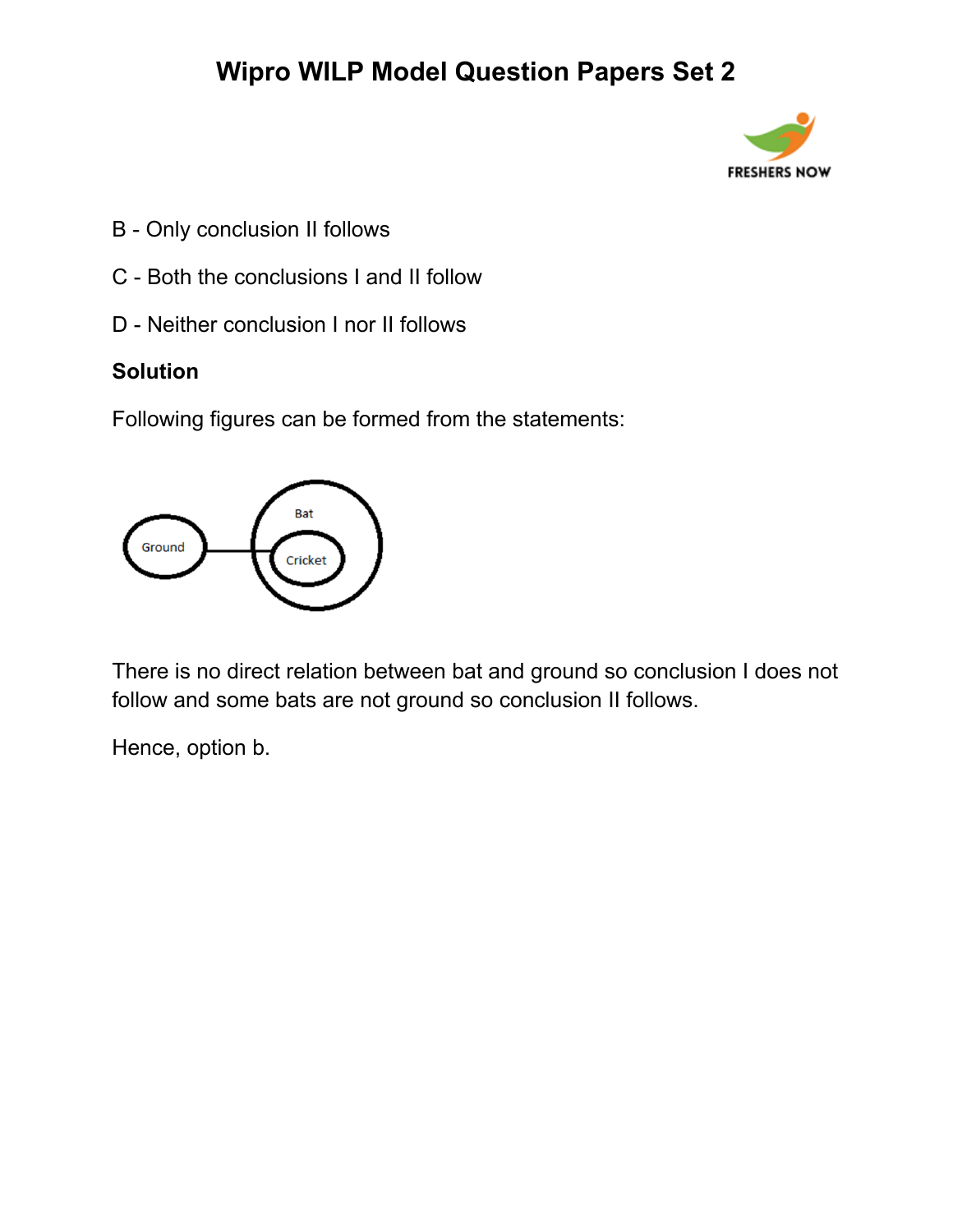

- B Only conclusion II follows
- C Both the conclusions I and II follow
- D Neither conclusion I nor II follows

#### **Solution**

Following figures can be formed from the statements:



There is no direct relation between bat and ground so conclusion I does not follow and some bats are not ground so conclusion II follows.

Hence, option b.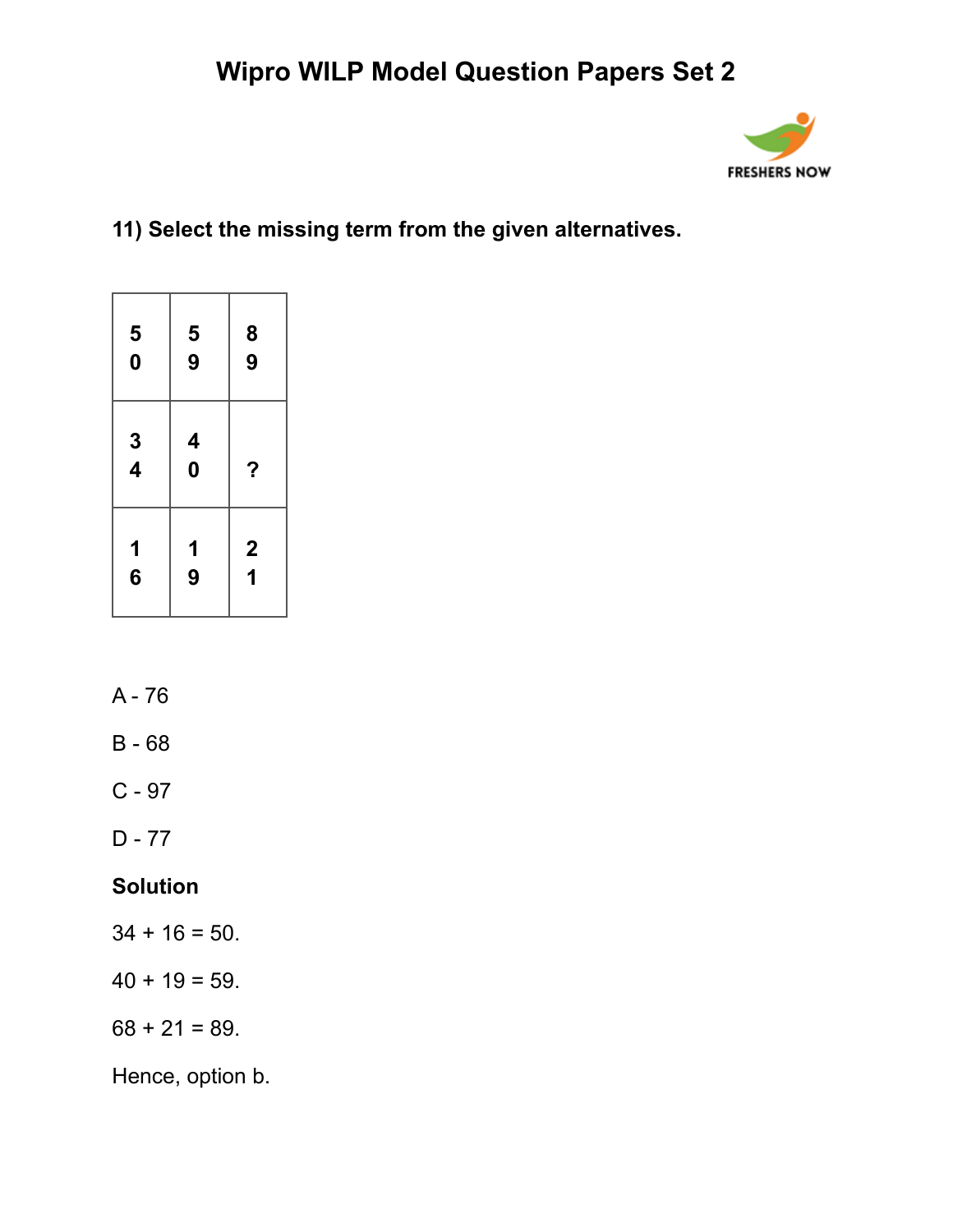

## **11) Select the missing term from the given alternatives.**

| 5<br>0        | 5<br>9            | $\begin{array}{c} 8 \\ 9 \end{array}$              |
|---------------|-------------------|----------------------------------------------------|
| $\frac{3}{4}$ | 4<br>0            | ?                                                  |
| 1<br>6        | $\mathbf{1}$<br>9 | $\overline{\mathbf{c}}$<br>$\overline{\mathbf{1}}$ |

- A 76
- B 68
- C 97
- D 77

### **Solution**

- $34 + 16 = 50$ .
- $40 + 19 = 59$ .
- $68 + 21 = 89.$

Hence, option b.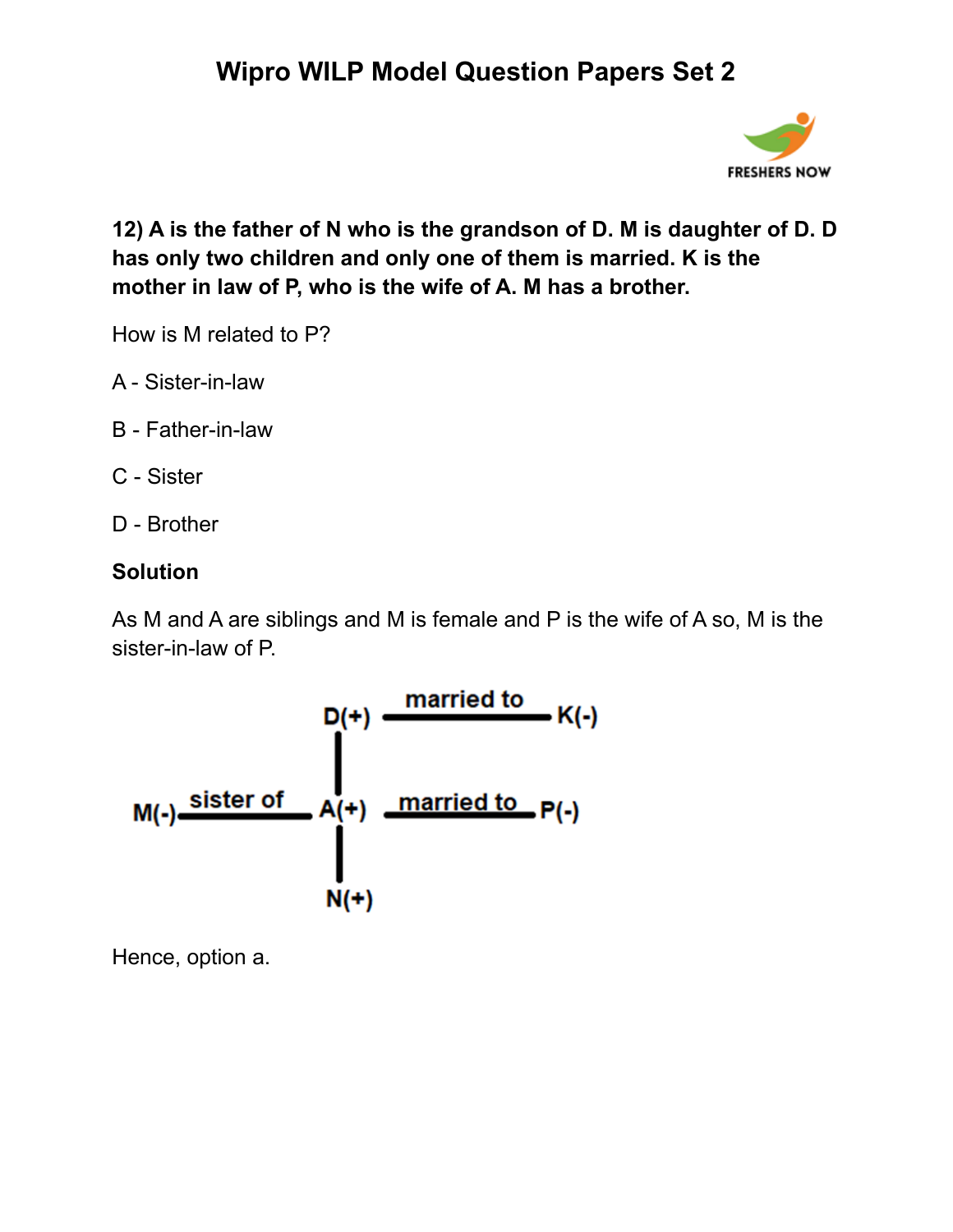

**12) A is the father of N who is the grandson of D. M is daughter of D. D has only two children and only one of them is married. K is the mother in law of P, who is the wife of A. M has a brother.**

How is M related to P?

- A Sister-in-law
- B Father-in-law
- C Sister
- D Brother

### **Solution**

As M and A are siblings and M is female and P is the wife of A so, M is the sister-in-law of P.



Hence, option a.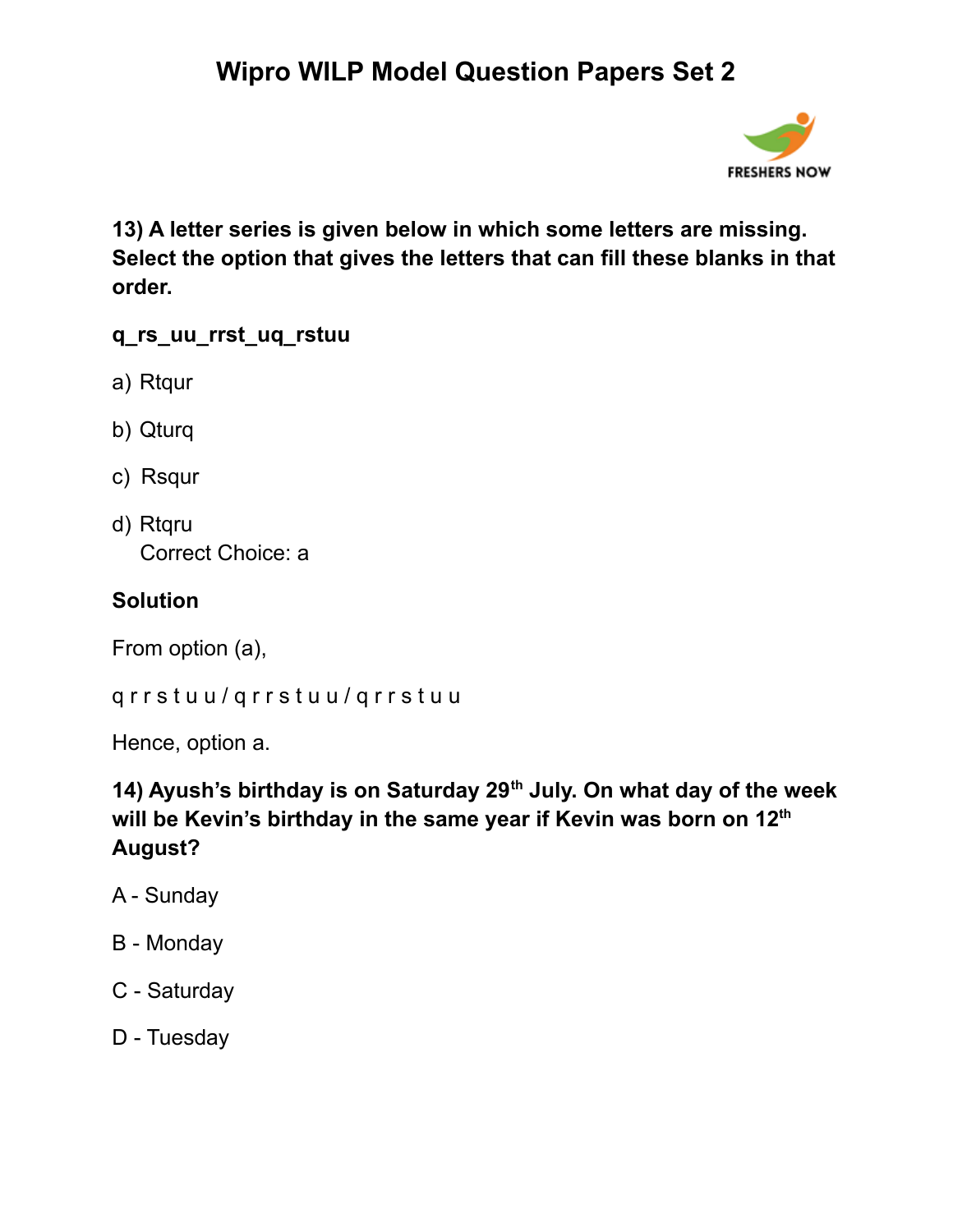

**13) A letter series is given below in which some letters are missing. Select the option that gives the letters that can fill these blanks in that order.**

#### **q\_rs\_uu\_rrst\_uq\_rstuu**

- a) Rtqur
- b) Qturq
- c) Rsqur
- d) Rtqru Correct Choice: a

#### **Solution**

From option (a),

q r r s t u u / q r r s t u u / q r r s t u u

Hence, option a.

### **14) Ayush's birthday is on Saturday 29 th July. On what day of the week will be Kevin's birthday in the same year if Kevin was born on 12 th August?**

- A Sunday
- B Monday
- C Saturday
- D Tuesday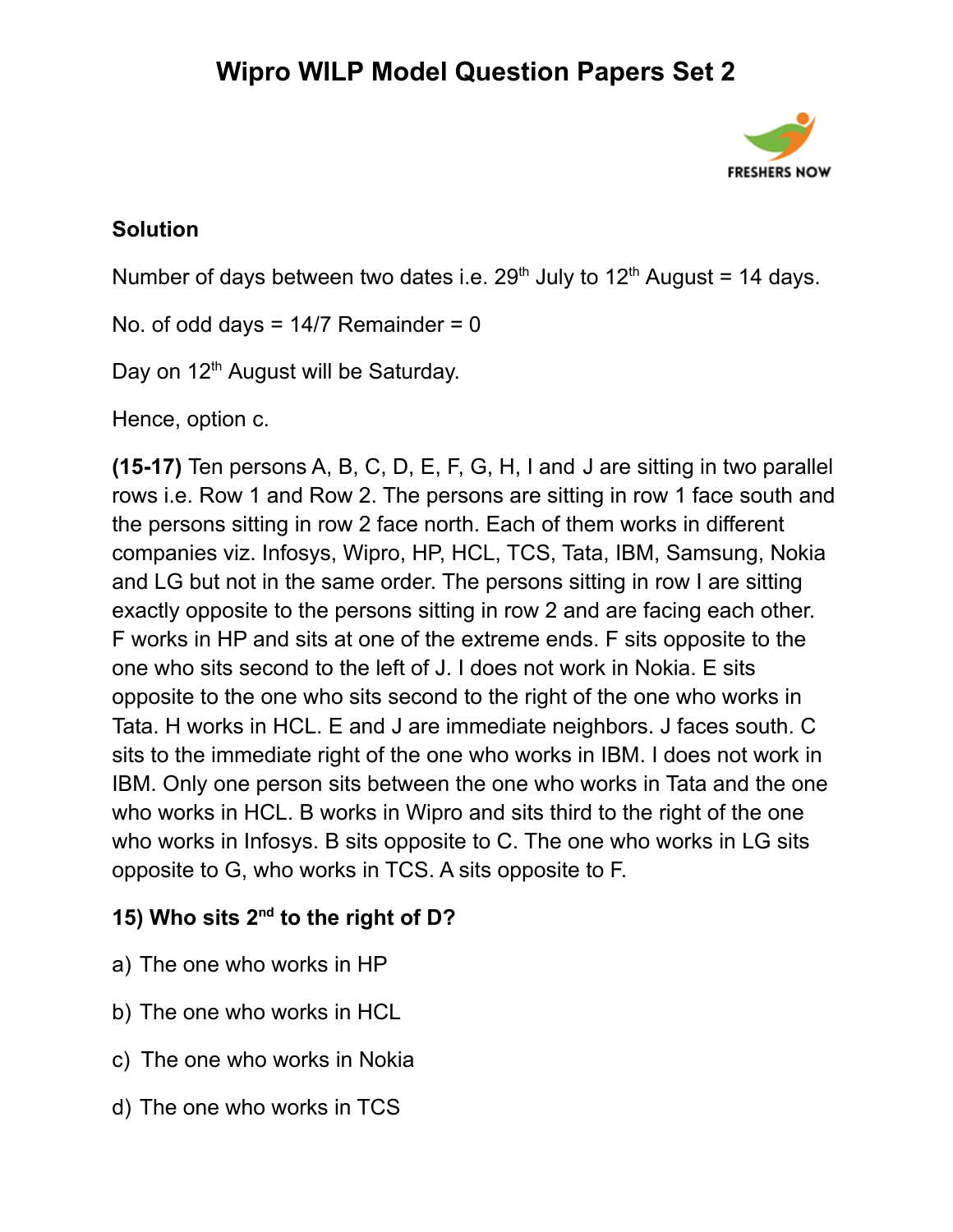

#### **Solution**

Number of days between two dates i.e.  $29<sup>th</sup>$  July to 12<sup>th</sup> August = 14 days.

No. of odd days =  $14/7$  Remainder = 0

Day on 12<sup>th</sup> August will be Saturday.

Hence, option c.

**(15-17)** Ten persons A, B, C, D, E, F, G, H, I and J are sitting in two parallel rows i.e. Row 1 and Row 2. The persons are sitting in row 1 face south and the persons sitting in row 2 face north. Each of them works in different companies viz. Infosys, Wipro, HP, HCL, TCS, Tata, IBM, Samsung, Nokia and LG but not in the same order. The persons sitting in row I are sitting exactly opposite to the persons sitting in row 2 and are facing each other. F works in HP and sits at one of the extreme ends. F sits opposite to the one who sits second to the left of J. I does not work in Nokia. E sits opposite to the one who sits second to the right of the one who works in Tata. H works in HCL. E and J are immediate neighbors. J faces south. C sits to the immediate right of the one who works in IBM. I does not work in IBM. Only one person sits between the one who works in Tata and the one who works in HCL. B works in Wipro and sits third to the right of the one who works in Infosys. B sits opposite to C. The one who works in LG sits opposite to G, who works in TCS. A sits opposite to F.

### **15) Who sits 2 nd to the right of D?**

- a) The one who works in HP
- b) The one who works in HCL
- c) The one who works in Nokia
- d) The one who works in TCS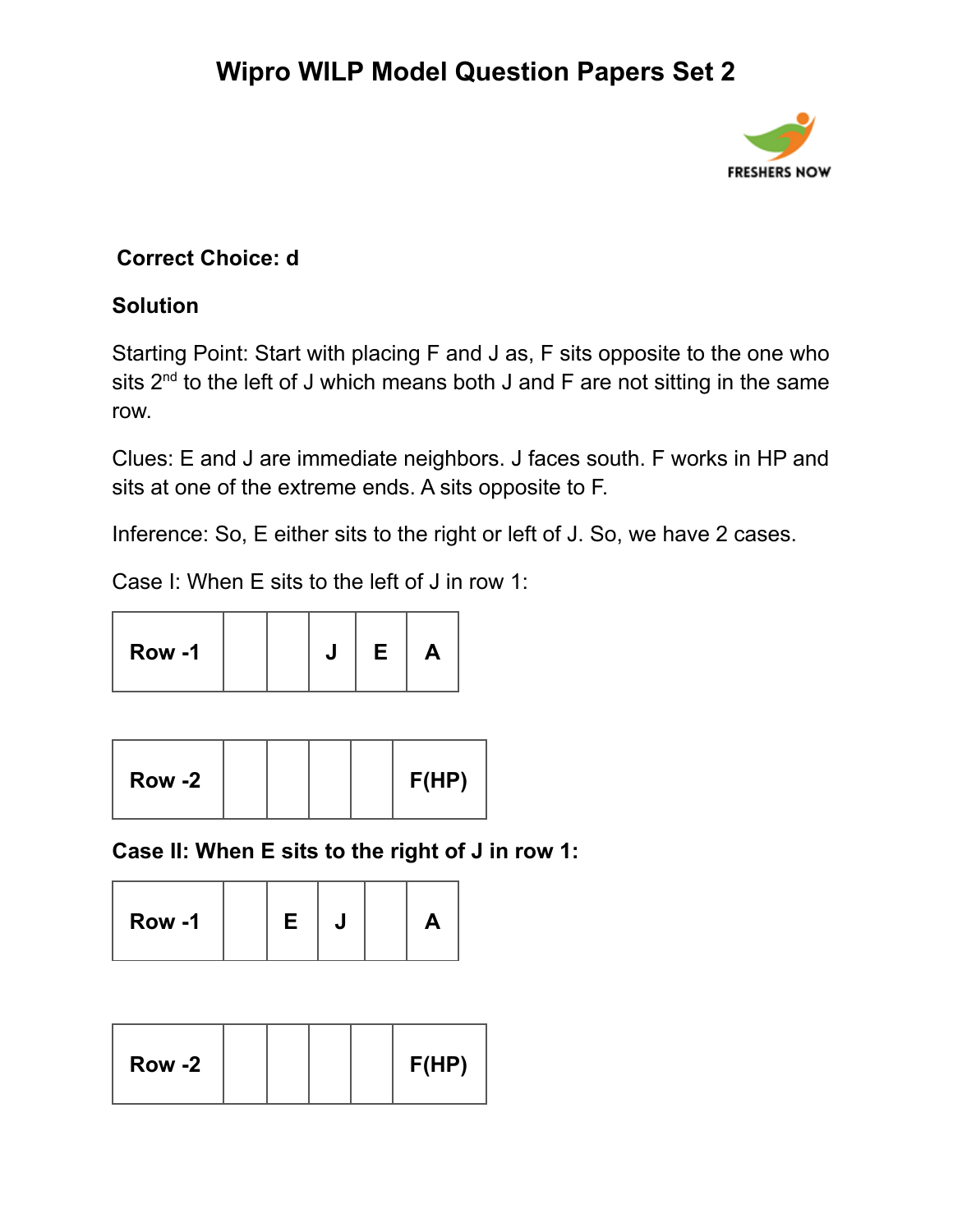

### **Correct Choice: d**

#### **Solution**

Starting Point: Start with placing F and J as, F sits opposite to the one who sits  $2^{nd}$  to the left of J which means both J and F are not sitting in the same row.

Clues: E and J are immediate neighbors. J faces south. F works in HP and sits at one of the extreme ends. A sits opposite to F.

Inference: So, E either sits to the right or left of J. So, we have 2 cases.

Case I: When E sits to the left of J in row 1:

| Row -1 |  | Е | A |  |
|--------|--|---|---|--|
|--------|--|---|---|--|

| Row -2 |  |  |  | F(HP) |
|--------|--|--|--|-------|
|--------|--|--|--|-------|

**Case II: When E sits to the right of J in row 1:**

| Row -1 |  | E |  |  | ₩ |  |
|--------|--|---|--|--|---|--|
|--------|--|---|--|--|---|--|

| <b>Row -2</b> |  |  |  | F(HP) |
|---------------|--|--|--|-------|
|---------------|--|--|--|-------|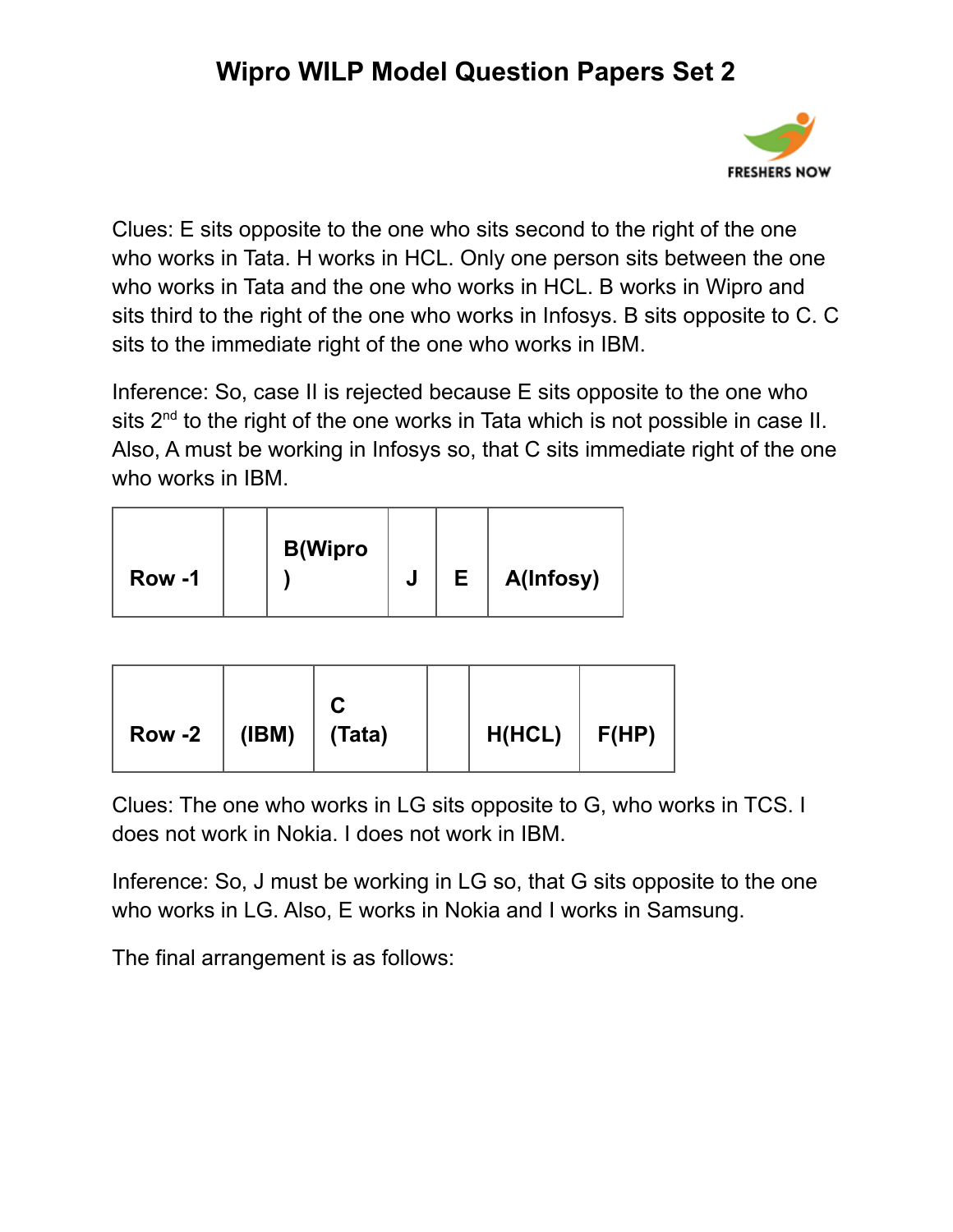

Clues: E sits opposite to the one who sits second to the right of the one who works in Tata. H works in HCL. Only one person sits between the one who works in Tata and the one who works in HCL. B works in Wipro and sits third to the right of the one who works in Infosys. B sits opposite to C. C sits to the immediate right of the one who works in IBM.

Inference: So, case II is rejected because E sits opposite to the one who sits  $2<sup>nd</sup>$  to the right of the one works in Tata which is not possible in case II. Also, A must be working in Infosys so, that C sits immediate right of the one who works in IBM.

| Row -1 | <b>B</b> (Wipro | u | Е | A(Infosy) |
|--------|-----------------|---|---|-----------|
|--------|-----------------|---|---|-----------|

| Row -2 $\mid$ (IBM) $\mid$ (Tata) | $H(HCL)$ $F(HP)$ |  |
|-----------------------------------|------------------|--|
|-----------------------------------|------------------|--|

Clues: The one who works in LG sits opposite to G, who works in TCS. I does not work in Nokia. I does not work in IBM.

Inference: So, J must be working in LG so, that G sits opposite to the one who works in LG. Also, E works in Nokia and I works in Samsung.

The final arrangement is as follows: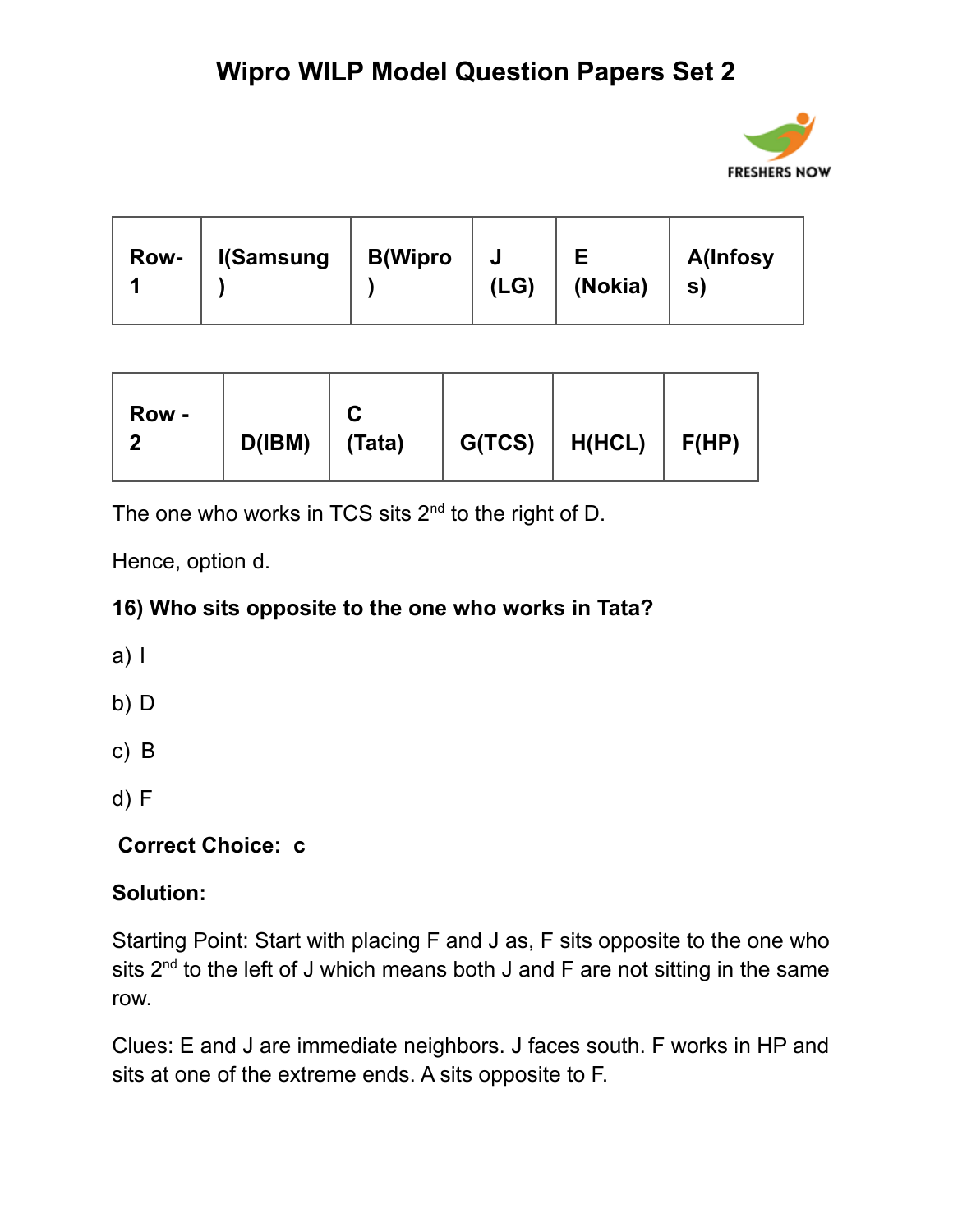

| <b>Row-</b> | <b>I</b> (Samsung | <b>B</b> (Wipro | J<br>(LG) | (Nokia) | <b>A</b> (Infosy<br>S) |
|-------------|-------------------|-----------------|-----------|---------|------------------------|
|-------------|-------------------|-----------------|-----------|---------|------------------------|

The one who works in TCS sits  $2<sup>nd</sup>$  to the right of D.

Hence, option d.

### **16) Who sits opposite to the one who works in Tata?**

a) I

b) D

c) B

d) F

**Correct Choice: c**

### **Solution:**

Starting Point: Start with placing F and J as, F sits opposite to the one who sits  $2^{nd}$  to the left of J which means both J and F are not sitting in the same row.

Clues: E and J are immediate neighbors. J faces south. F works in HP and sits at one of the extreme ends. A sits opposite to F.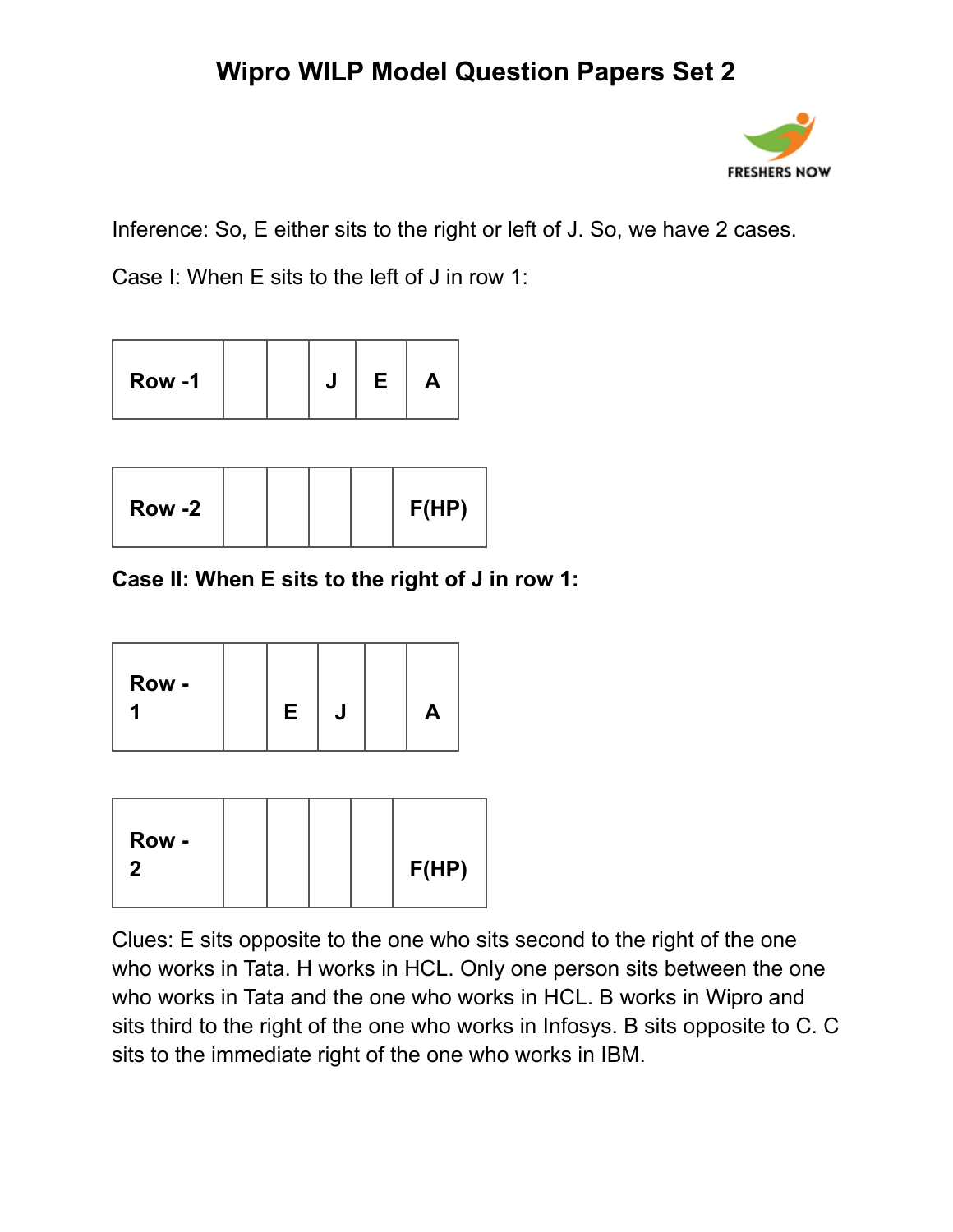

Inference: So, E either sits to the right or left of J. So, we have 2 cases.

Case I: When E sits to the left of J in row 1:

| Row -1<br>Е |  |
|-------------|--|
|-------------|--|

| Row -2 |  |  |  |  | F(HP) |
|--------|--|--|--|--|-------|
|--------|--|--|--|--|-------|

**Case II: When E sits to the right of J in row 1:**

Clues: E sits opposite to the one who sits second to the right of the one who works in Tata. H works in HCL. Only one person sits between the one who works in Tata and the one who works in HCL. B works in Wipro and sits third to the right of the one who works in Infosys. B sits opposite to C. C sits to the immediate right of the one who works in IBM.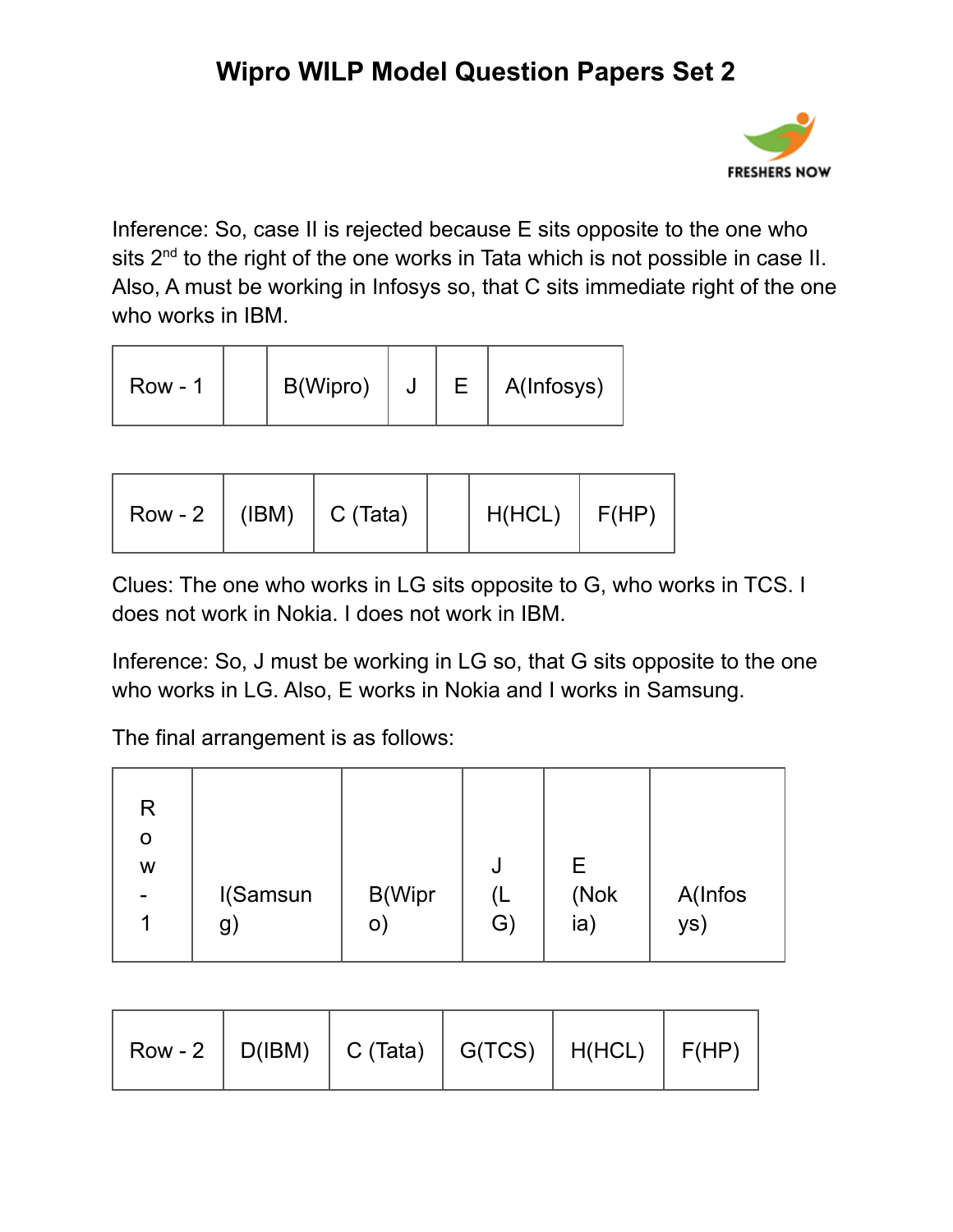

Inference: So, case II is rejected because E sits opposite to the one who sits  $2<sup>nd</sup>$  to the right of the one works in Tata which is not possible in case II. Also, A must be working in Infosys so, that C sits immediate right of the one who works in IBM.

| <b>Row - 1</b> | B(Wipro) |  |  | A(Infosys) |
|----------------|----------|--|--|------------|
|----------------|----------|--|--|------------|

| $(IBM) \mid C (Tata)$<br>$Row - 2$ | $H(HCL)$ $F(HP)$ |  |
|------------------------------------|------------------|--|
|------------------------------------|------------------|--|

Clues: The one who works in LG sits opposite to G, who works in TCS. I does not work in Nokia. I does not work in IBM.

Inference: So, J must be working in LG so, that G sits opposite to the one who works in LG. Also, E works in Nokia and I works in Samsung.

The final arrangement is as follows:

| R<br>O<br>W |                   |             | J        | E.          |                |
|-------------|-------------------|-------------|----------|-------------|----------------|
|             | I(Samsun<br>$g$ ) | B(Wipr<br>O | (L<br>G) | (Nok<br>ia) | A(Infos<br>ys) |

| Row - 2   D(IBM)   C (Tata)   G(TCS)   H(HCL)   F(HP) |  |  |  |
|-------------------------------------------------------|--|--|--|
|-------------------------------------------------------|--|--|--|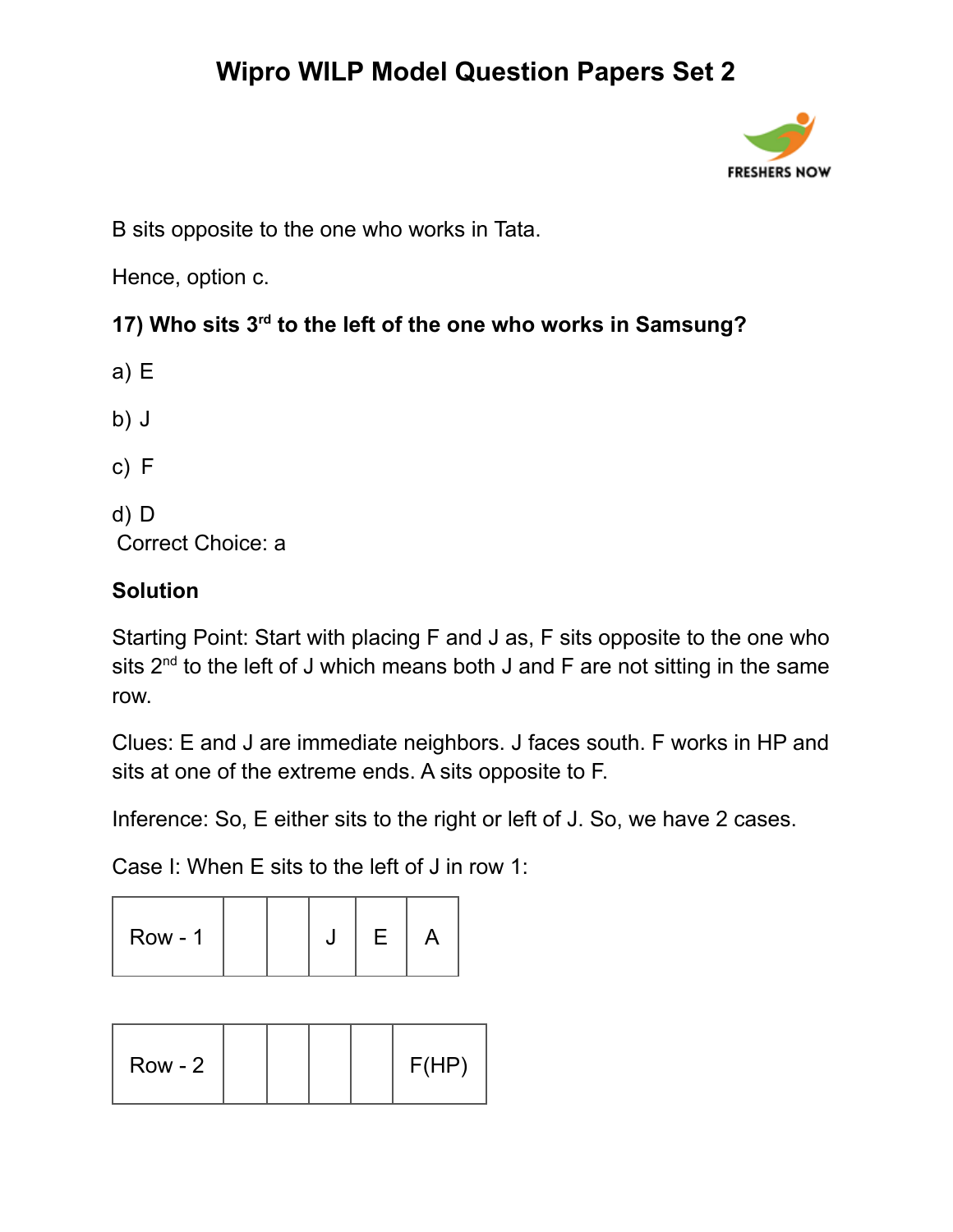

B sits opposite to the one who works in Tata.

Hence, option c.

### **17) Who sits 3 rd to the left of the one who works in Samsung?**

- a) E
- b) J
- c) F
- d) D Correct Choice: a

### **Solution**

Starting Point: Start with placing F and J as, F sits opposite to the one who sits  $2^{nd}$  to the left of J which means both J and F are not sitting in the same row.

Clues: E and J are immediate neighbors. J faces south. F works in HP and sits at one of the extreme ends. A sits opposite to F.

Inference: So, E either sits to the right or left of J. So, we have 2 cases.

Case I: When E sits to the left of J in row 1:

| $Row - 1$ |  |  |  |  |  |  |
|-----------|--|--|--|--|--|--|
|-----------|--|--|--|--|--|--|

| $Row - 2$ |  |  | F(HP) |
|-----------|--|--|-------|
|           |  |  |       |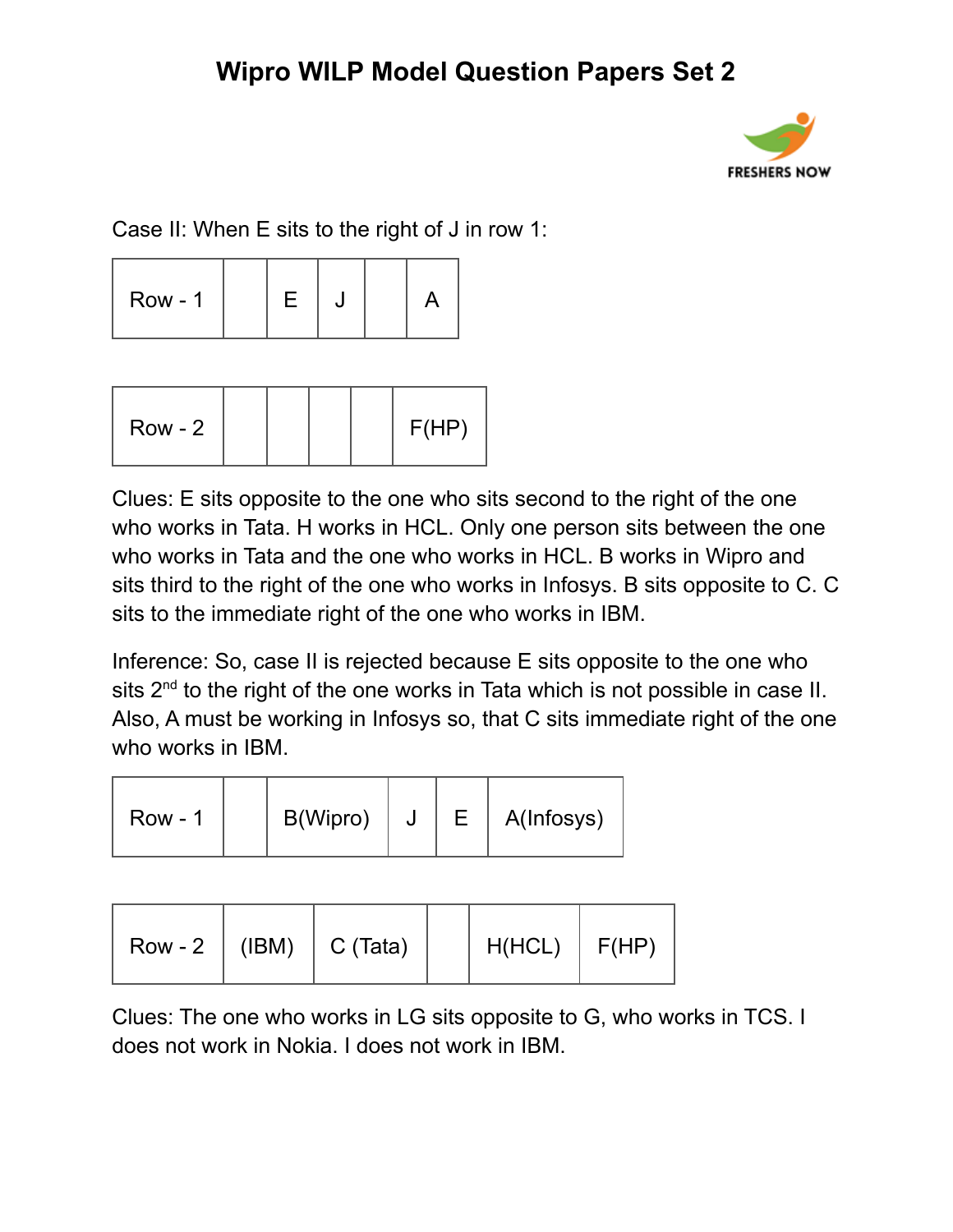

Case II: When E sits to the right of J in row 1:

|--|

| $Row - 2$ |  |  |  |  | F(HP) |
|-----------|--|--|--|--|-------|
|-----------|--|--|--|--|-------|

Clues: E sits opposite to the one who sits second to the right of the one who works in Tata. H works in HCL. Only one person sits between the one who works in Tata and the one who works in HCL. B works in Wipro and sits third to the right of the one who works in Infosys. B sits opposite to C. C sits to the immediate right of the one who works in IBM.

Inference: So, case II is rejected because E sits opposite to the one who sits  $2<sup>nd</sup>$  to the right of the one works in Tata which is not possible in case II. Also, A must be working in Infosys so, that C sits immediate right of the one who works in IBM.

| $Row - 1$ | B(Wipro) | J |  | A(Infosys) |
|-----------|----------|---|--|------------|
|-----------|----------|---|--|------------|

| Row - 2   (IBM)   C (Tata) |  | $H(HCL)$ $F(HP)$ |  |
|----------------------------|--|------------------|--|
|----------------------------|--|------------------|--|

Clues: The one who works in LG sits opposite to G, who works in TCS. I does not work in Nokia. I does not work in IBM.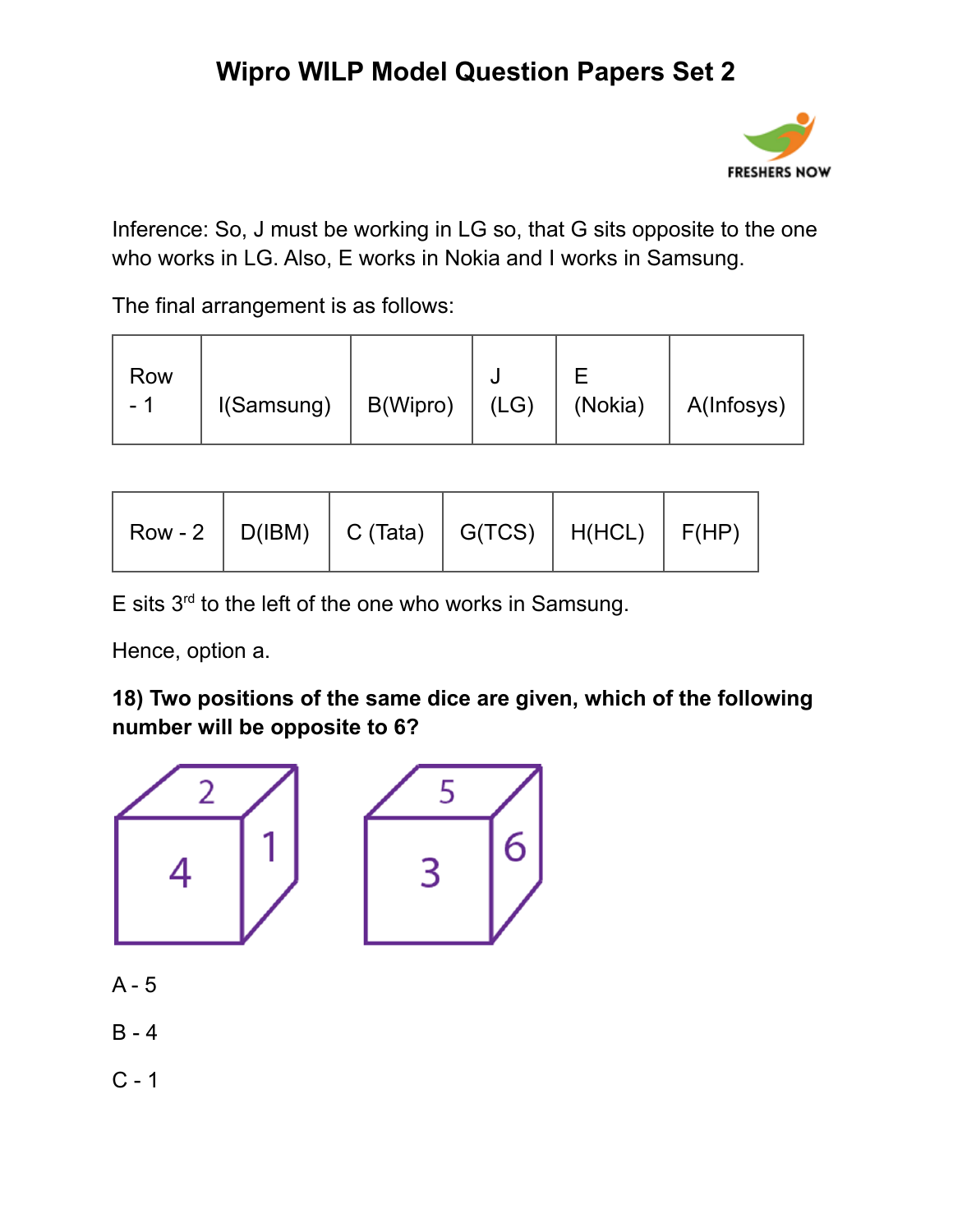

Inference: So, J must be working in LG so, that G sits opposite to the one who works in LG. Also, E works in Nokia and I works in Samsung.

The final arrangement is as follows:

| Row<br>B(Wipro)  <br>I(Samsung)<br>- | (LG) | (Nokia)<br>A(Infosys) |
|--------------------------------------|------|-----------------------|
|--------------------------------------|------|-----------------------|

| Row - 2   D(IBM)   C (Tata)   G(TCS)   H(HCL)   F(HP) |  |  |  |  |
|-------------------------------------------------------|--|--|--|--|
|-------------------------------------------------------|--|--|--|--|

E sits  $3<sup>rd</sup>$  to the left of the one who works in Samsung.

Hence, option a.

**18) Two positions of the same dice are given, which of the following number will be opposite to 6?**



- B 4
- C 1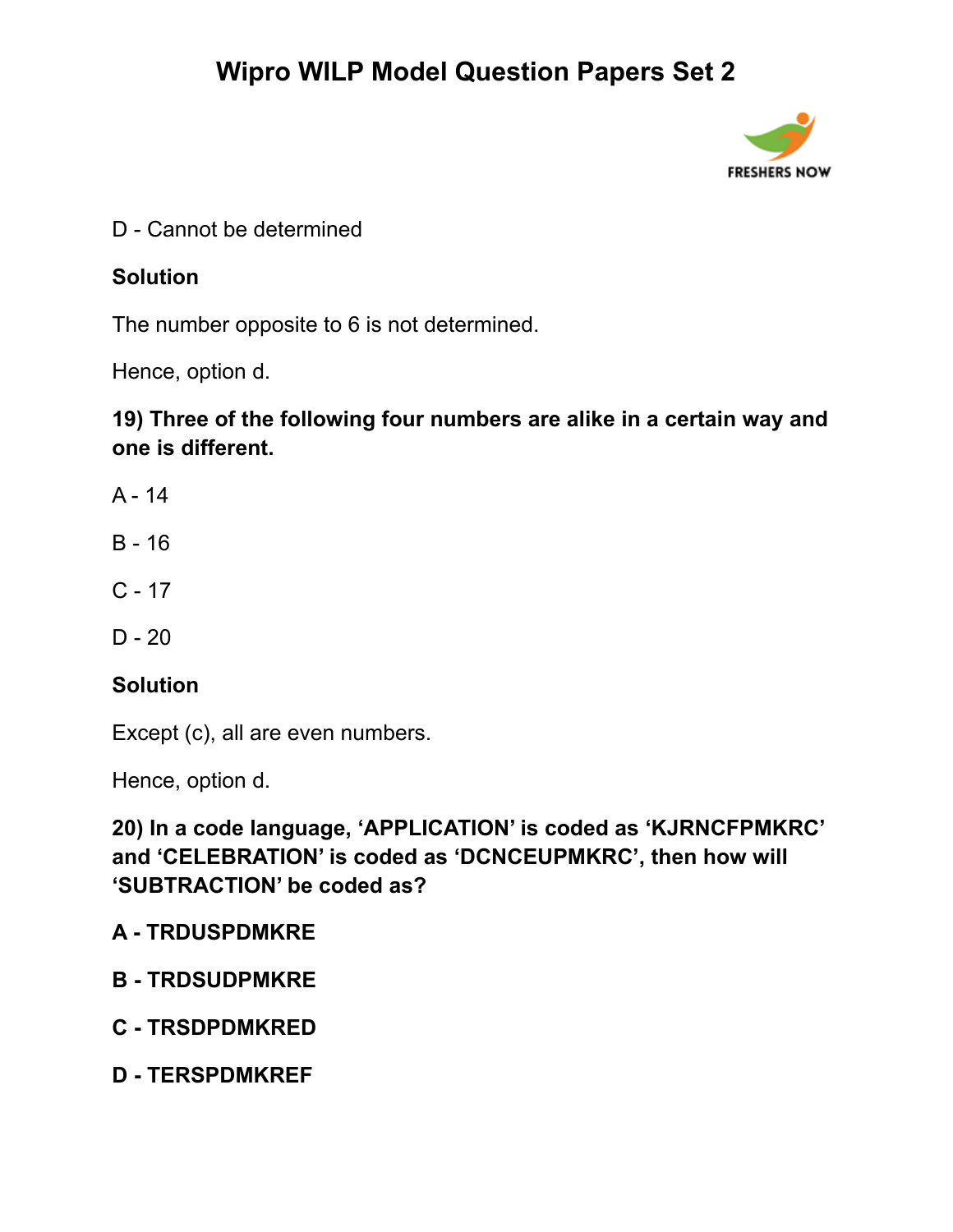

D - Cannot be determined

#### **Solution**

The number opposite to 6 is not determined.

Hence, option d.

### **19) Three of the following four numbers are alike in a certain way and one is different.**

- A 14
- B 16
- $C 17$
- $D 20$

#### **Solution**

Except (c), all are even numbers.

Hence, option d.

**20) In a code language, 'APPLICATION' is coded as 'KJRNCFPMKRC' and 'CELEBRATION' is coded as 'DCNCEUPMKRC', then how will 'SUBTRACTION' be coded as?**

#### **A - TRDUSPDMKRE**

- **B - TRDSUDPMKRE**
- **C - TRSDPDMKRED**
- **D - TERSPDMKREF**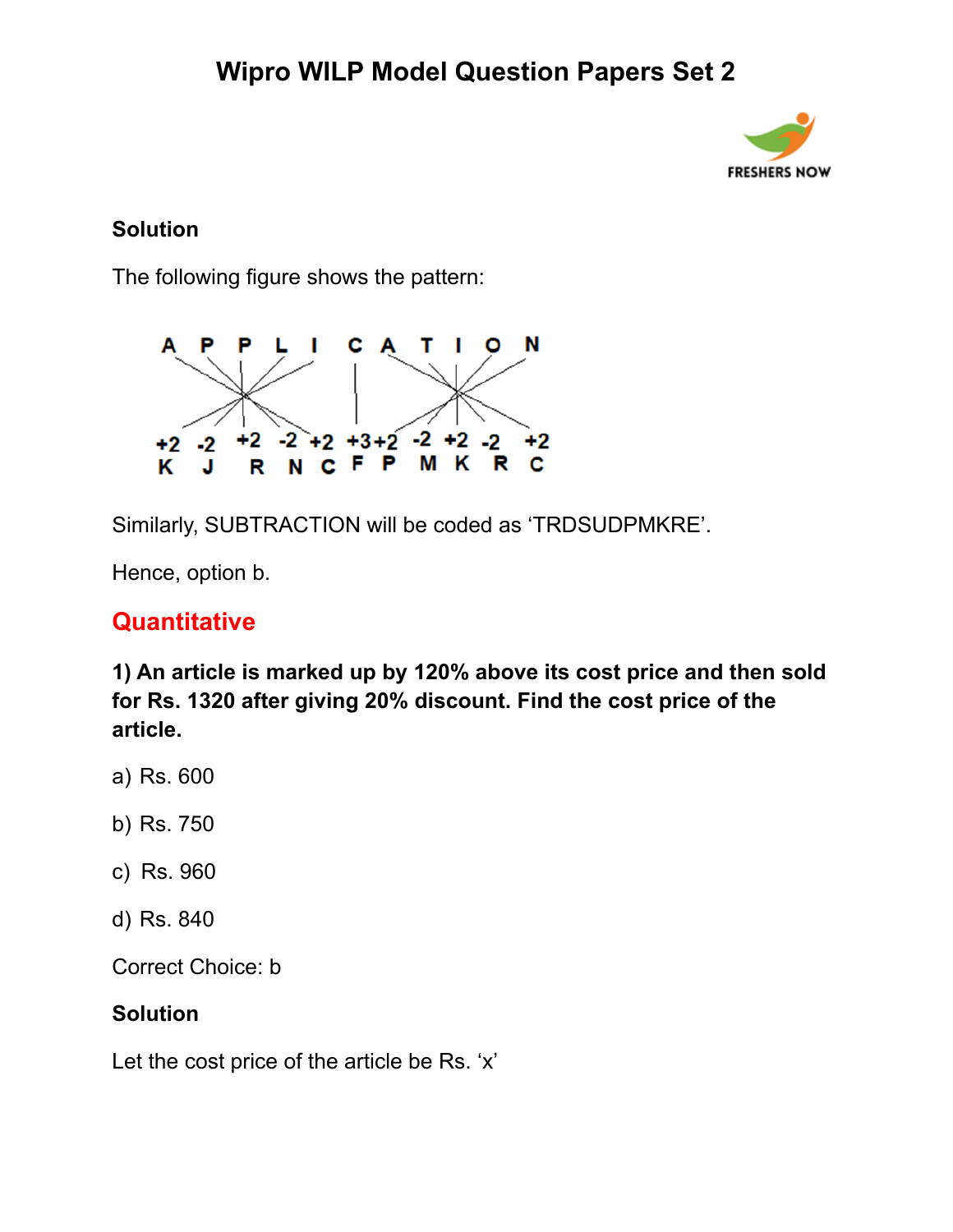

#### **Solution**

The following figure shows the pattern:



Similarly, SUBTRACTION will be coded as 'TRDSUDPMKRE'.

Hence, option b.

### **Quantitative**

**1) An article is marked up by 120% above its cost price and then sold for Rs. 1320 after giving 20% discount. Find the cost price of the article.**

- a) Rs. 600
- b) Rs. 750
- c) Rs. 960
- d) Rs. 840

Correct Choice: b

#### **Solution**

Let the cost price of the article be Rs. 'x'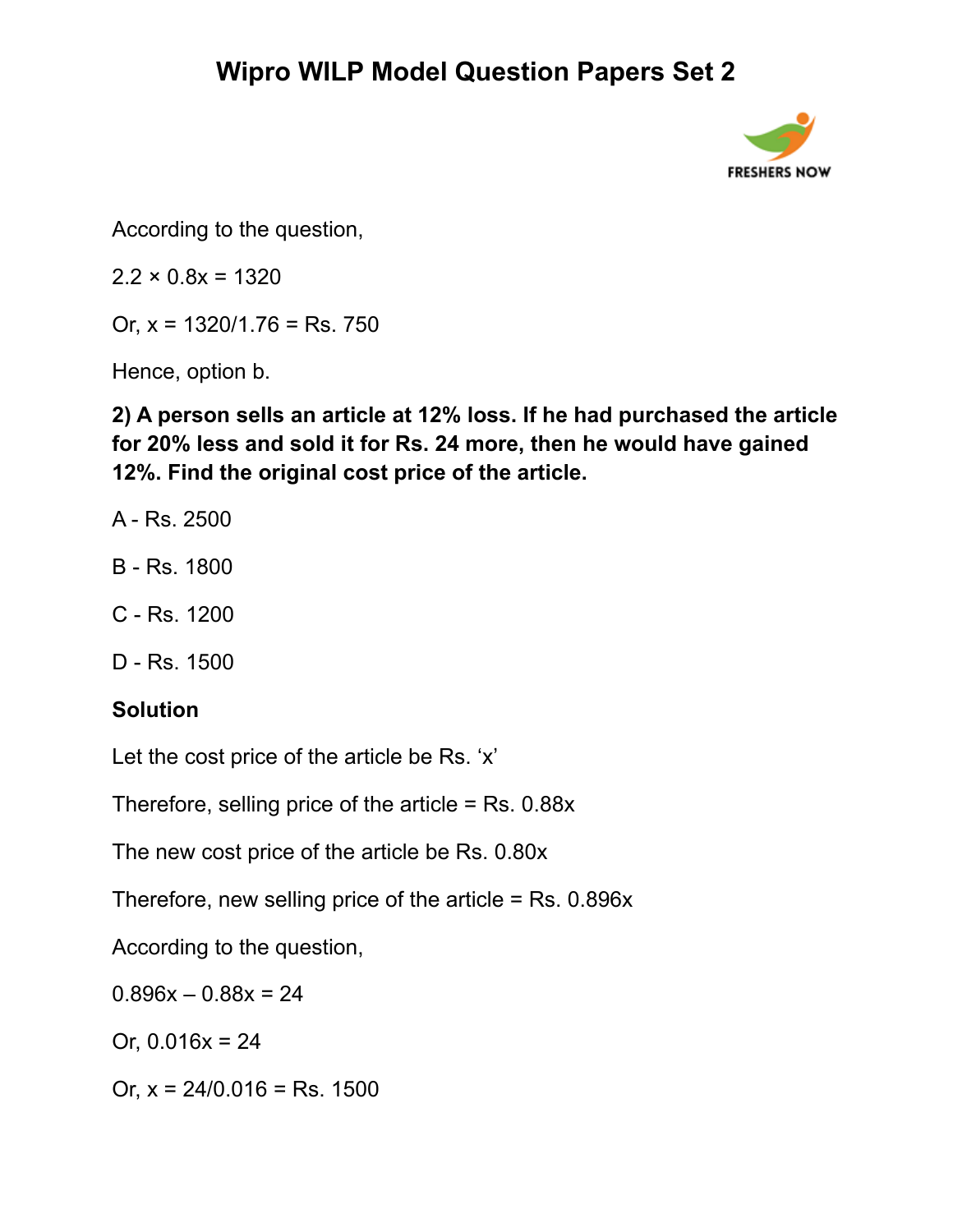

According to the question,

 $2.2 \times 0.8x = 1320$ 

Or,  $x = 1320/1.76 =$ Rs. 750

Hence, option b.

**2) A person sells an article at 12% loss. If he had purchased the article for 20% less and sold it for Rs. 24 more, then he would have gained 12%. Find the original cost price of the article.**

- A Rs. 2500
- B Rs. 1800
- C Rs. 1200
- D Rs. 1500

### **Solution**

Let the cost price of the article be Rs. 'x'

Therefore, selling price of the article  $=$  Rs. 0.88 $x$ 

The new cost price of the article be Rs. 0.80x

Therefore, new selling price of the article = Rs. 0.896x

According to the question,

 $0.896x - 0.88x = 24$ 

Or,  $0.016x = 24$ 

Or,  $x = 24/0.016 =$  Rs. 1500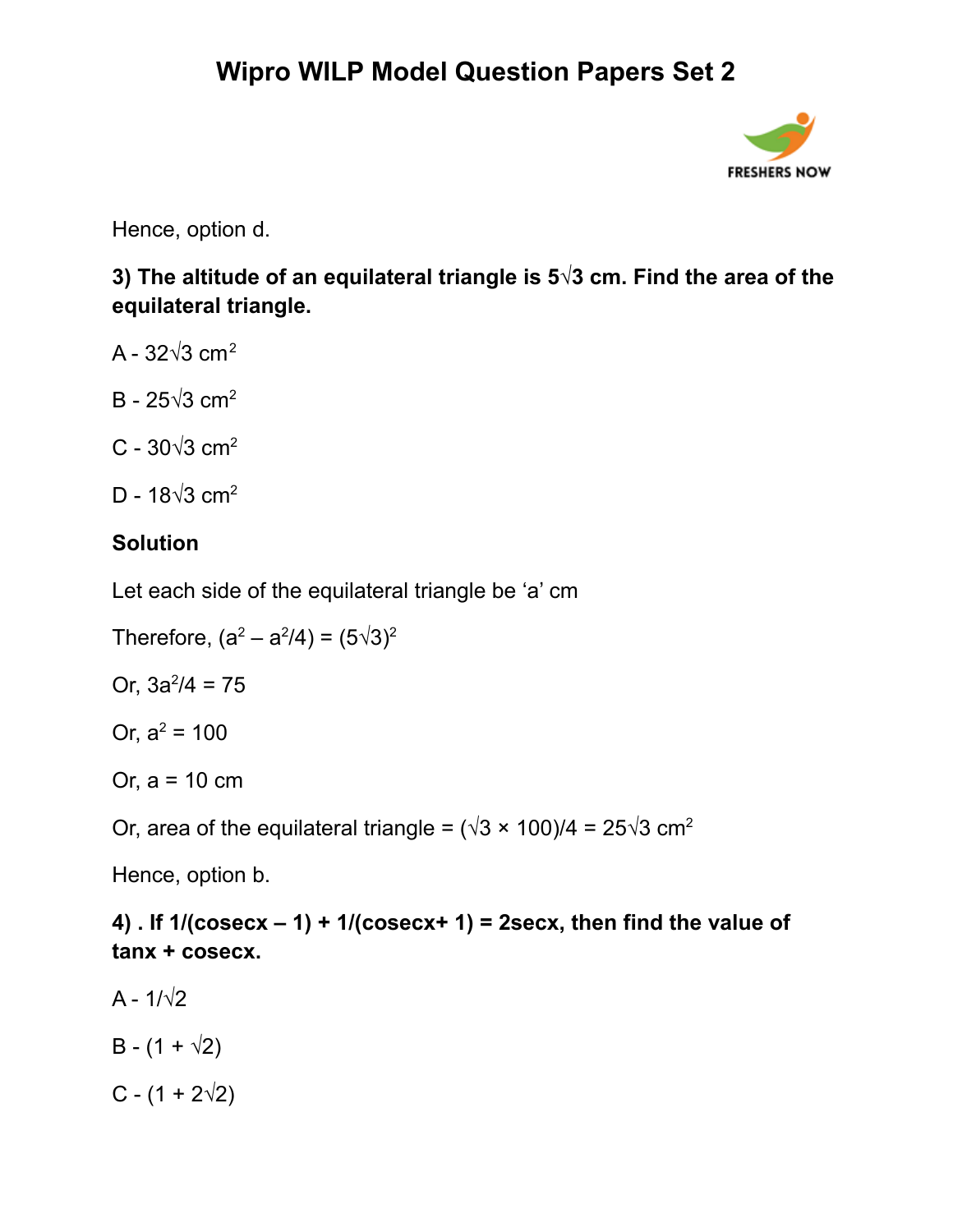

Hence, option d.

**3) The altitude of an equilateral triangle is 5√3 cm. Find the area of the equilateral triangle.**

- A  $32\sqrt{3}$  cm<sup>2</sup>
- B 25 $\sqrt{3}$  cm<sup>2</sup>
- C 30 $\sqrt{3}$  cm<sup>2</sup>
- D 18√3 cm<sup>2</sup>

### **Solution**

Let each side of the equilateral triangle be 'a' cm

Therefore,  $(a^2 - a^2/4) = (5\sqrt{3})^2$ 

Or,  $3a^2/4 = 75$ 

Or,  $a^2 = 100$ 

Or, a = 10 cm

Or, area of the equilateral triangle =  $(\sqrt{3} \times 100)/4 = 25\sqrt{3}$  cm<sup>2</sup>

Hence, option b.

**4) . If 1/(cosecx – 1) + 1/(cosecx+ 1) = 2secx, then find the value of tanx + cosecx.**

- A  $1/\sqrt{2}$
- $B (1 + \sqrt{2})$
- $C (1 + 2\sqrt{2})$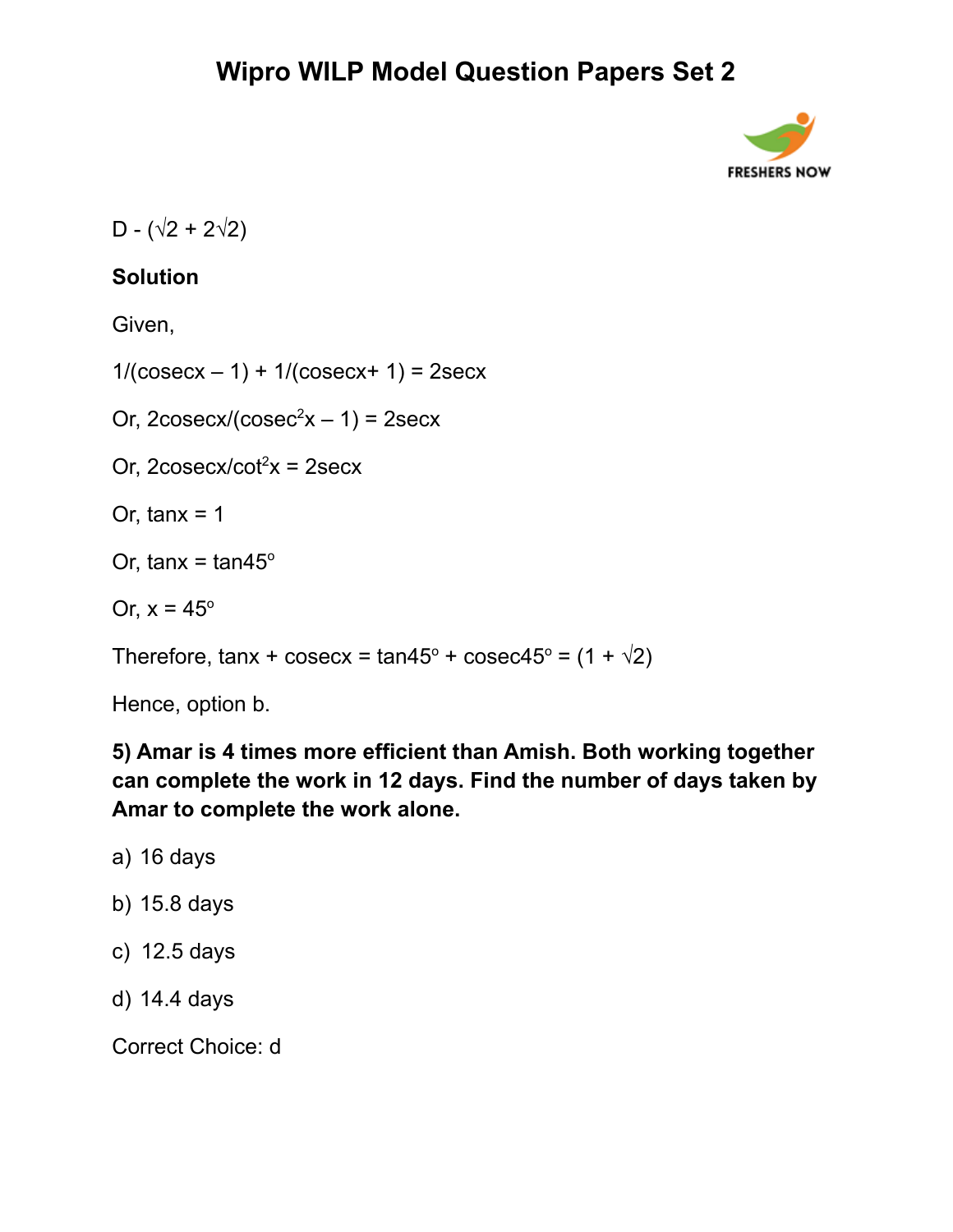

D -  $(\sqrt{2} + 2\sqrt{2})$ 

### **Solution**

Given,

 $1/(cosecx - 1) + 1/(cosecx + 1) = 2secx$ 

Or,  $2\cos\left(\cos\left(\cos\left(\frac{2}{x}\right) - 1\right)\right) = 2\sec x$ 

Or,  $2\cos\left(\cot^2 x\right) = 2\sec x$ 

Or, tanx  $= 1$ 

Or, tanx = tan45 $\degree$ 

Or,  $x = 45^\circ$ 

Therefore, tanx + cosecx = tan45 $\degree$  + cosec45 $\degree$  = (1 +  $\sqrt{2}$ )

Hence, option b.

**5) Amar is 4 times more efficient than Amish. Both working together can complete the work in 12 days. Find the number of days taken by Amar to complete the work alone.**

- a) 16 days
- b) 15.8 days
- c) 12.5 days
- d) 14.4 days

Correct Choice: d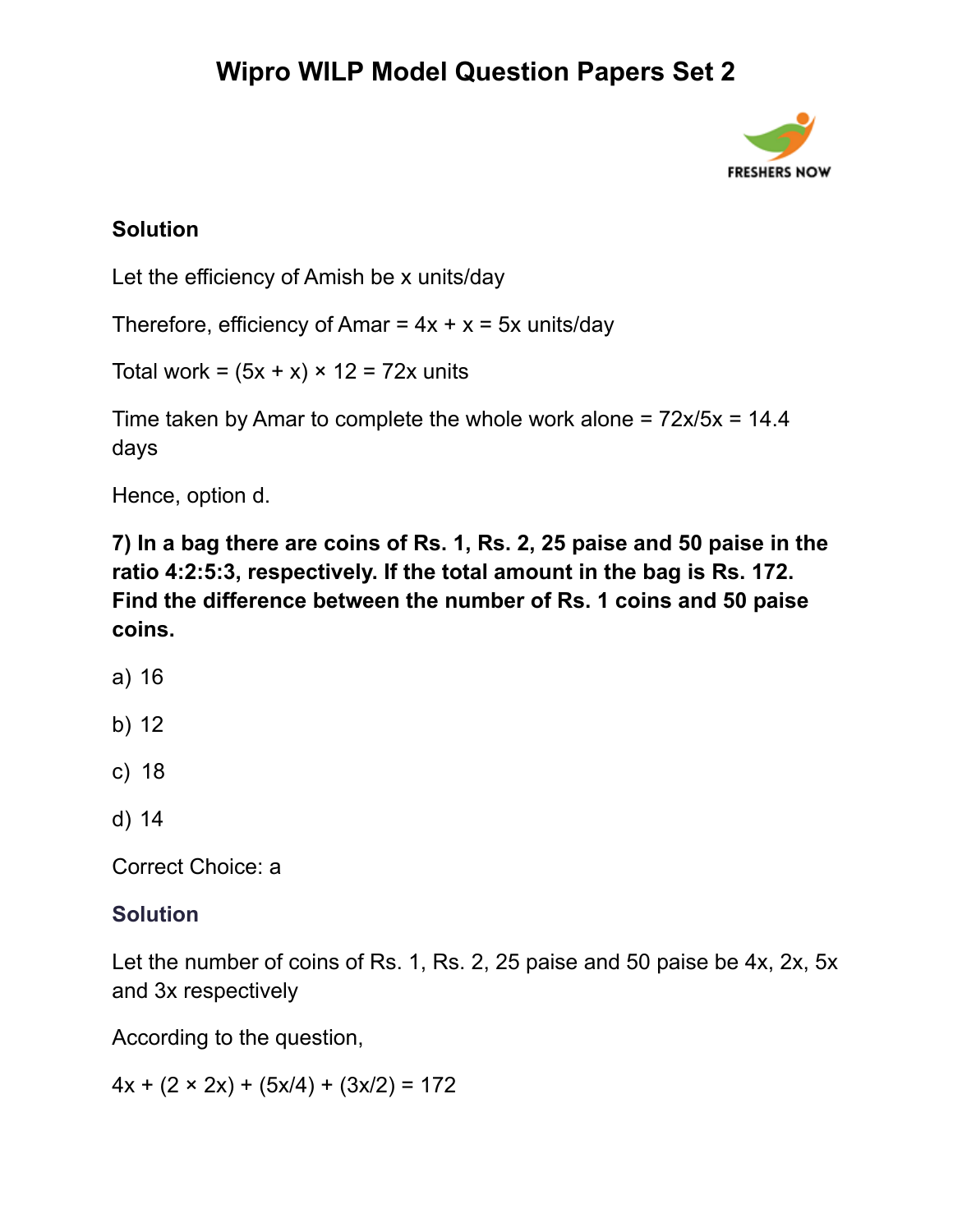

#### **Solution**

Let the efficiency of Amish be x units/day

Therefore, efficiency of Amar =  $4x + x = 5x$  units/day

Total work =  $(5x + x) \times 12 = 72x$  units

Time taken by Amar to complete the whole work alone =  $72x/5x = 14.4$ days

Hence, option d.

**7) In a bag there are coins of Rs. 1, Rs. 2, 25 paise and 50 paise in the ratio 4:2:5:3, respectively. If the total amount in the bag is Rs. 172. Find the difference between the number of Rs. 1 coins and 50 paise coins.**

- a) 16
- b) 12
- c) 18
- d) 14

Correct Choice: a

#### **Solution**

Let the number of coins of Rs. 1, Rs. 2, 25 paise and 50 paise be 4x, 2x, 5x and 3x respectively

According to the question,

 $4x + (2 \times 2x) + (5x/4) + (3x/2) = 172$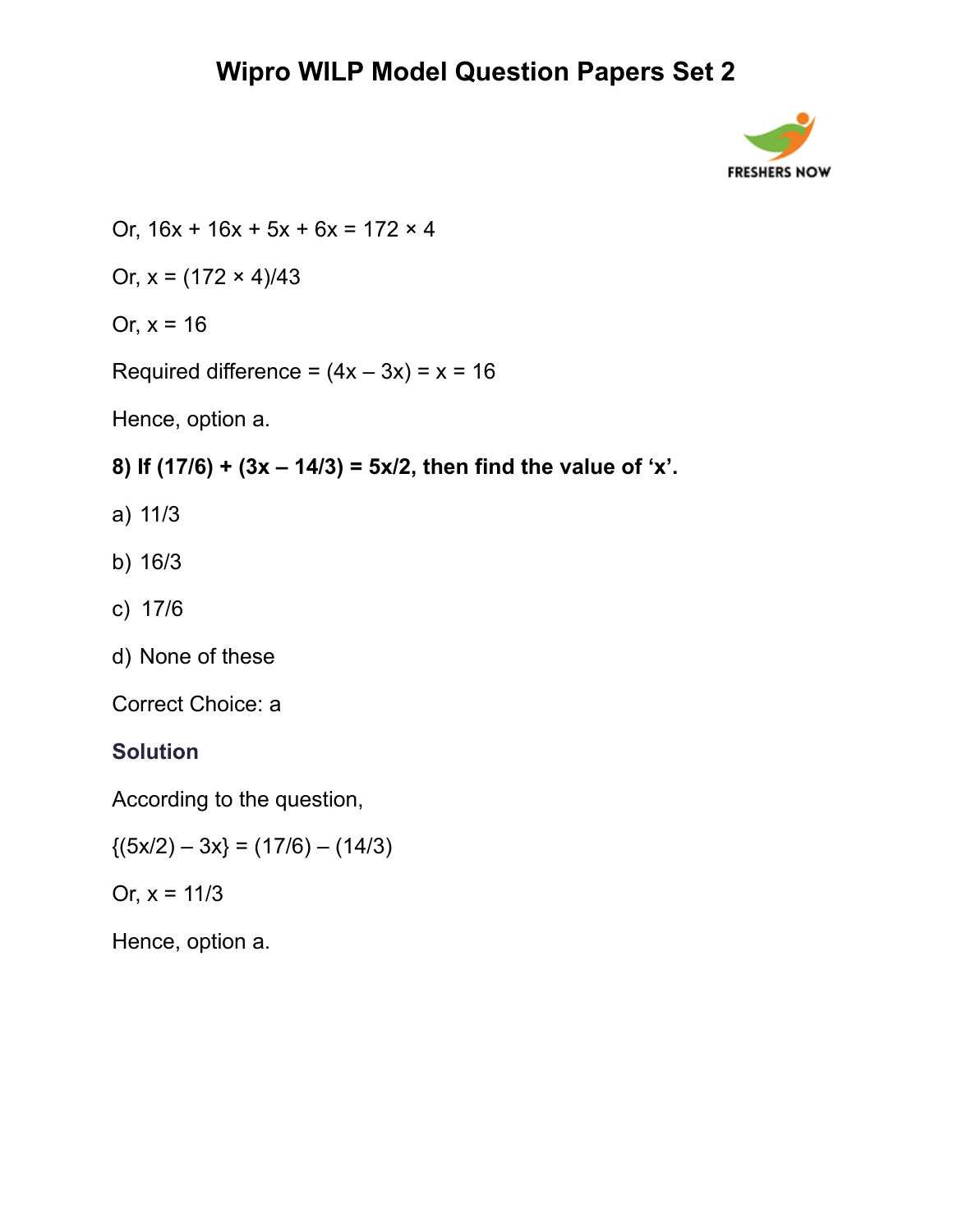

Or,  $16x + 16x + 5x + 6x = 172 \times 4$ 

Or,  $x = (172 \times 4)/43$ 

Or,  $x = 16$ 

Required difference =  $(4x - 3x) = x = 16$ 

Hence, option a.

### **8) If (17/6) + (3x – 14/3) = 5x/2, then find the value of 'x'.**

- a) 11/3
- b) 16/3
- c) 17/6
- d) None of these

Correct Choice: a

## **Solution**

According to the question,

 ${(5x/2) - 3x} = (17/6) - (14/3)$ 

Or,  $x = 11/3$ 

Hence, option a.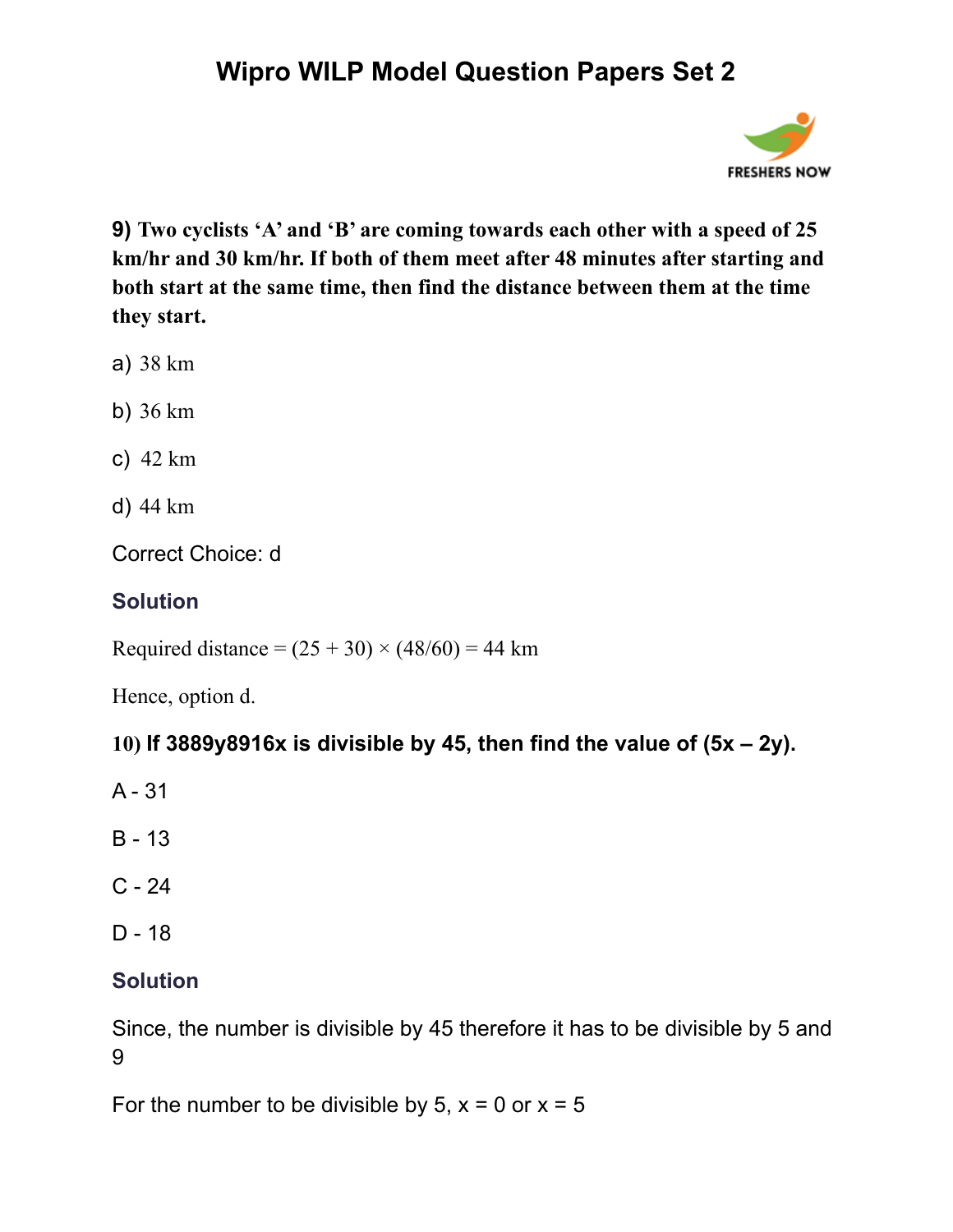

**9) Two cyclists 'A' and 'B' are coming towards each other with a speed of 25 km/hr and 30 km/hr. If both of them meet after 48 minutes after starting and both start at the same time, then find the distance between them at the time they start.**

- a) 38 km
- b) 36 km
- c) 42 km
- d) 44 km

Correct Choice: d

### **Solution**

Required distance =  $(25 + 30) \times (48/60) = 44$  km

Hence, option d.

### **10) If 3889y8916x is divisible by 45, then find the value of (5x – 2y).**

- A 31
- B 13
- $C 24$
- D 18

### **Solution**

Since, the number is divisible by 45 therefore it has to be divisible by 5 and 9

For the number to be divisible by  $5$ ,  $x = 0$  or  $x = 5$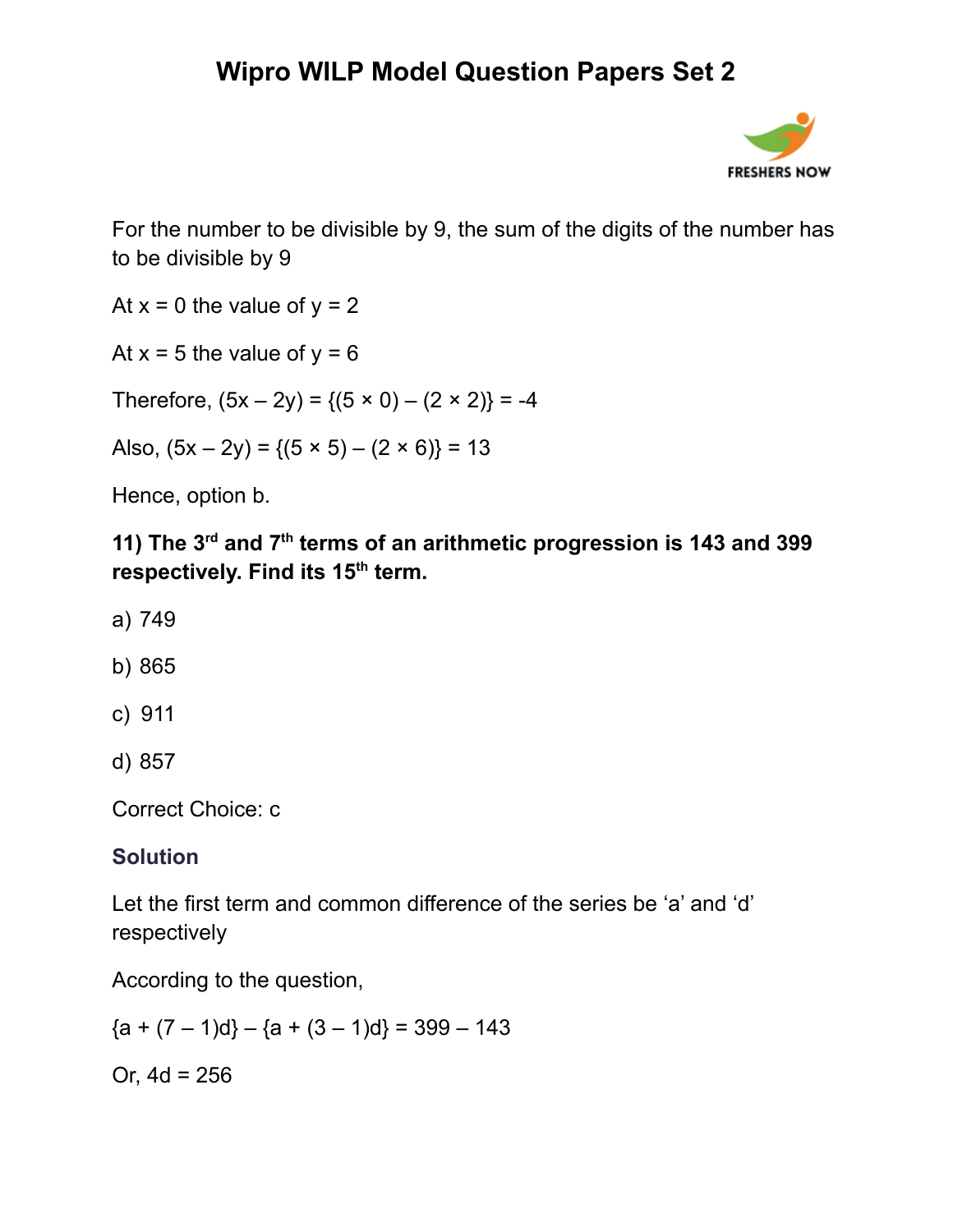

For the number to be divisible by 9, the sum of the digits of the number has to be divisible by 9

At  $x = 0$  the value of  $y = 2$ 

At  $x = 5$  the value of  $y = 6$ 

Therefore,  $(5x – 2y) = {(5 \times 0) – (2 \times 2)} = -4$ 

Also,  $(5x – 2y) = {(5 \times 5) – (2 \times 6)} = 13$ 

Hence, option b.

**11) The 3 rd and 7 th terms of an arithmetic progression is 143 and 399 respectively. Find its 15 th term.**

- a) 749
- b) 865
- c) 911
- d) 857

Correct Choice: c

#### **Solution**

Let the first term and common difference of the series be 'a' and 'd' respectively

According to the question,

 ${a + (7 - 1)d} - {a + (3 - 1)d} = 399 - 143$ 

Or,  $4d = 256$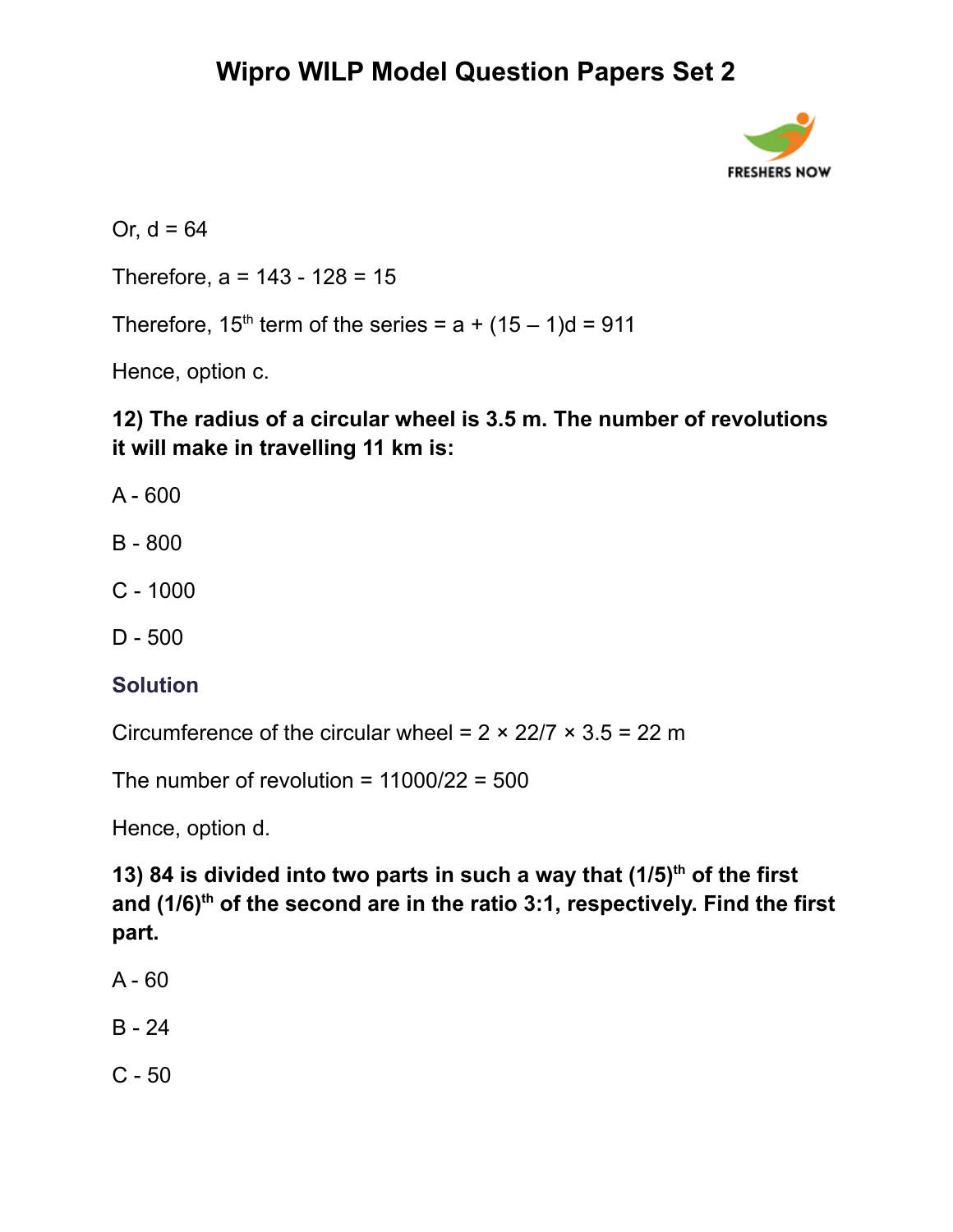

Or,  $d = 64$ 

Therefore,  $a = 143 - 128 = 15$ 

Therefore, 15<sup>th</sup> term of the series =  $a + (15 - 1)d = 911$ 

Hence, option c.

**12) The radius of a circular wheel is 3.5 m. The number of revolutions it will make in travelling 11 km is:**

- A 600
- B 800
- C 1000
- D 500

#### **Solution**

Circumference of the circular wheel =  $2 \times 22/7 \times 3.5 = 22$  m

The number of revolution =  $11000/22 = 500$ 

Hence, option d.

**13) 84 is divided into two parts in such a way that (1/5) th of the first and (1/6) th of the second are in the ratio 3:1, respectively. Find the first part.**

- $A 60$
- B 24
- C 50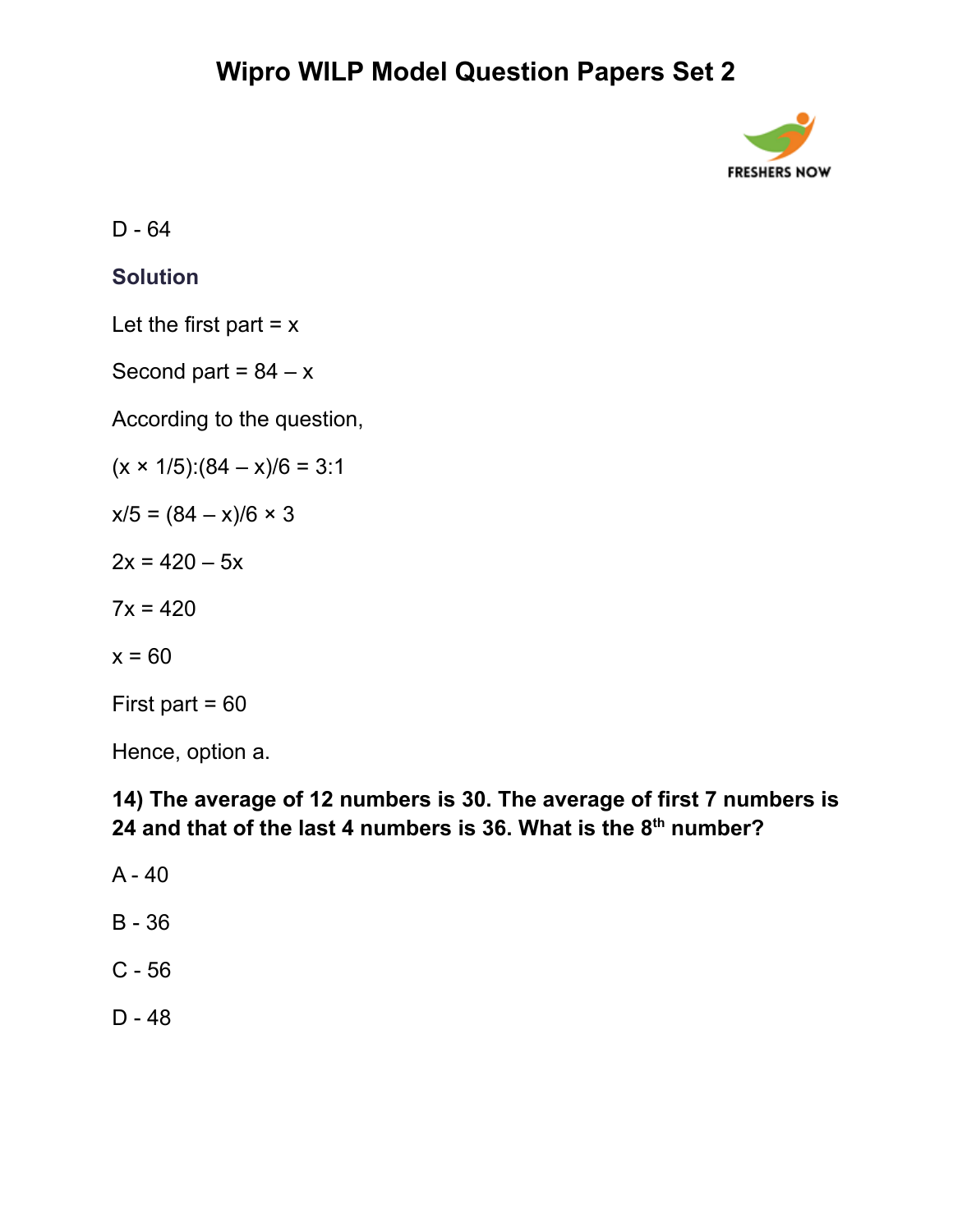

D - 64

#### **Solution**

Let the first part  $= x$ 

Second part =  $84 - x$ 

According to the question,

 $(x \times 1/5):(84 - x)/6 = 3:1$ 

 $x/5 = (84 - x)/6 \times 3$ 

 $2x = 420 - 5x$ 

 $7x = 420$ 

 $x = 60$ 

First part  $= 60$ 

Hence, option a.

### **14) The average of 12 numbers is 30. The average of first 7 numbers is 24 and that of the last 4 numbers is 36. What is the 8 th number?**

- A 40
- B 36
- C 56
- D 48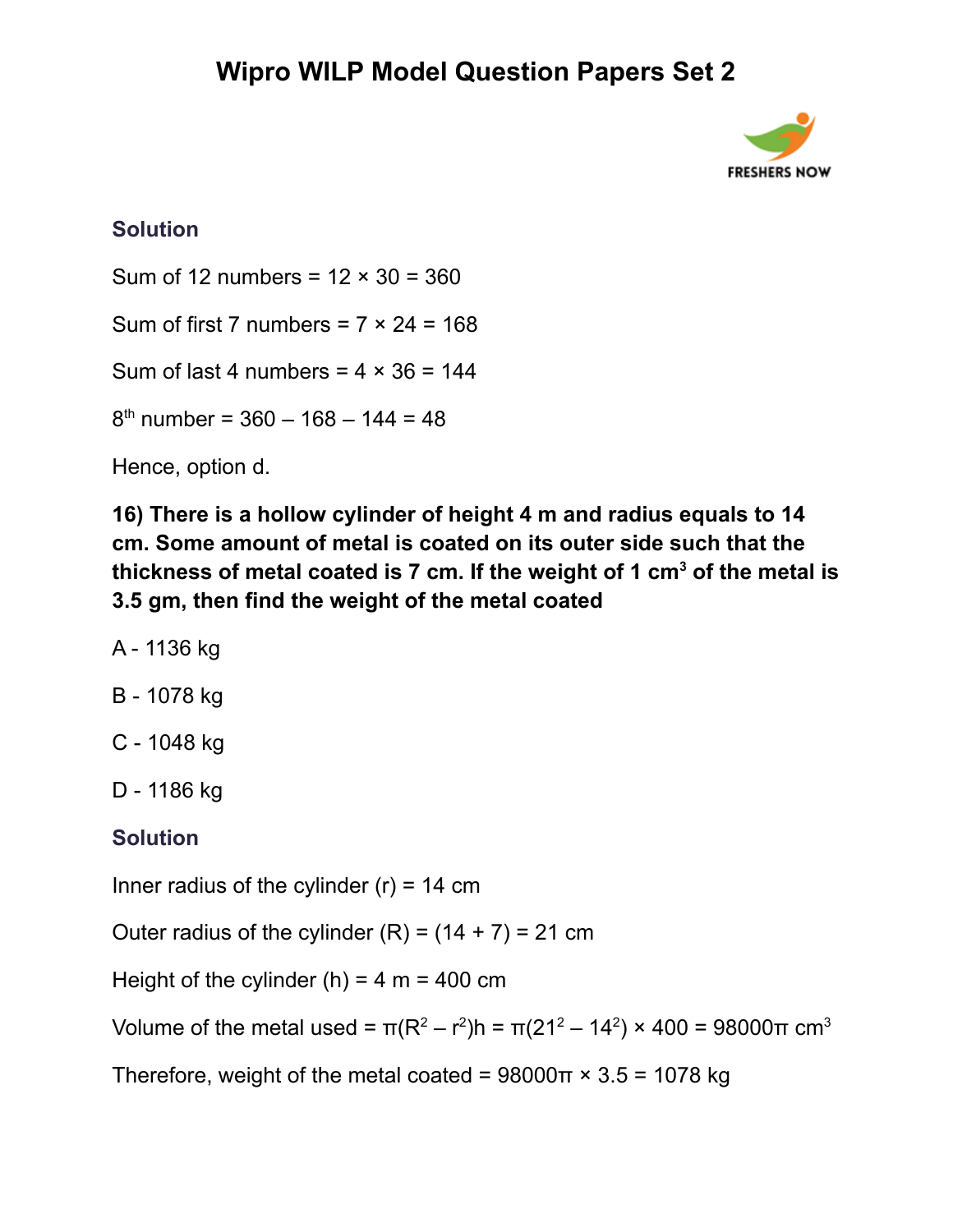

### **Solution**

Sum of 12 numbers =  $12 \times 30 = 360$ 

Sum of first 7 numbers =  $7 \times 24 = 168$ 

Sum of last 4 numbers =  $4 \times 36 = 144$ 

8 th number = 360 – 168 – 144 = 48

Hence, option d.

**16) There is a hollow cylinder of height 4 m and radius equals to 14 cm. Some amount of metal is coated on its outer side such that the thickness of metal coated is 7 cm. If the weight of 1 cm<sup>3</sup> of the metal is 3.5 gm, then find the weight of the metal coated**

A - 1136 kg

B - 1078 kg

C - 1048 kg

D - 1186 kg

#### **Solution**

Inner radius of the cylinder  $(r) = 14$  cm

Outer radius of the cylinder  $(R) = (14 + 7) = 21$  cm

Height of the cylinder (h) =  $4 \text{ m} = 400 \text{ cm}$ 

Volume of the metal used =  $\pi(R^2 - r^2)$ h =  $\pi(21^2 - 14^2) \times 400 = 98000 \pi$  cm<sup>3</sup>

Therefore, weight of the metal coated =  $98000\pi \times 3.5 = 1078$  kg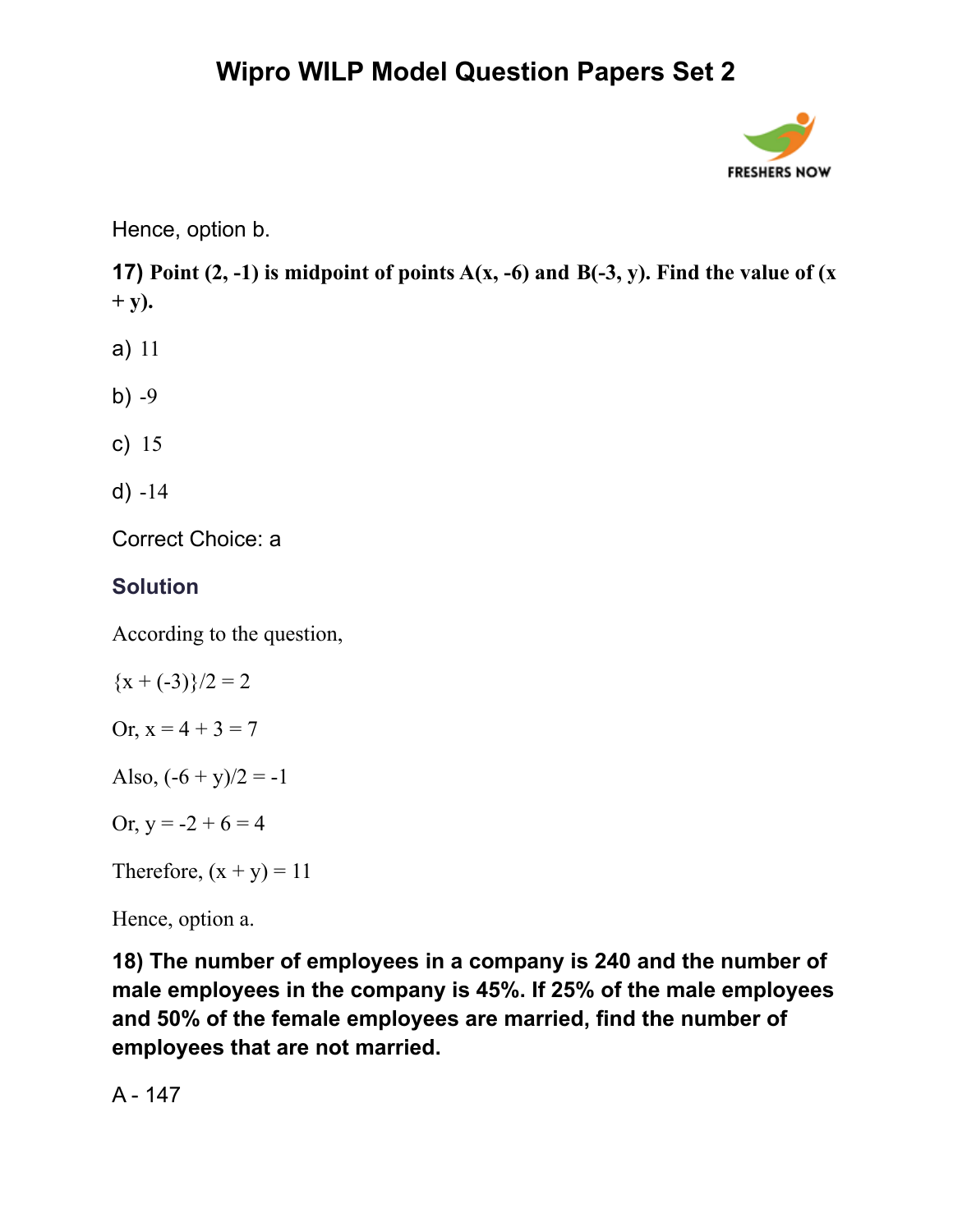

Hence, option b.

**17) Point**  $(2, -1)$  is midpoint of points  $A(x, -6)$  and  $B(-3, y)$ . Find the value of  $(x, -1)$ **+ y).**

- a) 11
- b)  $-9$
- c) 15
- d) -14

Correct Choice: a

#### **Solution**

According to the question,

$$
{x + (-3)}/2 = 2
$$

Or,  $x = 4 + 3 = 7$ 

Also,  $(-6 + y)/2 = -1$ 

Or,  $y = -2 + 6 = 4$ 

Therefore,  $(x + y) = 11$ 

Hence, option a.

**18) The number of employees in a company is 240 and the number of male employees in the company is 45%. If 25% of the male employees and 50% of the female employees are married, find the number of employees that are not married.**

A - 147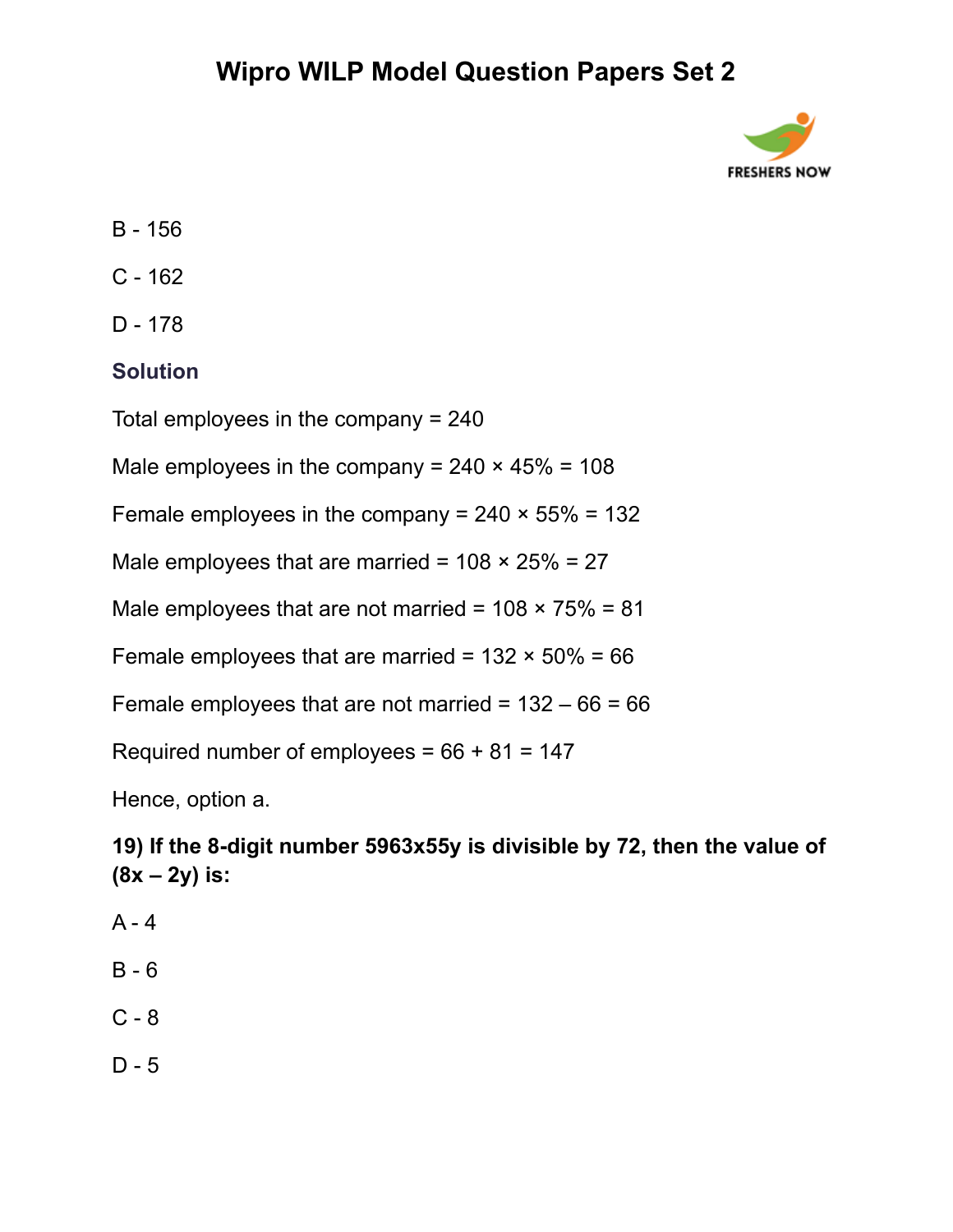

- B 156
- C 162
- D 178

#### **Solution**

Total employees in the company = 240

Male employees in the company =  $240 \times 45\% = 108$ 

Female employees in the company =  $240 \times 55\% = 132$ 

Male employees that are married =  $108 \times 25\% = 27$ 

Male employees that are not married =  $108 \times 75\% = 81$ 

Female employees that are married =  $132 \times 50\% = 66$ 

Female employees that are not married =  $132 - 66 = 66$ 

Required number of employees =  $66 + 81 = 147$ 

Hence, option a.

**19) If the 8-digit number 5963x55y is divisible by 72, then the value of (8x – 2y) is:**

- $A 4$
- B 6
- C 8
- D 5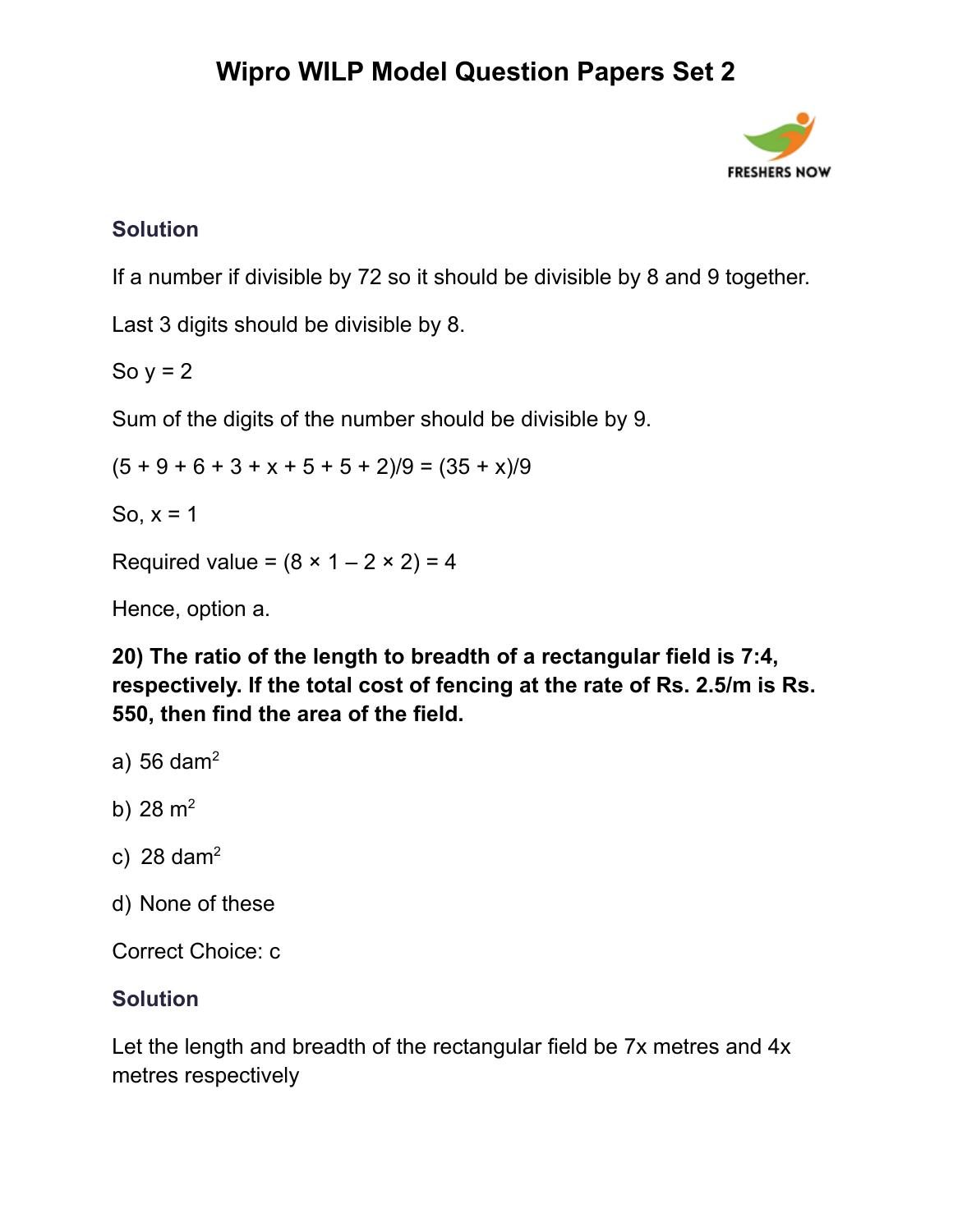

### **Solution**

If a number if divisible by 72 so it should be divisible by 8 and 9 together.

Last 3 digits should be divisible by 8.

So  $y = 2$ 

Sum of the digits of the number should be divisible by 9.

 $(5 + 9 + 6 + 3 + x + 5 + 5 + 2)/9 = (35 + x)/9$ 

So,  $x = 1$ 

Required value =  $(8 \times 1 - 2 \times 2) = 4$ 

Hence, option a.

**20) The ratio of the length to breadth of a rectangular field is 7:4, respectively. If the total cost of fencing at the rate of Rs. 2.5/m is Rs. 550, then find the area of the field.**

- a) 56 dam<sup>2</sup>
- b)  $28 \text{ m}^2$
- c) 28 dam<sup>2</sup>
- d) None of these

Correct Choice: c

### **Solution**

Let the length and breadth of the rectangular field be 7x metres and 4x metres respectively